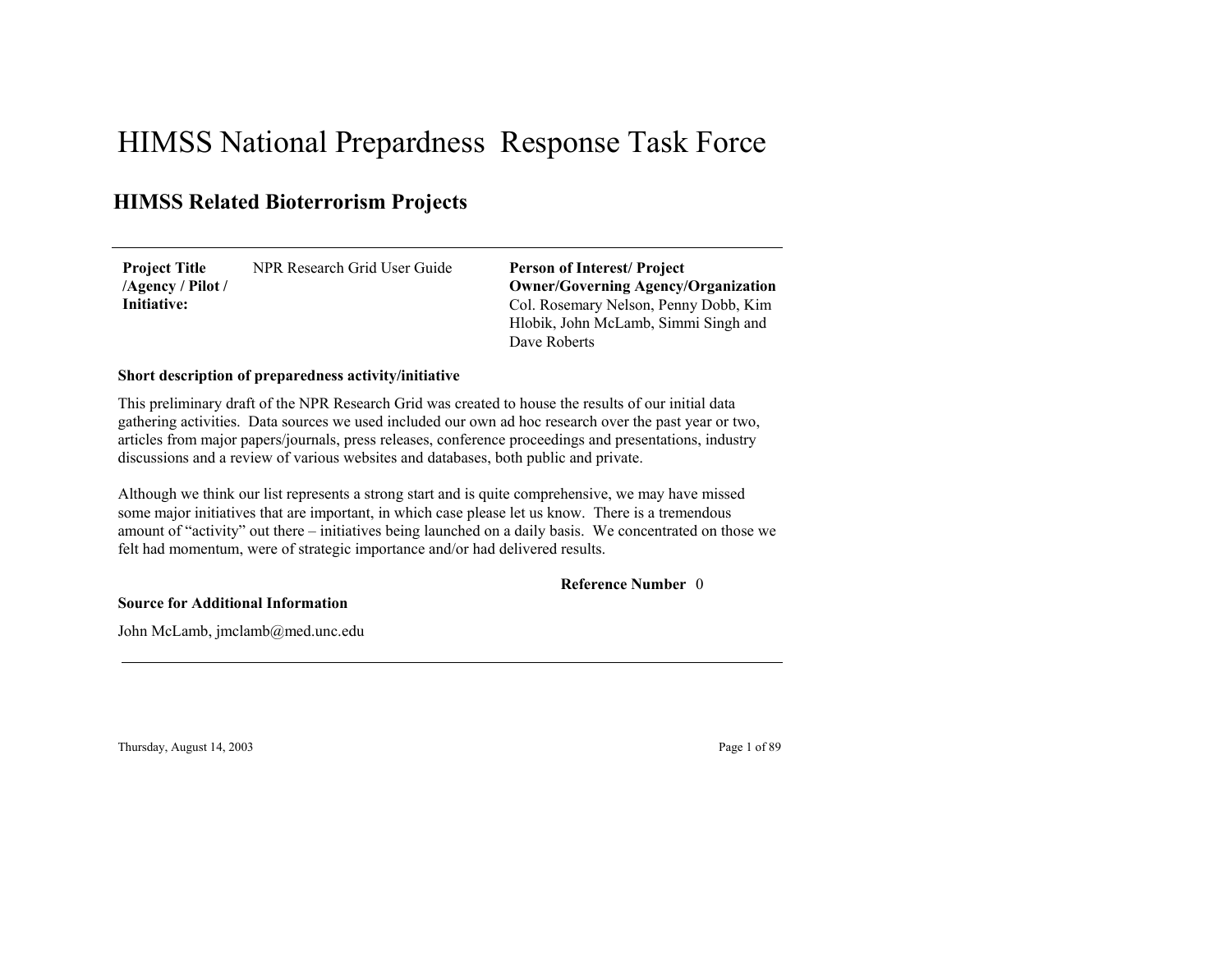# HIMSS National Prepardness Response Task Force

# **HIMSS Related Bioterrorism Projects**

NPR Research Grid User Guide**Project Title /Agency / Pilot / Initiative:**

Col. Rosemary Nelson, Penny Dobb, Kim Hlobik, John McLamb, Simmi Singh and Dave Roberts**Person of Interest/ Project Owner/Governing Agenc y/Organization**

### **Short description of preparedness activity/initiative**

This preliminary draft of the NPR Research Grid was created to house the results of our initial data gathering activities. Data sources we used included our own ad hoc research over the past year or two, articles from major papers/journals, press releases, conference proceedings and presentations, industry discussions and a review of various websites and databases, both public and private.

Although we think our list represents a strong start and is quite comprehensive, we may have missed some major initiatives that are important, in which case please let us know. There is a tremendous amount of "activity" out there – initiatives being launched on a daily basis. We concentrated on those we felt had momentum, were of strategic importance and/or had delivered results.

#### 0**Reference Number**

**Source for Additional Information**

John McLamb, jmclamb@med.unc.edu

Thursday, August 14, 2003 Page 1 of 89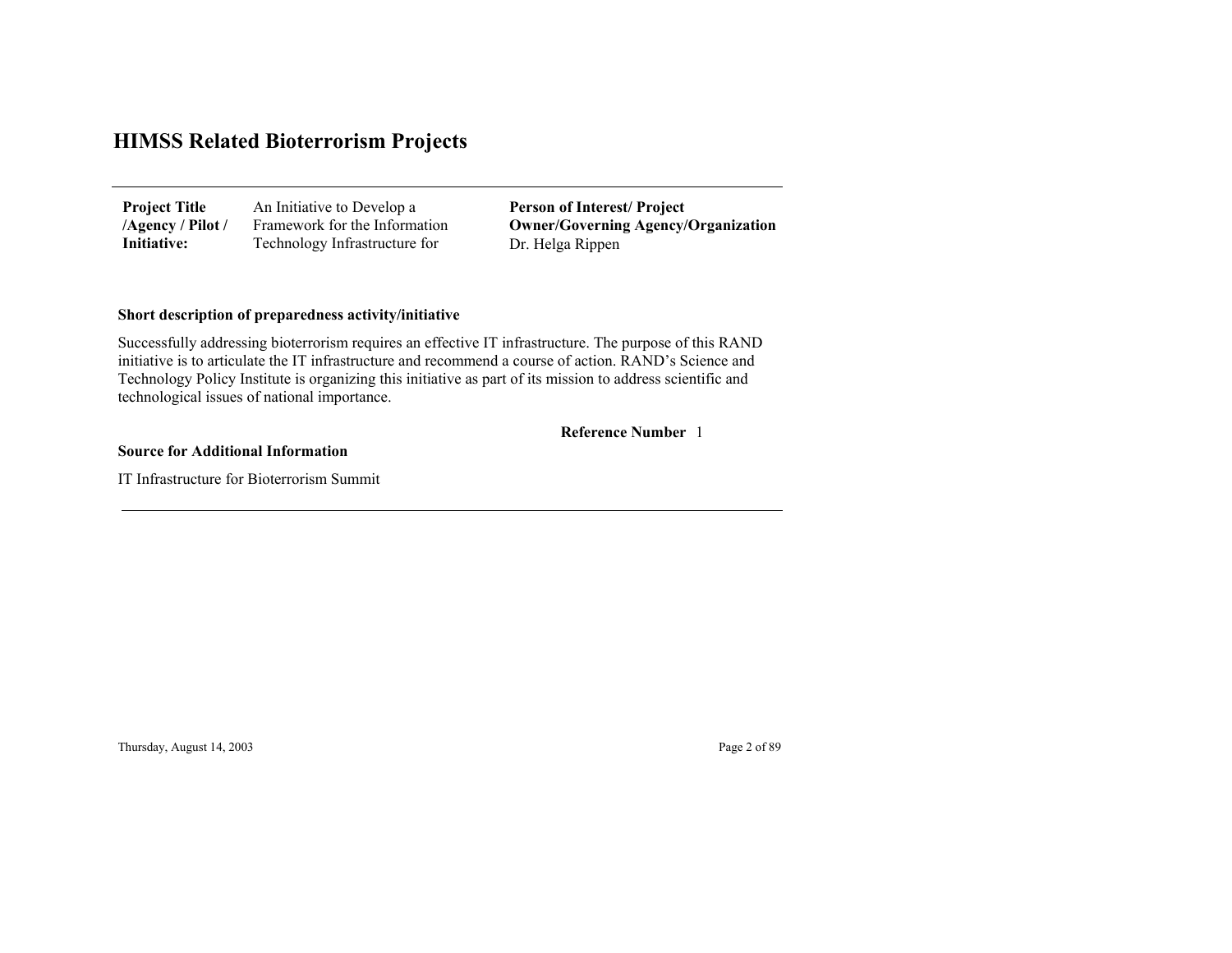| <b>Project Title</b> | An Initiative to Develop a    | <b>Person of Interest/Project</b>          |
|----------------------|-------------------------------|--------------------------------------------|
| /Agency / Pilot /    | Framework for the Information | <b>Owner/Governing Agency/Organization</b> |
| Initiative:          | Technology Infrastructure for | Dr. Helga Rippen                           |

### **Short description of preparedness activity/initiative**

Successfully addressing bioterrorism requires an effective IT infrastructure. The purpose of this RAND initiative is to articulate the IT infrastructure and recommend a course of action. RAND's Science and Technology Policy Institute is organizing this initiative as part of its mission to address scientific and technological issues of national importance.

1 **Reference Number**

#### **Source for Additional Information**

IT Infrastructure for Bioterrorism Summit

Thursday, August 14, 2003 Page 2 of 89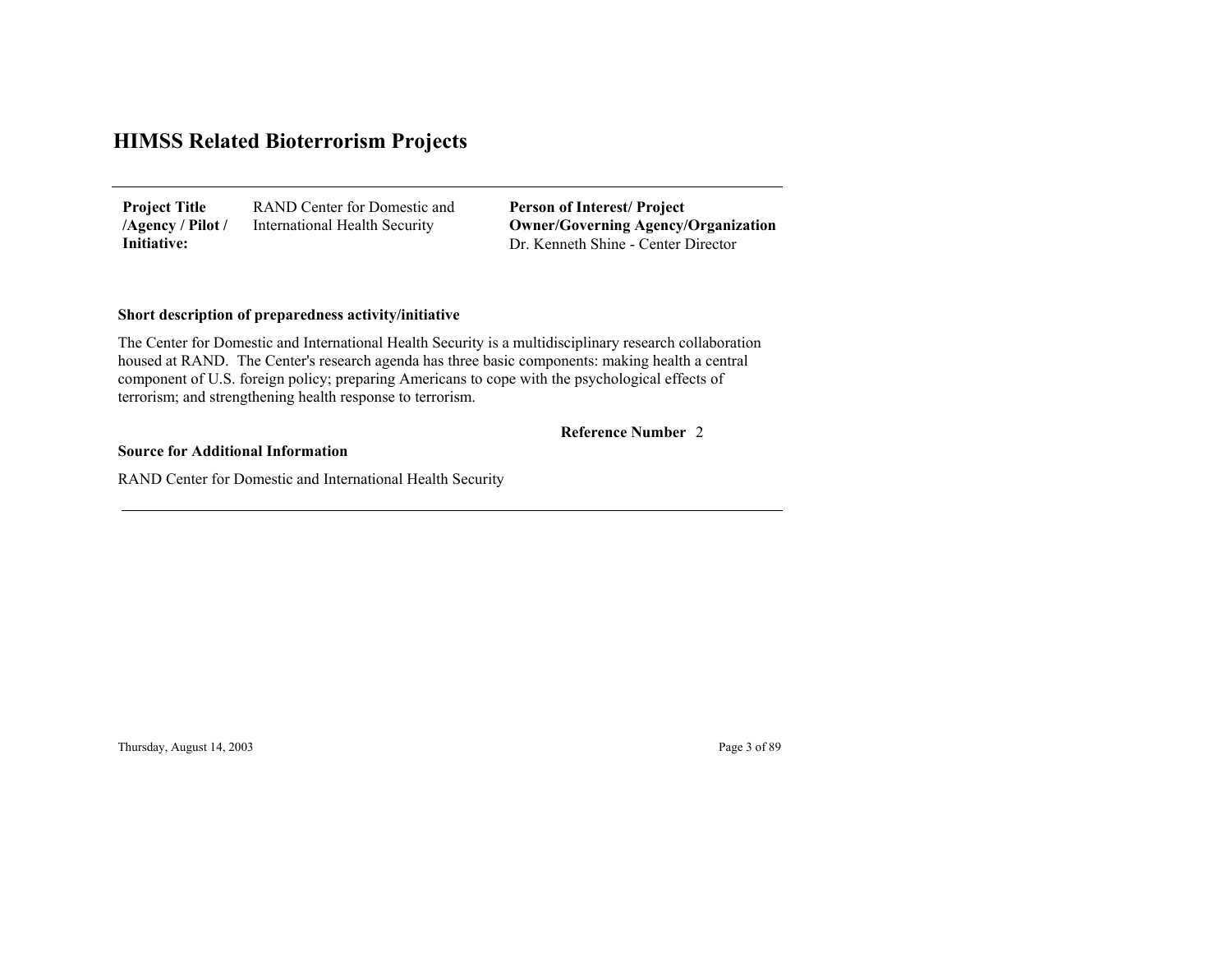RAND Center for Domestic and International Health Security **Project Title /Agency / Pilot / Initiative:**

Dr. Kenneth Shine - Center Director**Person of Interest/ Project Owner/Governing Agenc y/Organization**

### **Short description of preparedness activity/initiative**

The Center for Domestic and International Health Security is a multidisciplinary research collaboration housed at RAND. The Center's research agenda has three basic components: making health a central component of U.S. foreign policy; preparing Americans to cope with the psychological effects of terrorism; and strengthening health response to terrorism.

### 2 **Reference Number**

#### **Source for Additional Information**

RAND Center for Domestic and International Health Security

Thursday, August 14, 2003 Page 3 of 89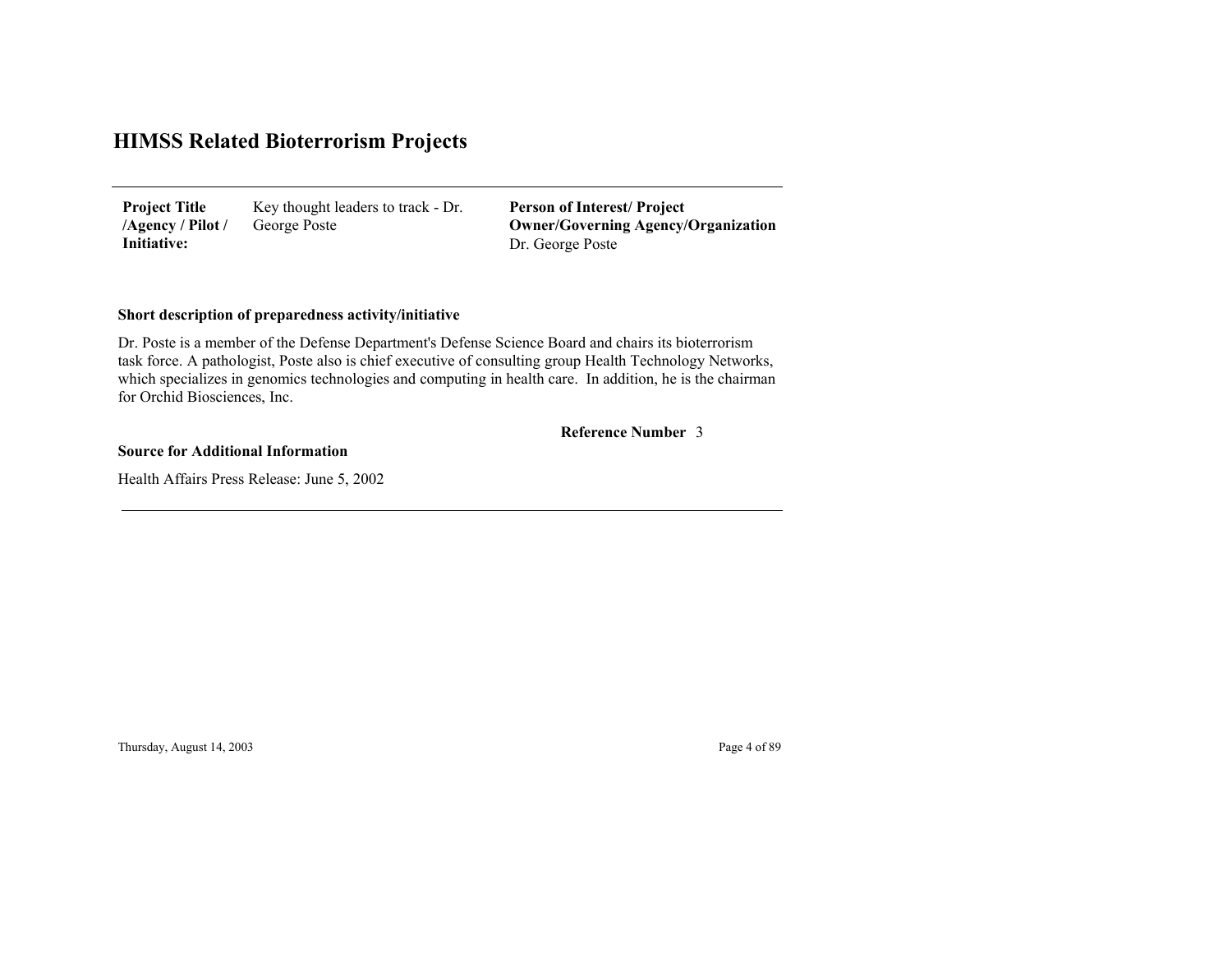Key thought leaders to track - Dr. George Poste **Project Title /Agency / Pilot / Initiative:**

Dr. George Poste **Person of Interest/ Project Owner/Governing Agenc y/Organization**

### **Short description of preparedness activity/initiative**

Dr. Poste is a member of the Defense Department's Defense Science Board and chairs its bioterrorism task force. A pathologist, Poste also is chief executive of consulting group Health Technology Networks, which specializes in genomics technologies and computing in health care. In addition, he is the chairman for Orchid Biosciences, Inc.

#### 3 **Reference Number**

#### **Source for Additional Information**

Health Affairs Press Release: June 5, 2002

Thursday, August 14, 2003 Page 4 of 89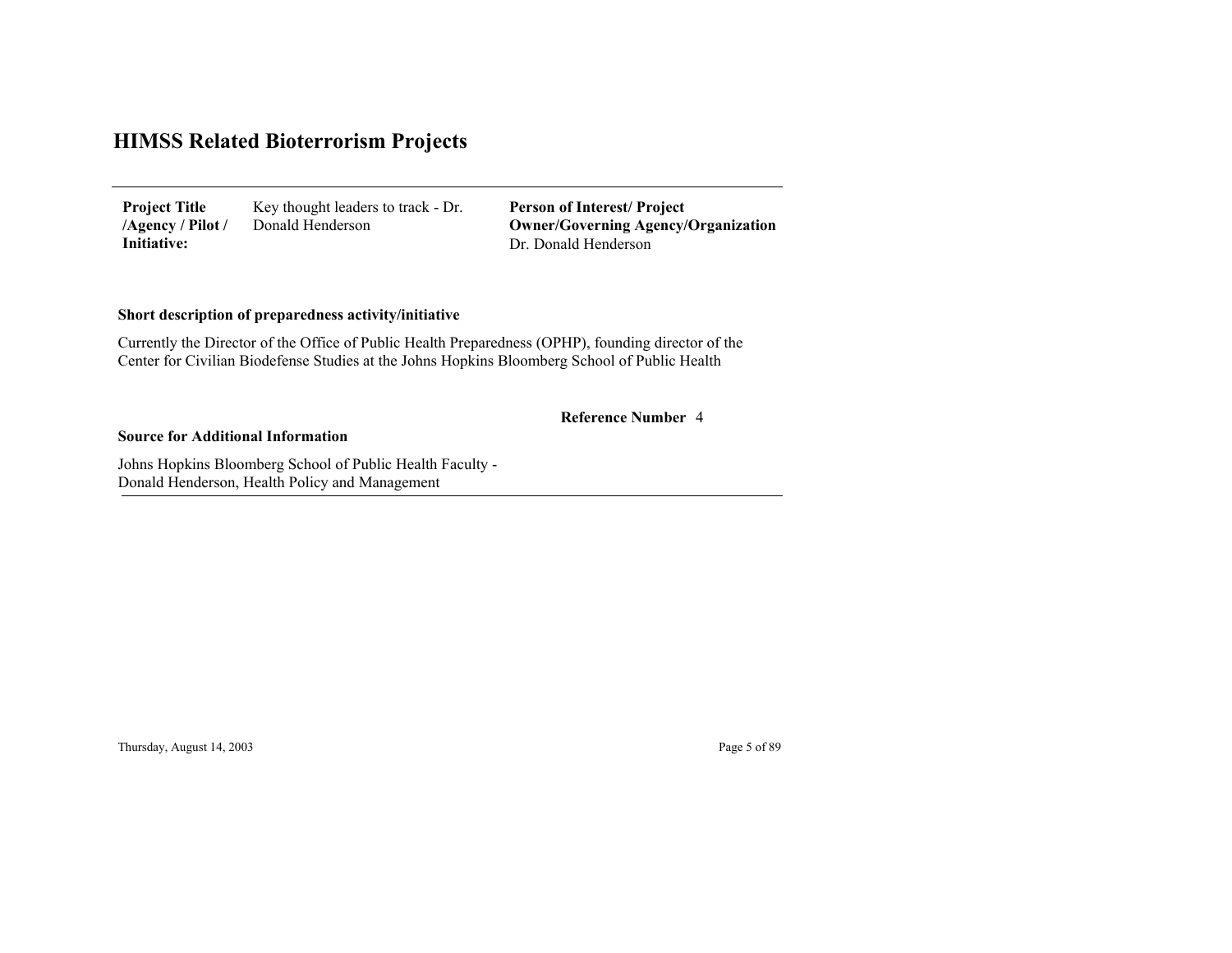Key thought leaders to track - Dr. Donald Henderson **Project Title /Agency / Pilot / Initiative:**

Dr. Donald Henderson**Person of Interest/ Project Owner/Governing Agenc y/Organization**

### **Short description of preparedness activity/initiative**

Currently the Director of the Office of Public Health Preparedness (OPHP), founding director of the Center for Civilian Biodefense Studies at the Johns Hopkins Bloomberg School of Public Health

### 4 **Reference Number**

#### **Source for Additional Information**

Johns Hopkins Bloomberg School of Public Health Faculty - Donald Henderson, Health Polic y and Mana gement

Thursday, August 14, 2003 Page 5 of 89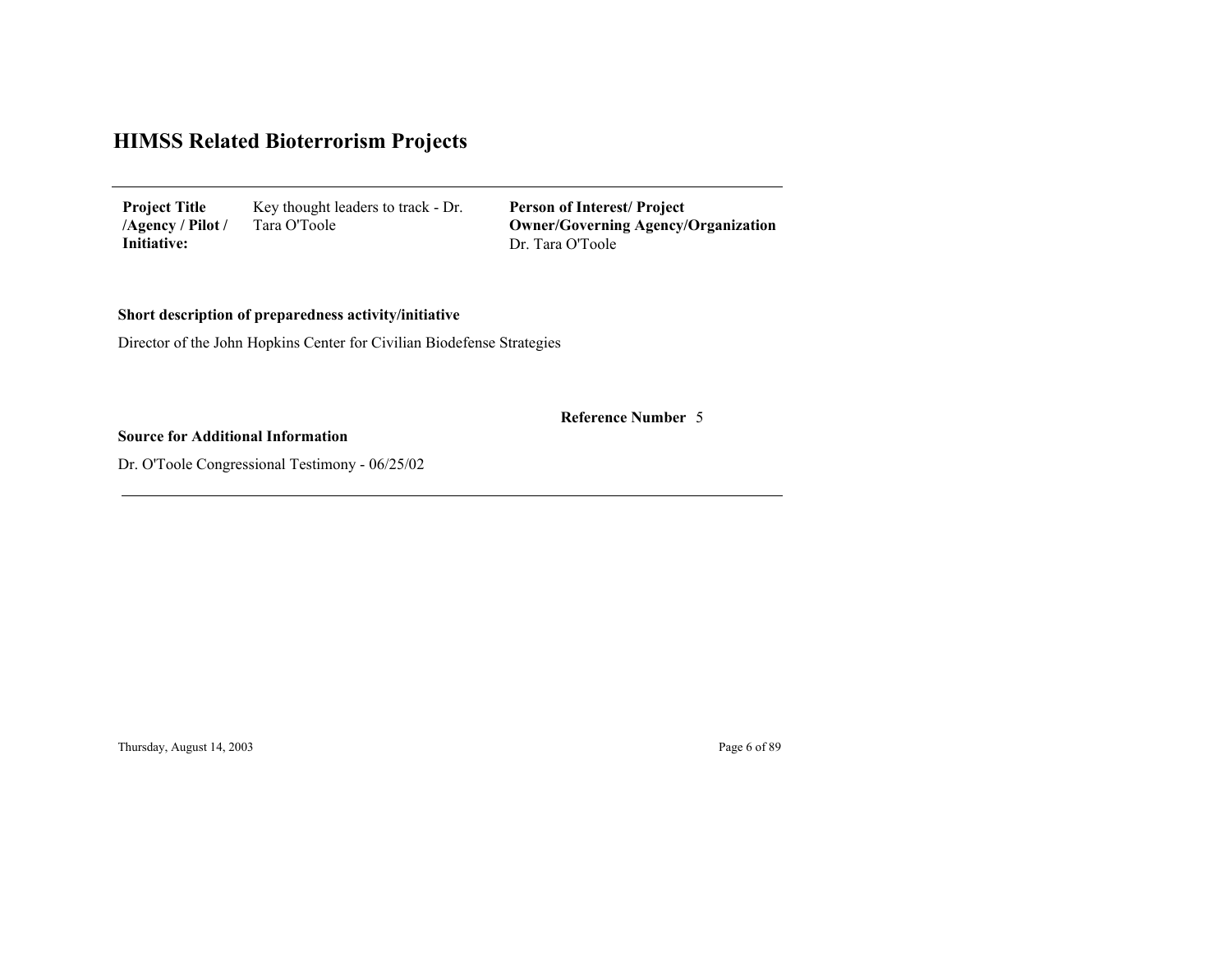Key thought leaders to track - Dr. Tara O'Toole **Project Title /Agency / Pilot / Initiative:**

Dr. Tara O'Toole **Person of Interest/ Project Owner/Governing Agenc y/Organization**

## **Short description of preparedness activity/initiative**

Director of the John Hopkins Center for Civilian Biodefense Strategies

5 **Reference Number**

### **Source for Additional Information**

Dr. O'Toole Congressional Testimony - 06/25/02

Thursday, August 14, 2003 Page 6 of 89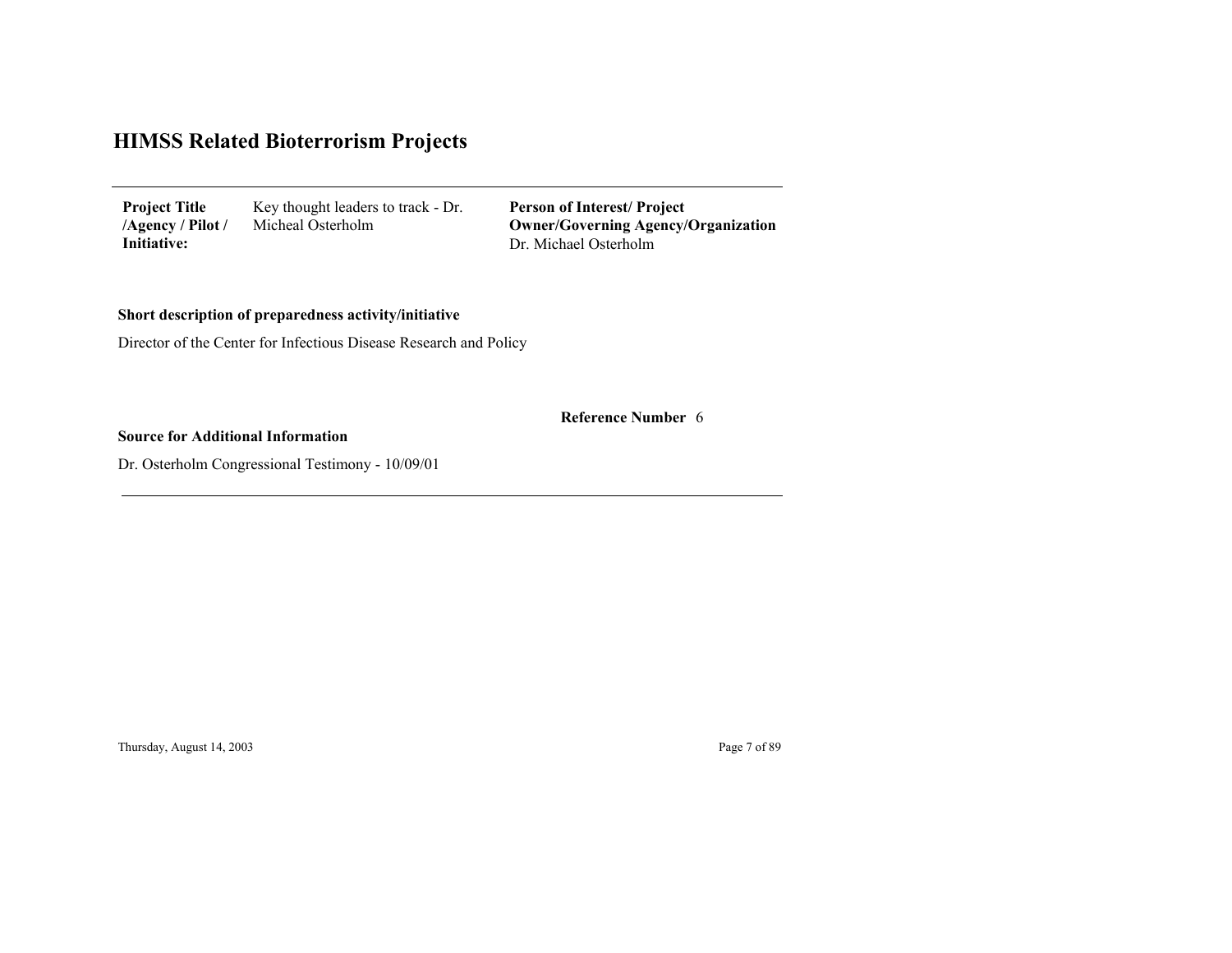| <b>Project Title</b> | Key thought leaders to track - Dr. |
|----------------------|------------------------------------|
| /Agency / Pilot /    | Micheal Osterholm                  |
| Initiative:          |                                    |

Dr. Michael Osterholm**Person of Interest/ Project Owner/Governing Agenc y/Organization**

# **Short description of preparedness activity/initiative**

Director of the Center for Infectious Disease Research and Policy

6 **Reference Number**

### **Source for Additional Information**

Dr. Osterholm Congressional Testimony - 10/09/01

Thursday, August 14, 2003 Page 7 of 89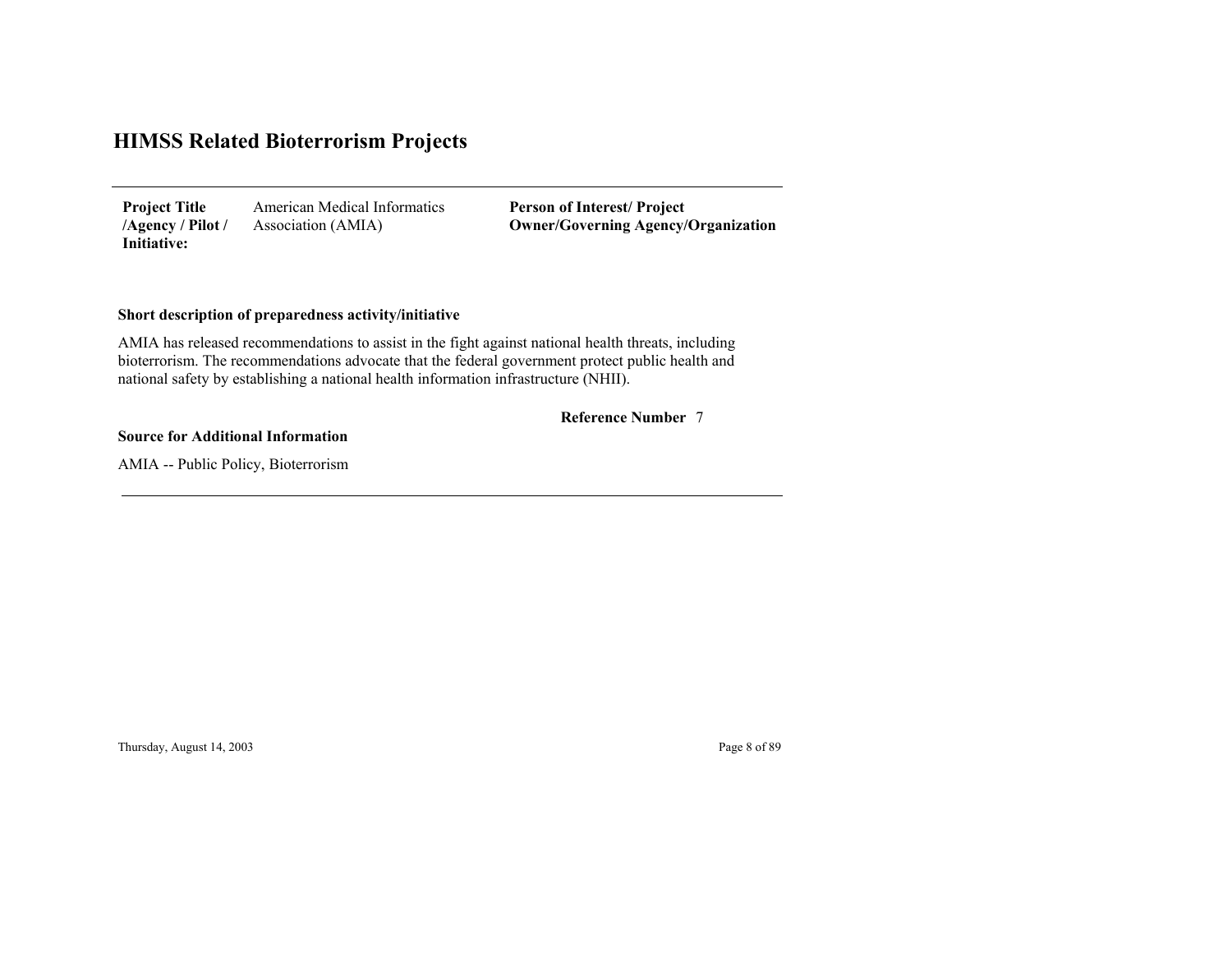American Medical Informatics Association (AMIA) **Project Title /Agency / Pilot / Initiative:**

**Person of Interest/ Project Owner/Governing Agenc y/Organization**

### **Short description of preparedness activity/initiative**

AMIA has released recommendations to assist in the fight against national health threats, including bioterrorism. The recommendations advocate that the federal government protect public health and national safety by establishing a national health information infrastructure (NHII).

#### 7 **Reference Number**

#### **Source for Additional Information**

AMIA -- Public Policy, Bioterrorism

Thursday, August 14, 2003 Page 8 of 89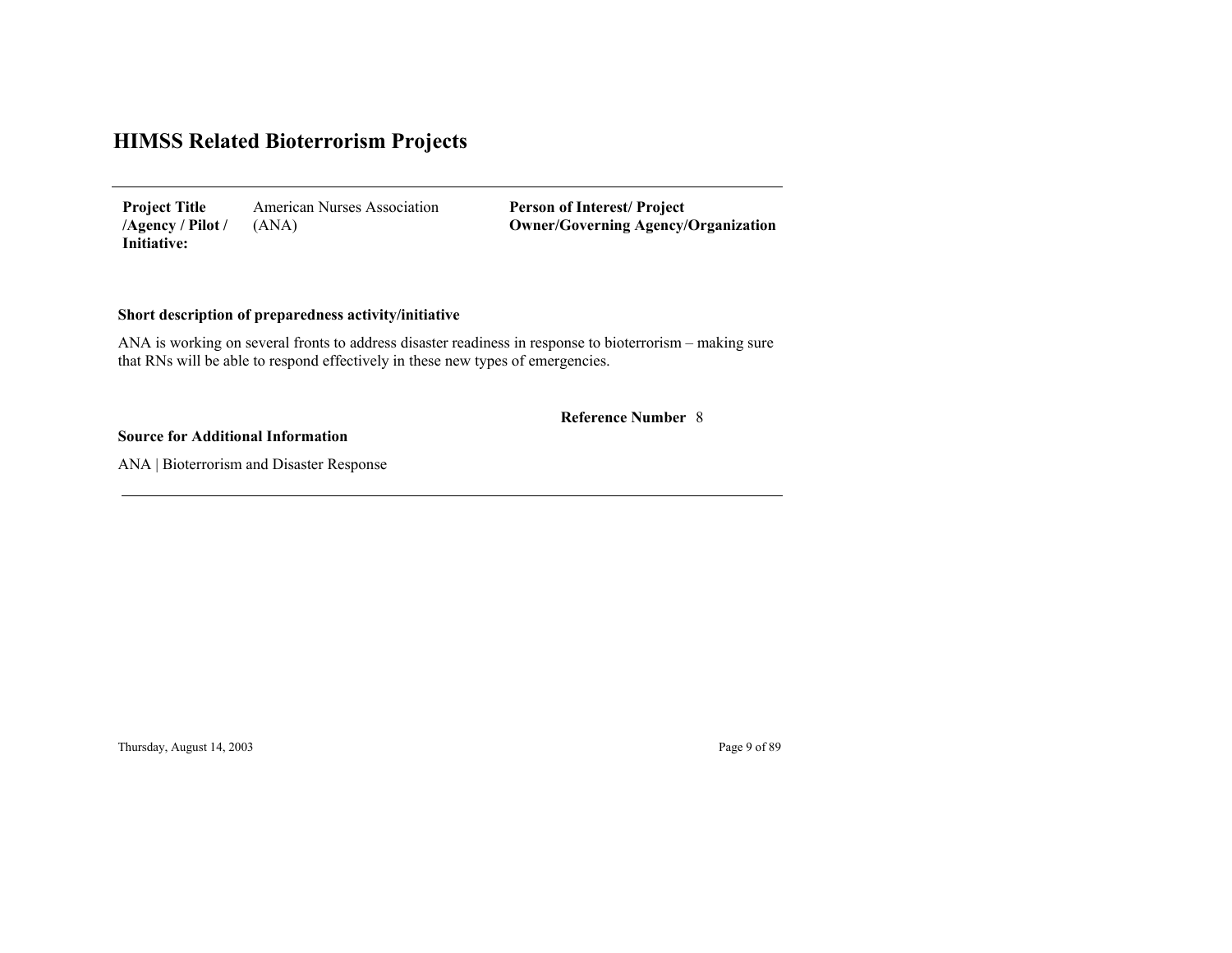American Nurses Association (ANA) **Project Title /Agency / Pilot / Initiative:**

**Person of Interest/ Project Owner/Governing Agenc y/Organization**

# **Short description of preparedness activity/initiative**

ANA is working on several fronts to address disaster readiness in response to bioterrorism – making sure that RNs will be able to respond effectively in these new types of emergencies.

#### 8 **Reference Number**

#### **Source for Additional Information**

ANA | Bioterrorism and Disaster Response

Thursday, August 14, 2003 Page 9 of 89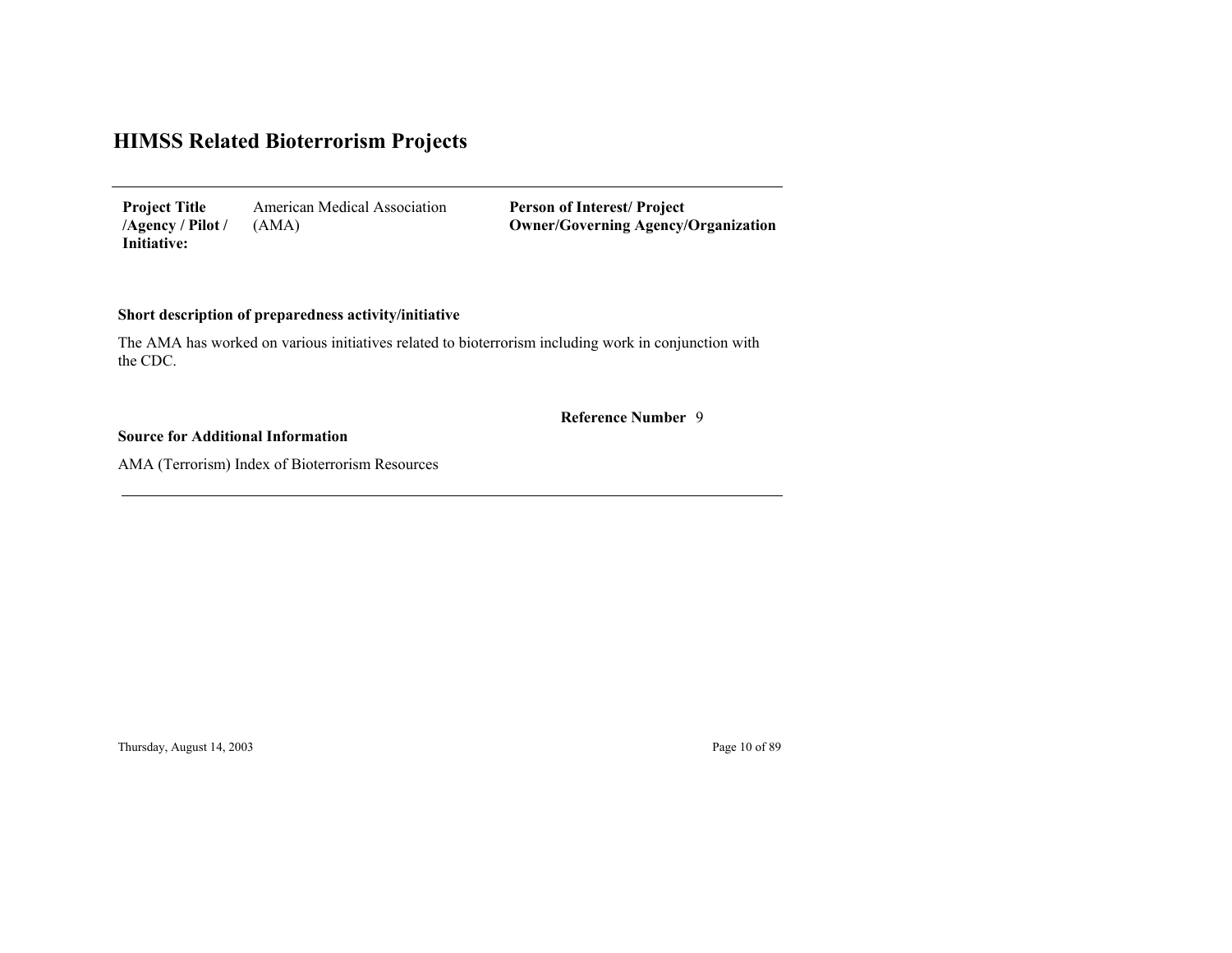American Medical Association (AMA) **Project Title /Agency / Pilot / Initiative:**

**Person of Interest/ Project Owner/Governing Agenc y/Organization**

### **Short description of preparedness activity/initiative**

The AMA has worked on various initiatives related to bioterrorism including work in conjunction with the CDC.

9 **Reference Number**

### **Source for Additional Information**

AMA (Terrorism) Index of Bioterrorism Resources

Thursday, August 14, 2003 Page 10 of 89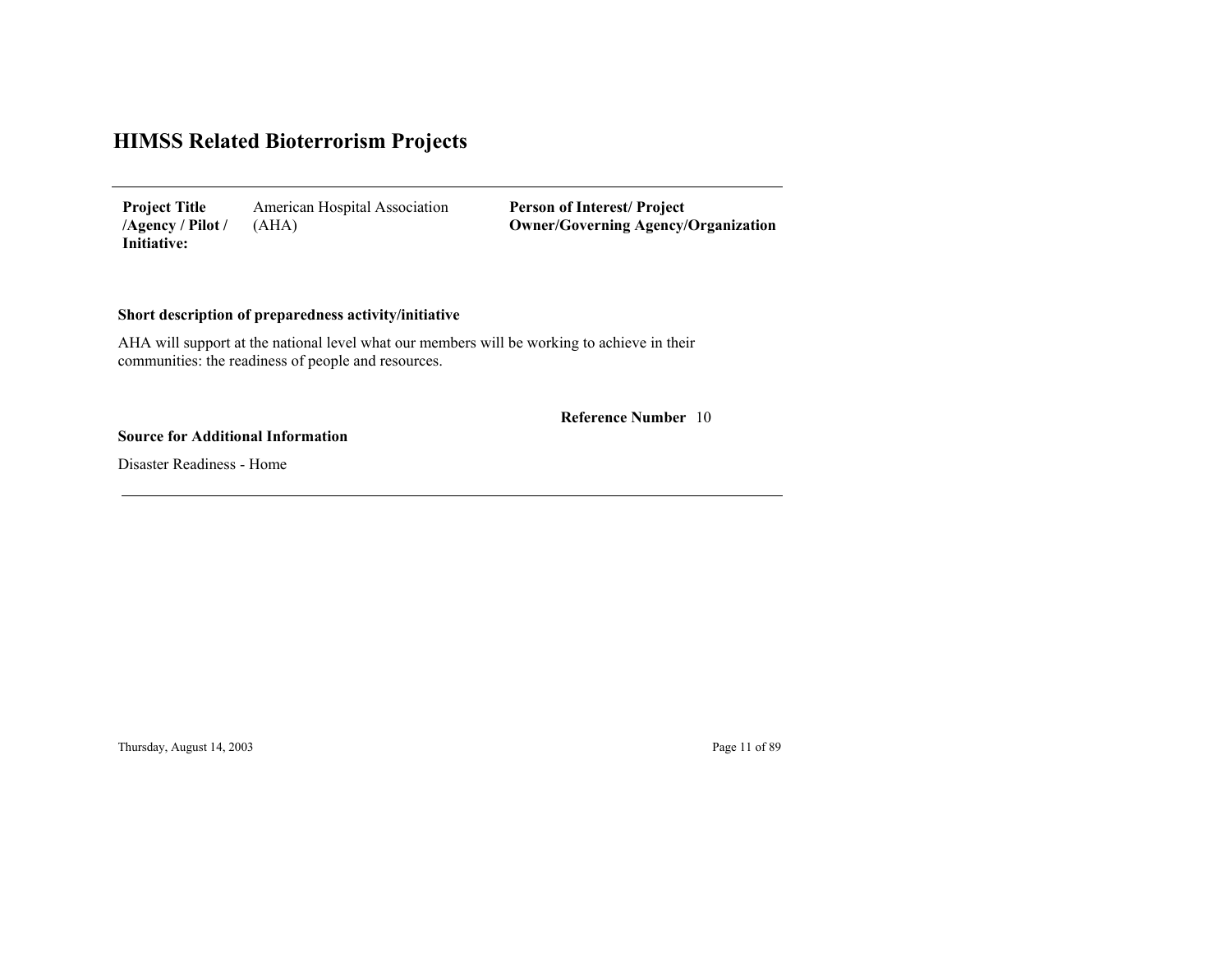American Hospital Association (AHA) **Project Title /Agency / Pilot / Initiative:**

**Person of Interest/ Project Owner/Governing Agenc y/Organization**

## **Short description of preparedness activity/initiative**

AHA will support at the national level what our members will be working to achieve in their communities: the readiness of people and resources.

10 **Reference Number**

#### **Source for Additional Information**

Disaster Readiness - Home

Thursday, August 14, 2003 Page 11 of 89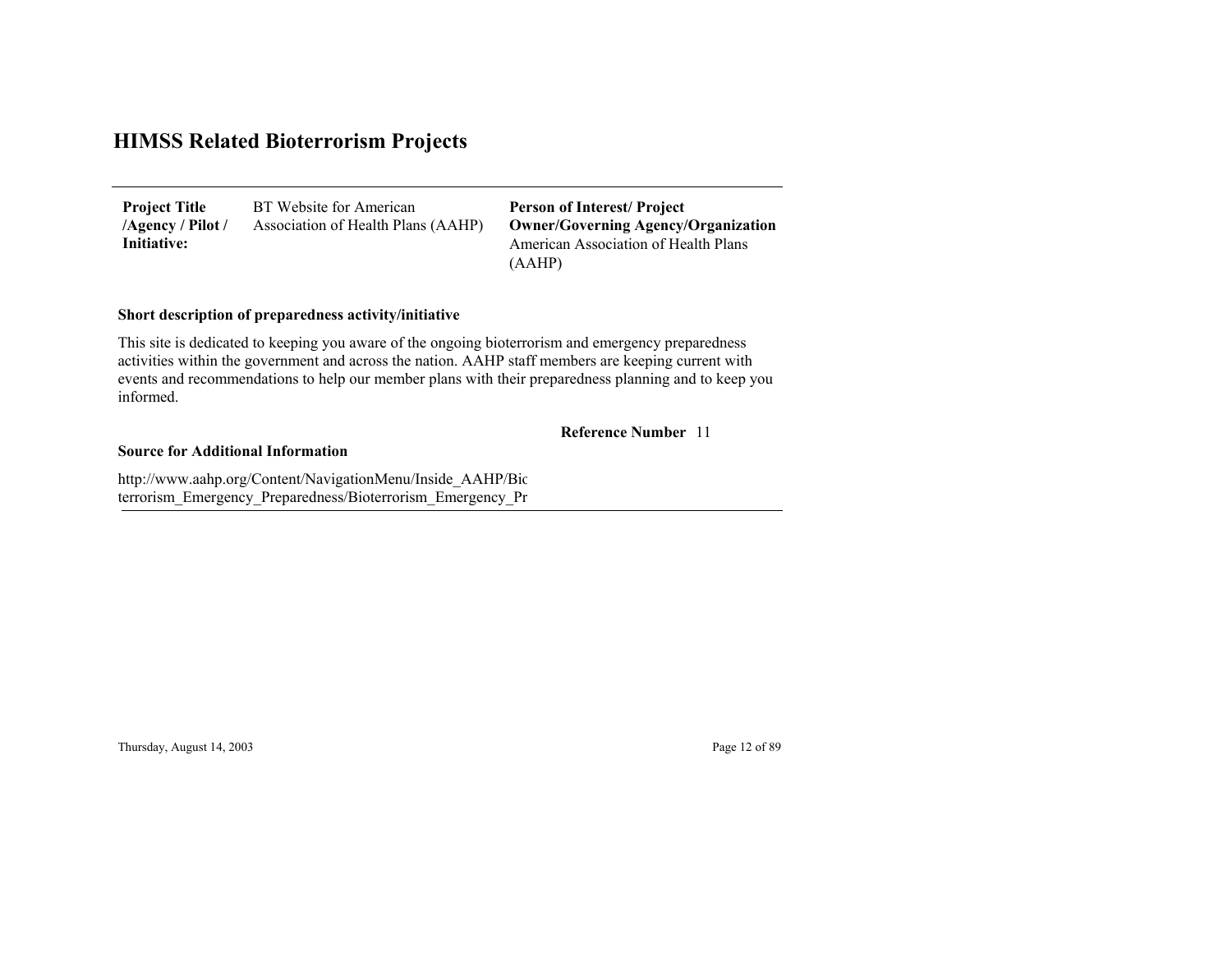BT Website for American Association of Health Plans (AAHP) **Project Title /Agency / Pilot / Initiative:**

American Association of Health Plans (AAHP) **Person of Interest/ Project Owner/Governing Agenc y/Organization**

### **Short description of preparedness activity/initiative**

This site is dedicated to keeping you aware of the ongoing bioterrorism and emergency preparedness activities within the government and across the nation. AAHP staff members are keeping current with events and recommendations to help our member plans with their preparedness planning and to keep you informed.

#### **Reference Number** 11

#### **Source for Additional Information**

http://www.aahp.org/Content/NavigationMenu/Inside\_AAHP/Bio terrorism\_Emer gency\_Pre paredness/Bioterrorism\_Emer gency\_ Pr

Thursday, August 14, 2003 Page 12 of 89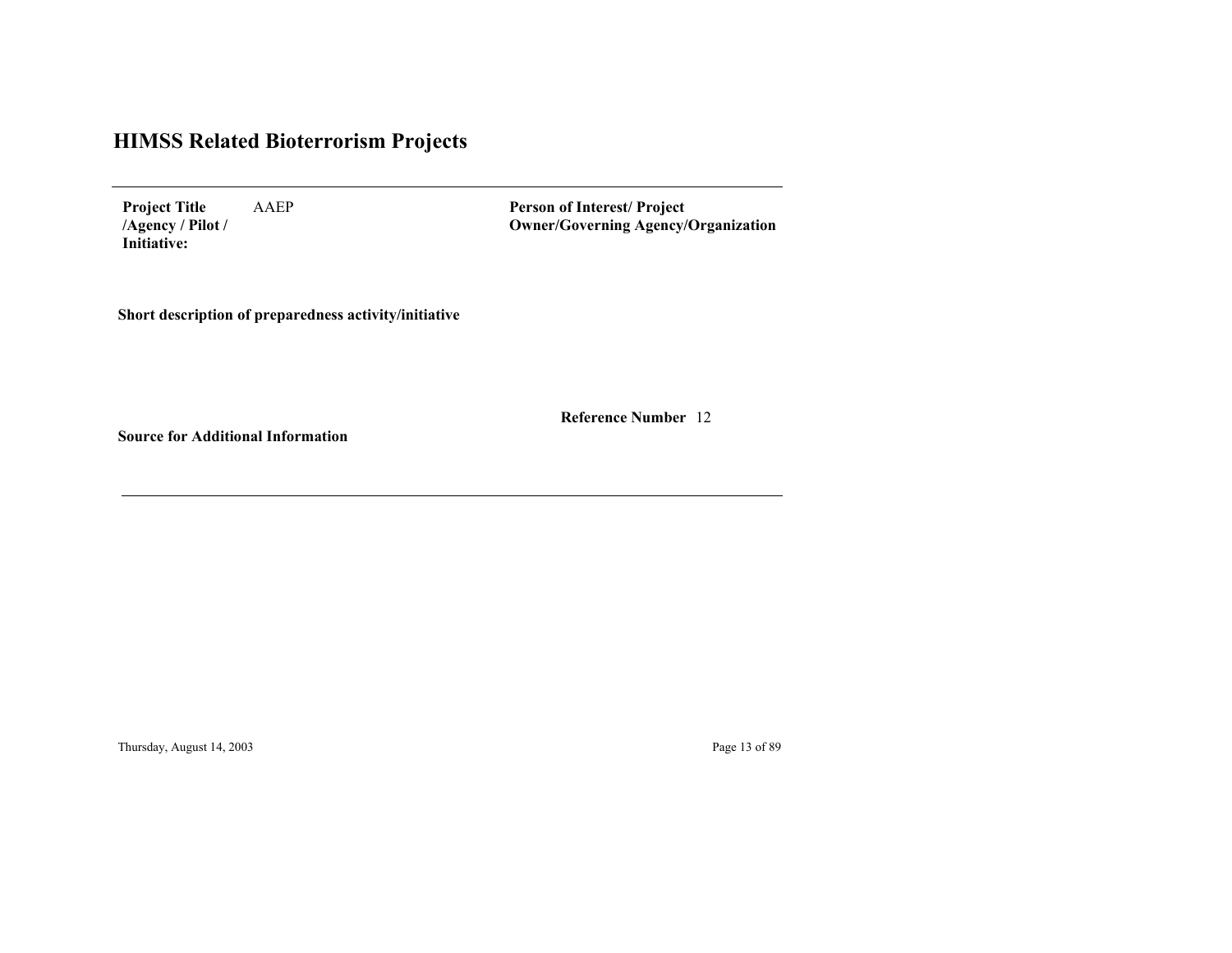AAEP **Project Title /Agency / Pilot / Initiative:**

**Person of Interest/ Project Owner/Governing Agenc y/Organization**

**Short description of preparedness activity/initiative**

12 **Reference Number**

**Source for Additional Information**

Thursday, August 14, 2003 Page 13 of 89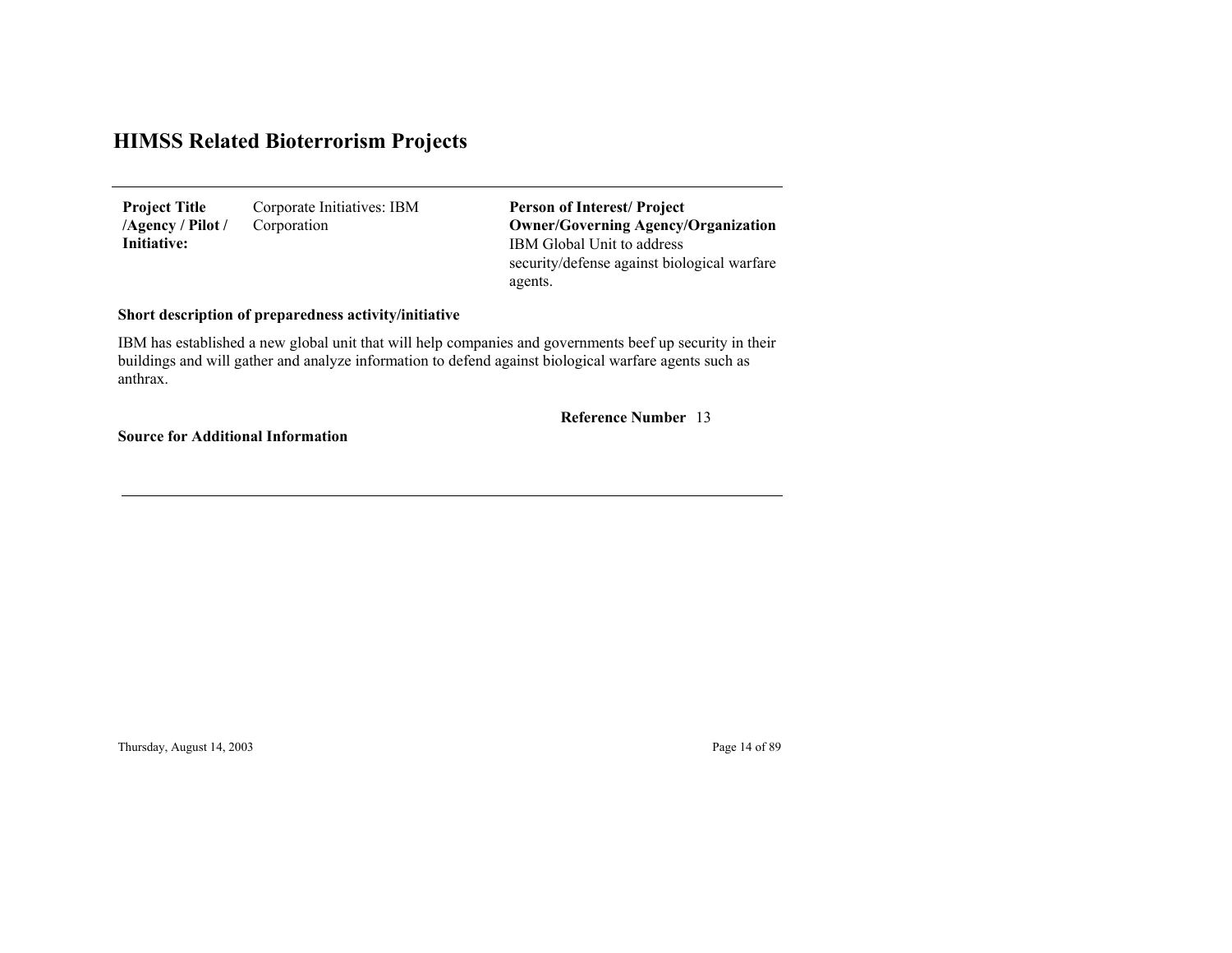Corporate Initiatives: IBM Corporation **Project Title /Agency / Pilot / Initiative:**

IBM Global Unit to address security/defense against biological warfare agents. **Person of Interest/ Project Owner/Governing Agenc y/Organization**

### **Short description of preparedness activity/initiative**

IBM has established a new global unit that will help companies and governments beef up security in their buildings and will gather and analyze information to defend against biological warfare agents such as anthrax.

13 **Reference Number**

**Source for Additional Information**

Thursday, August 14, 2003 Page 14 of 89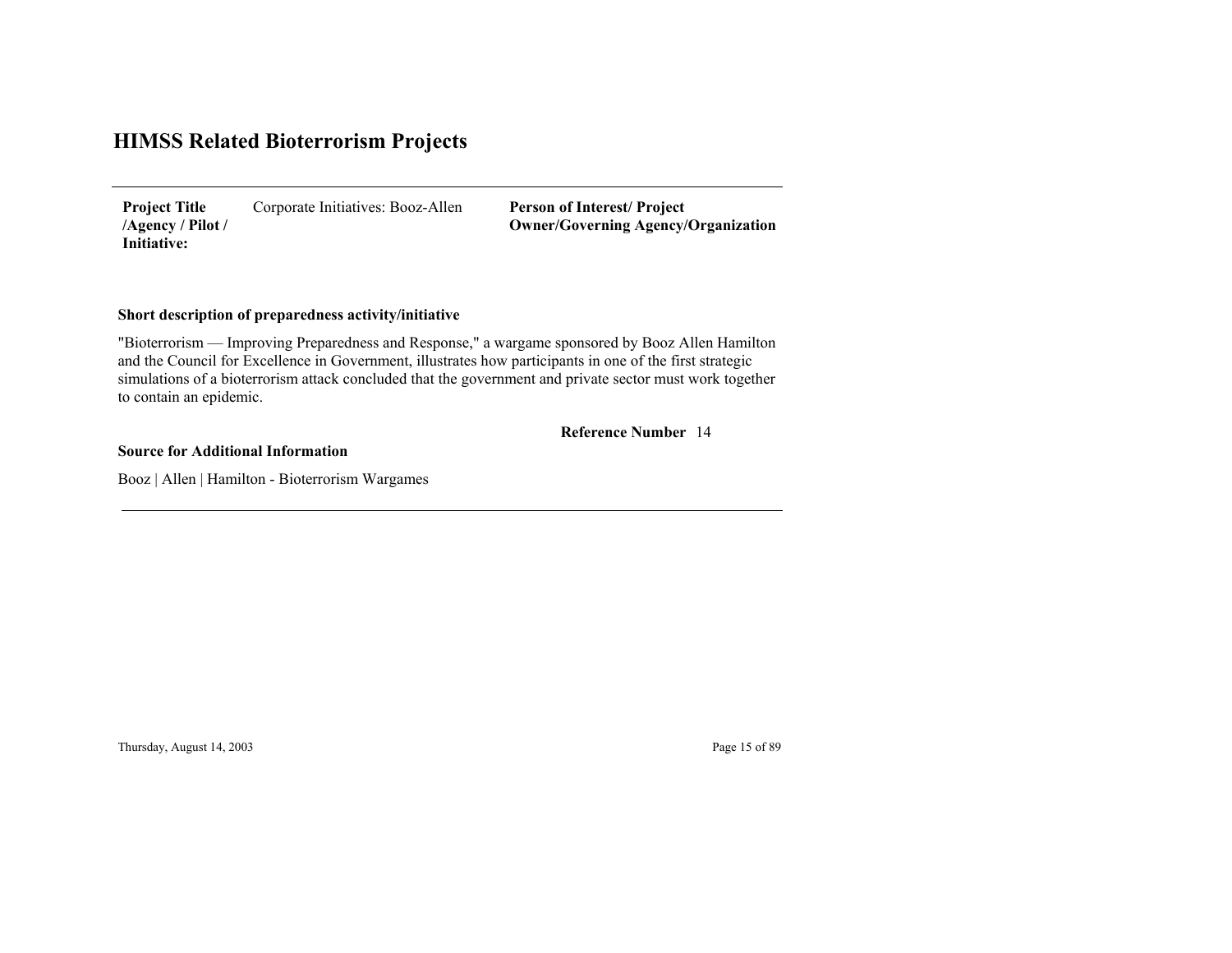Corporate Initiatives: Booz-Allen **Project Title /Agency / Pilot / Initiative:**

**Person of Interest/ Project Owner/Governing Agenc y/Organization**

### **Short description of preparedness activity/initiative**

"Bioterrorism — Improving Preparedness and Response," a wargame sponsored by Booz Allen Hamilton and the Council for Excellence in Government, illustrates how participants in one of the first strategic simulations of a bioterrorism attack concluded that the government and private sector must work together to contain an epidemic.

#### 14 **Reference Number**

**Source for Additional Information**

Booz | Allen | Hamilton - Bioterrorism Wargames

Thursday, August 14, 2003 Page 15 of 89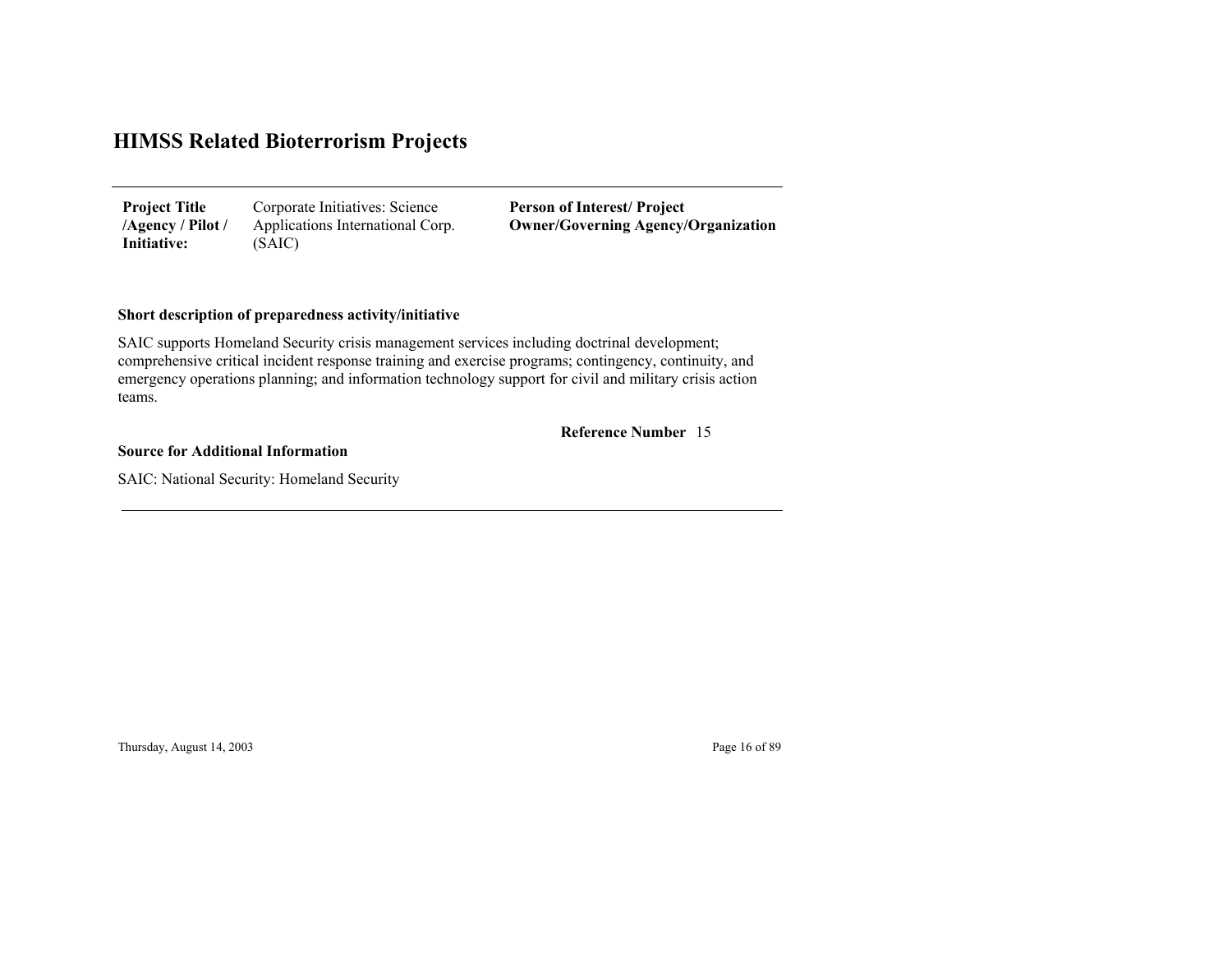| <b>Project Title</b> | Corporate Initiatives: Science   |
|----------------------|----------------------------------|
| /Agency / Pilot /    | Applications International Corp. |
| Initiative:          | (SAIC)                           |

**Person of Interest/ Project Owner/Governing Agenc y/Organization**

### **Short description of preparedness activity/initiative**

SAIC supports Homeland Security crisis management services including doctrinal development; comprehensive critical incident response training and exercise programs; contingency, continuity, and emergency operations planning; and information technology support for civil and military crisis action teams.

### 15 **Reference Number**

**Source for Additional Information**

SAIC: National Security: Homeland Security

Thursday, August 14, 2003 Page 16 of 89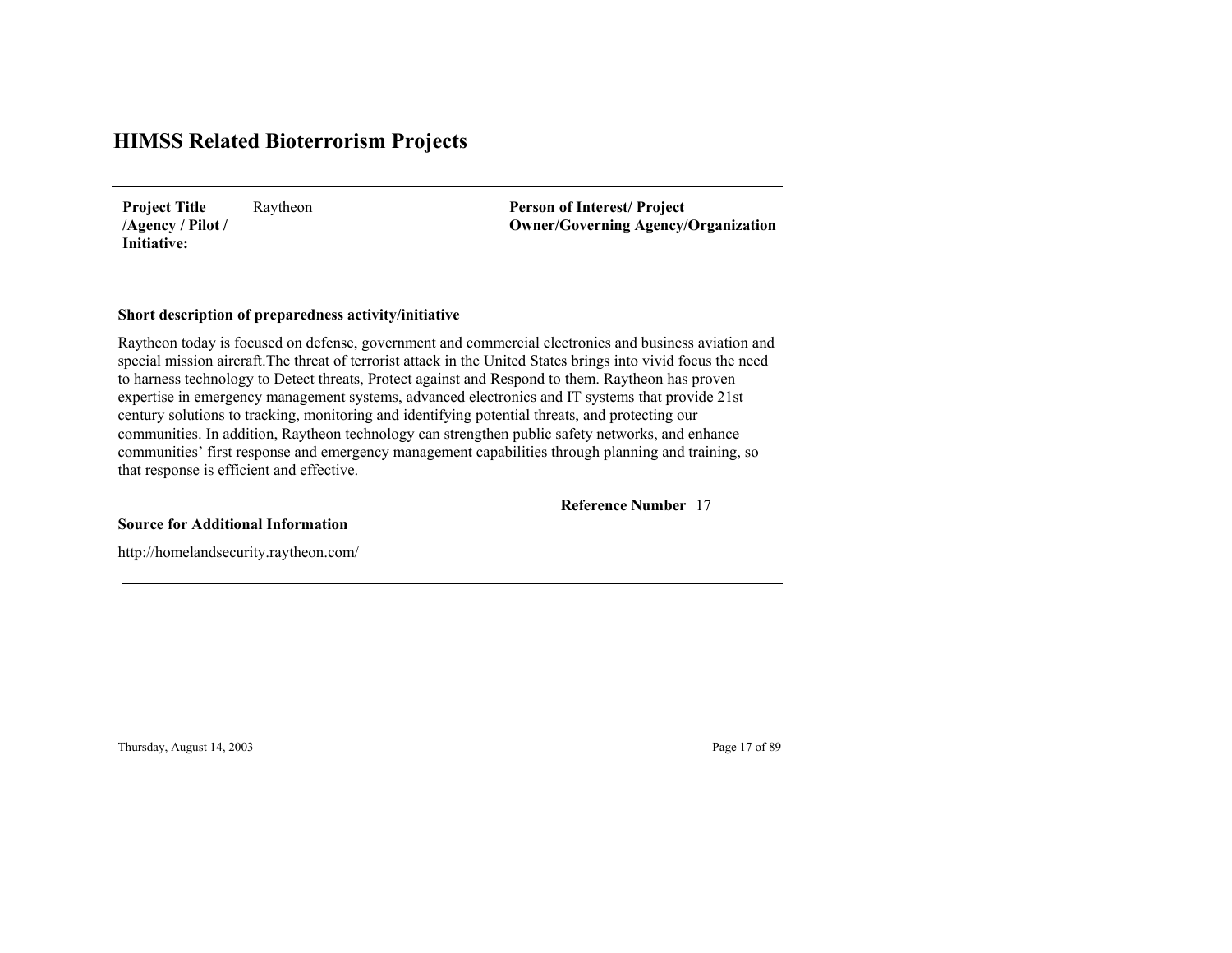Raytheon **Project Title /Agency / Pilot / Initiative:**

**Person of Interest/ Project Owner/Governing Agenc y/Organization**

#### **Short description of preparedness activity/initiative**

Raytheon today is focused on defense, government and commercial electronics and business aviation and special mission aircraft.The threat of terrorist attack in the United States brings into vivid focus the need to harness technology to Detect threats, Protect against and Respond to them. Raytheon has proven expertise in emergency management systems, advanced electronics and IT systems that provide 21st century solutions to tracking, monitoring and identifying potential threats, and protecting our communities. In addition, Raytheon technology can strengthen public safety networks, and enhance communities' first response and emergency management capabilities through planning and training, so that response is efficient and effective.

17**Reference Number**

**Source for Additional Information**

http://homelandsecurity.raytheon.com/

Thursday, August 14, 2003 Page 17 of 89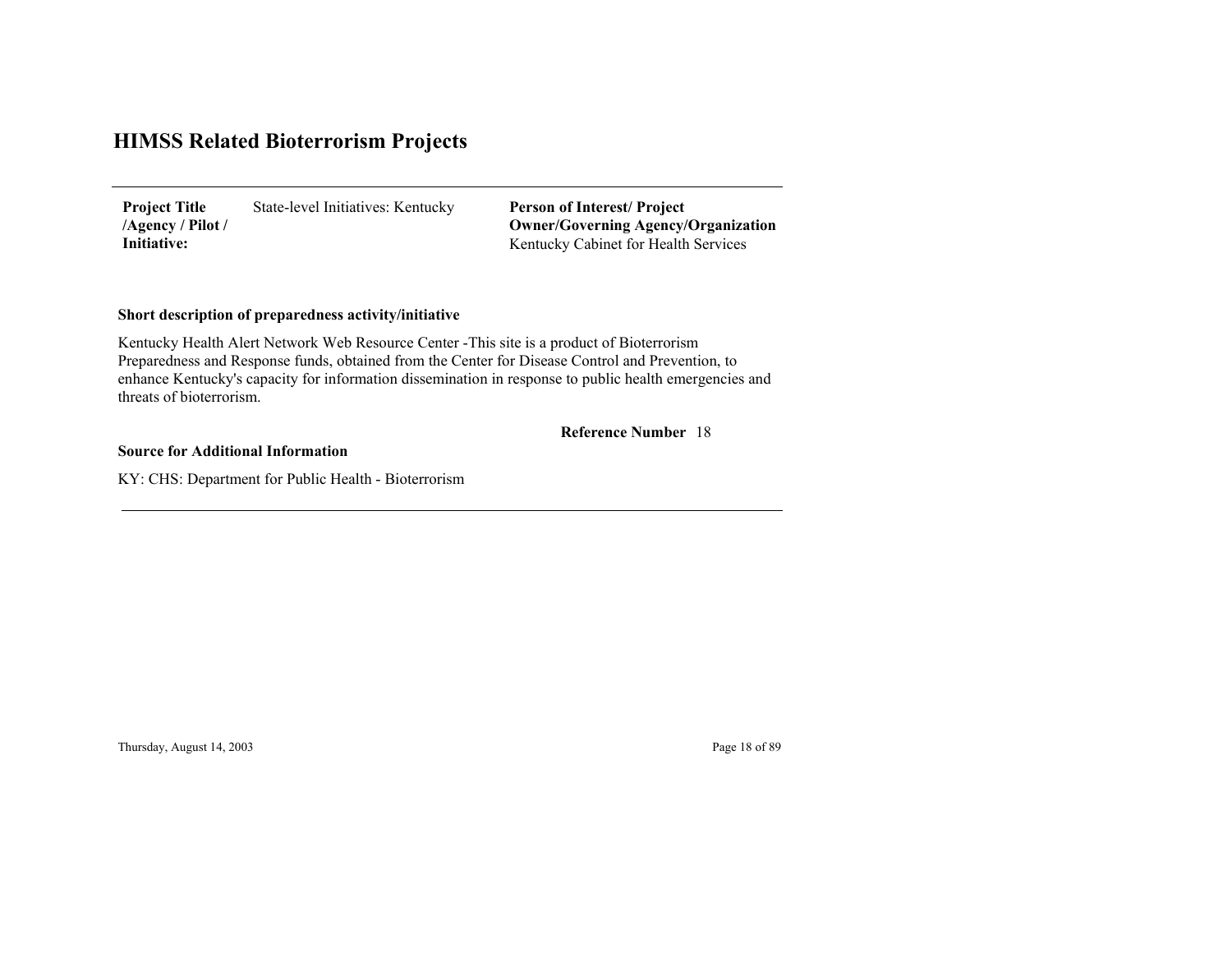State-level Initiatives: Kentucky **Project Title /Agency / Pilot / Initiative:**

Kentucky Cabinet for Health Services **Person of Interest/ Project Owner/Governing Agenc y/Organization**

### **Short description of preparedness activity/initiative**

Kentucky Health Alert Network Web Resource Center -This site is a product of Bioterrorism Preparedness and Response funds, obtained from the Center for Disease Control and Prevention, to enhance Kentucky's capacity for information dissemination in response to public health emergencies and threats of bioterrorism.

#### 18 **Reference Number**

**Source for Additional Information**

KY: CHS: Department for Public Health - Bioterrorism

Thursday, August 14, 2003 Page 18 of 89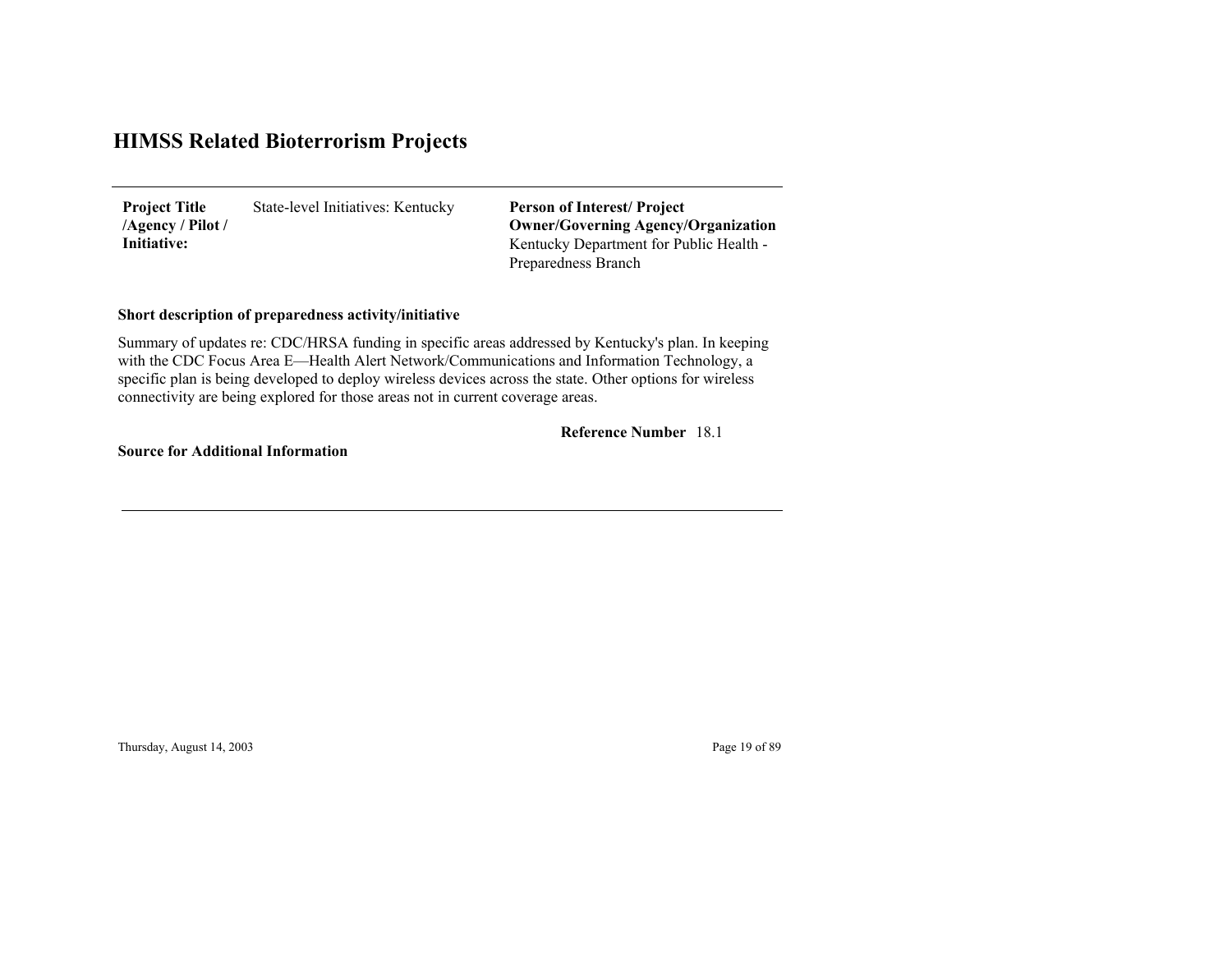State-level Initiatives: Kentucky **Project Title /Agency / Pilot / Initiative:**

Kentucky Department for Public Health - Preparedness Branch **Person of Interest/ Project Owner/Governing Agenc y/Organization**

### **Short description of preparedness activity/initiative**

Summary of updates re: CDC/HRSA funding in specific areas addressed by Kentucky's plan. In keeping with the CDC Focus Area E—Health Alert Network/Communications and Information Technology, a specific plan is being developed to deploy wireless devices across the state. Other options for wireless connectivity are being explored for those areas not in current coverage areas.

#### 18.1 **Reference Number**

**Source for Additional Information**

Thursday, August 14, 2003 Page 19 of 89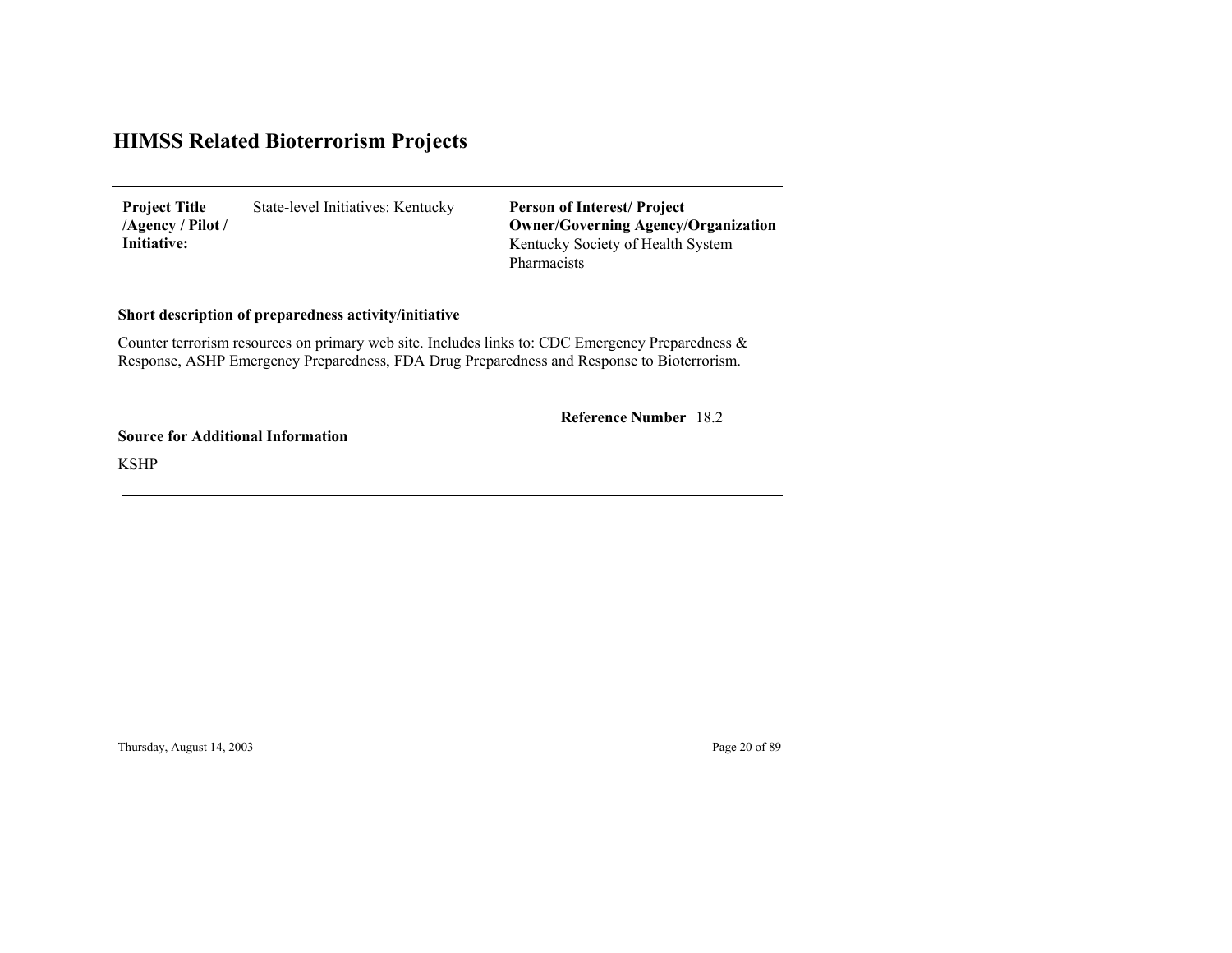State-level Initiatives: Kentucky **Project Title /Agency / Pilot / Initiative:**

Kentucky Society of Health System Pharmacists **Person of Interest/ Project Owner/Governing Agenc y/Organization**

### **Short description of preparedness activity/initiative**

Counter terrorism resources on primary web site. Includes links to: CDC Emergency Preparedness & Response, ASHP Emergency Preparedness, FDA Drug Preparedness and Response to Bioterrorism.

18.2 **Reference Number**

**Source for Additional Information**

KSHP

Thursday, August 14, 2003 Page 20 of 89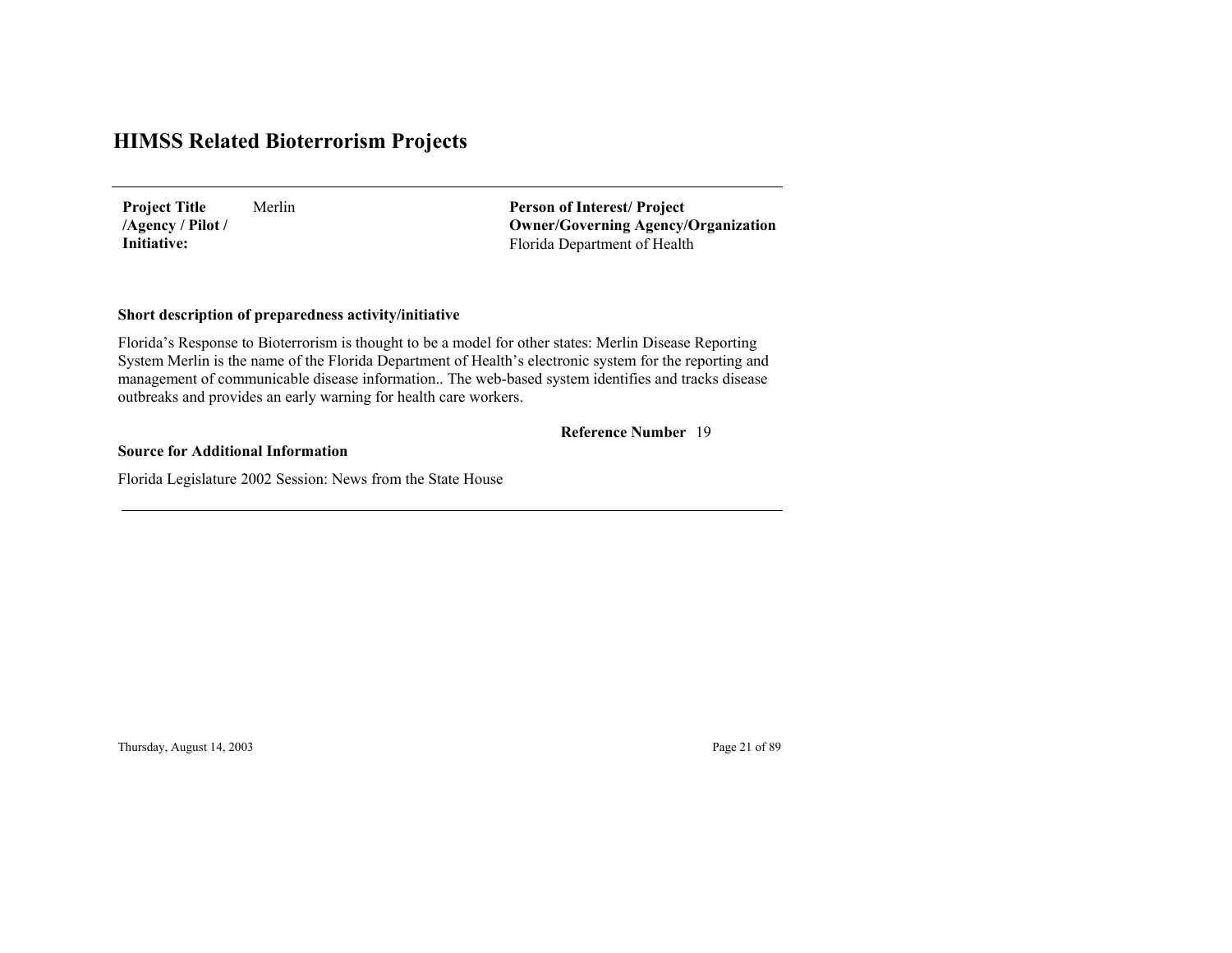Merlin**Project Title /Agency / Pilot / Initiative:**

Florida Department of Health **Person of Interest/ Project Owner/Governing Agenc y/Organization**

### **Short description of preparedness activity/initiative**

Florida's Response to Bioterrorism is thought to be a model for other states: Merlin Disease Reporting System Merlin is the name of the Florida Department of Health's electronic system for the reporting and management of communicable disease information.. The web-based system identifies and tracks disease outbreaks and provides an early warning for health care workers.

#### 19 **Reference Number**

#### **Source for Additional Information**

Florida Legislature 2002 Session: News from the State House

Thursday, August 14, 2003 Page 21 of 89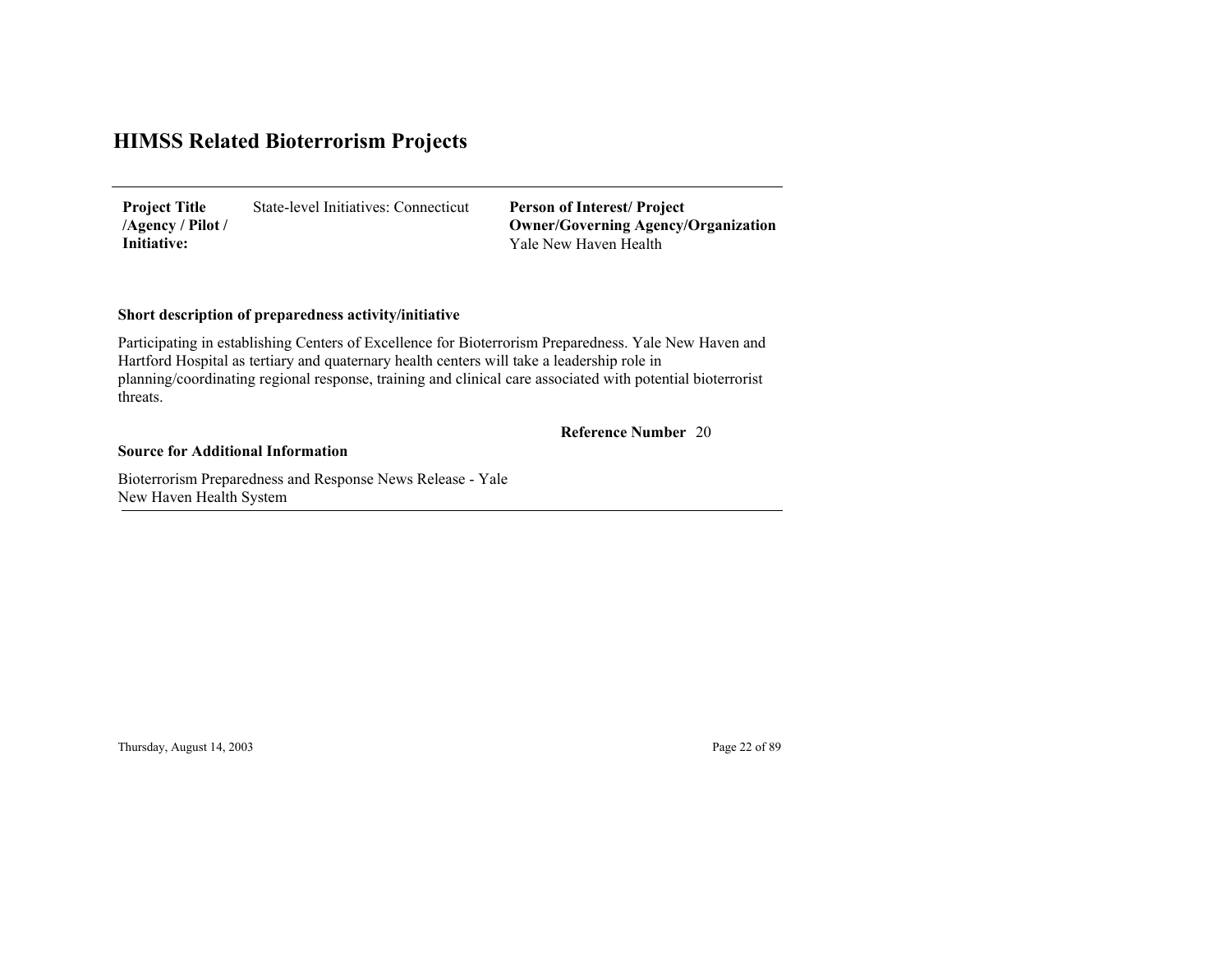State-level Initiatives: Connecticut**Project Title /Agency / Pilot / Initiative:**

Yale New Haven Health**Person of Interest/ Project Owner/Governing Agenc y/Organization**

### **Short description of preparedness activity/initiative**

Participating in establishing Centers of Excellence for Bioterrorism Preparedness. Yale New Haven and Hartford Hospital as tertiary and quaternary health centers will take a leadership role in planning/coordinating regional response, training and clinical care associated with potential bioterrorist threats.

#### 20 **Reference Number**

#### **Source for Additional Information**

Bioterrorism Preparedness and Response News Release - Yale New Haven Health S yste m

Thursday, August 14, 2003 Page 22 of 89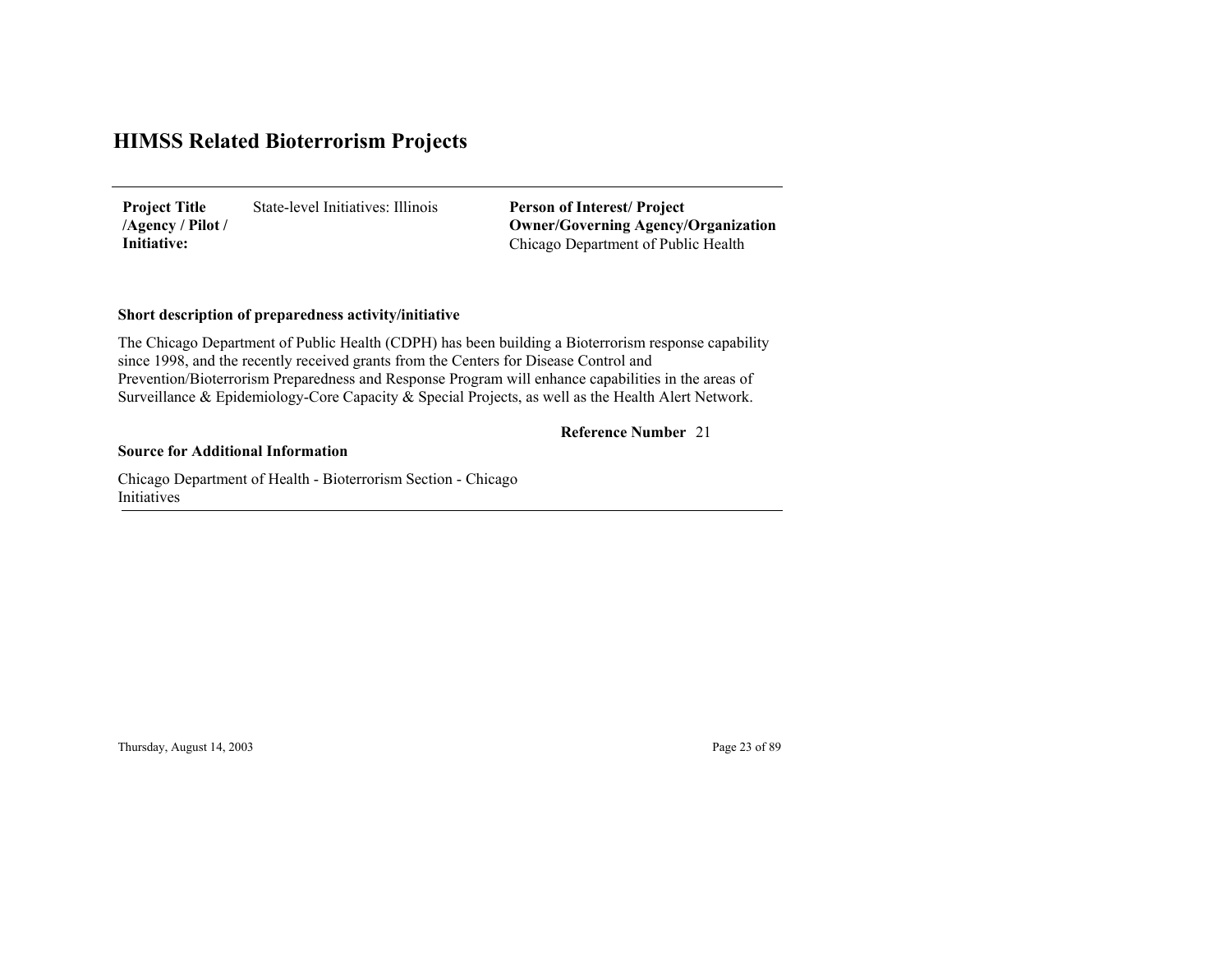State-level Initiatives: Illinois**Project Title /Agency / Pilot / Initiative:**

Chicago Department of Public Health **Person of Interest/ Project Owner/Governing Agenc y/Organization**

### **Short description of preparedness activity/initiative**

The Chicago Department of Public Health (CDPH) has been building a Bioterrorism response capability since 1998, and the recently received grants from the Centers for Disease Control and Prevention/Bioterrorism Preparedness and Response Program will enhance capabilities in the areas of Surveillance & Epidemiology-Core Capacity & Special Projects, as well as the Health Alert Network.

### **Reference Number** 21

#### **Source for Additional Information**

Chicago Department of Health - Bioterrorism Section - Chicago Initiatives

Thursday, August 14, 2003 Page 23 of 89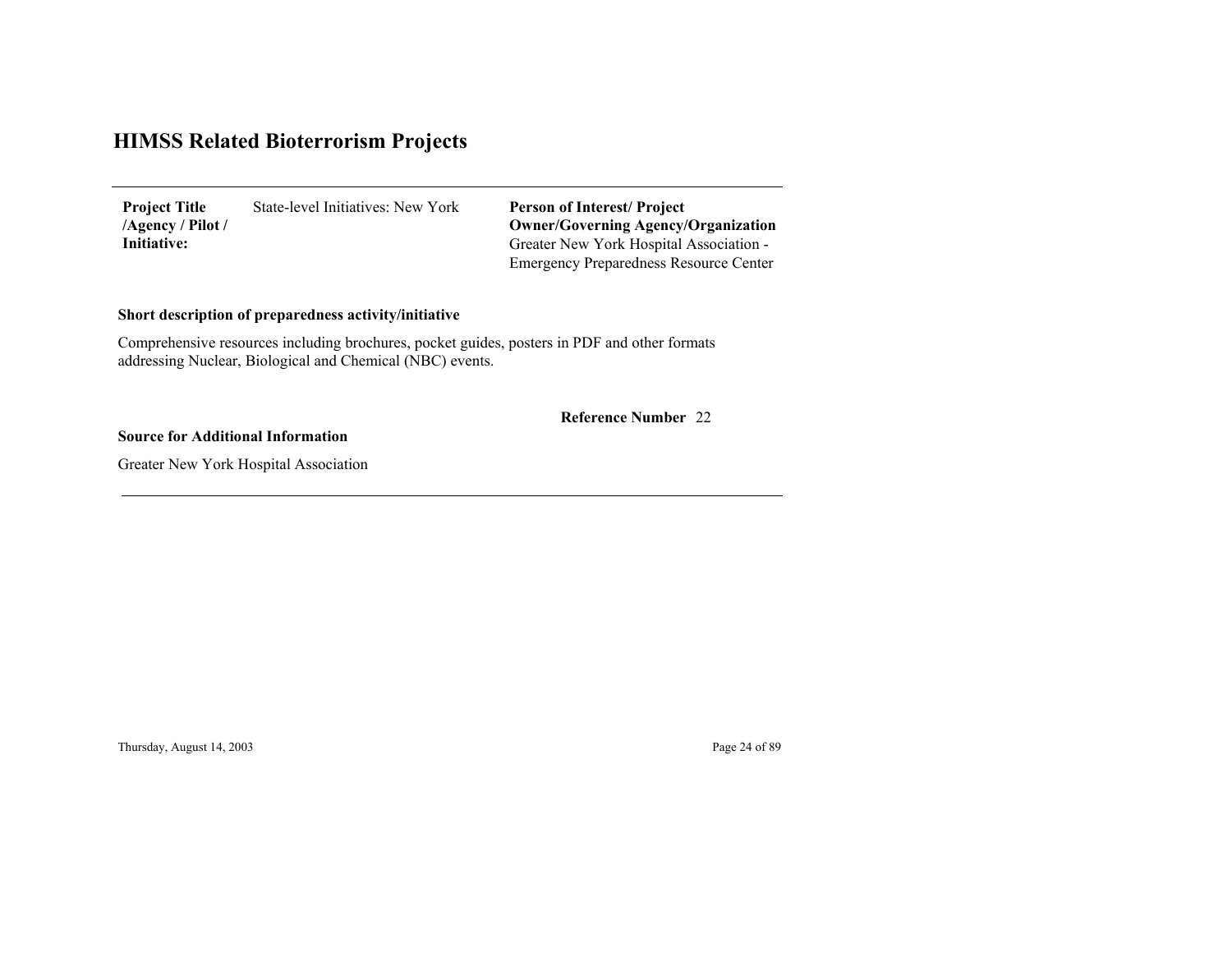State-level Initiatives: New York **Project Title /Agency / Pilot / Initiative:**

Greater New York Hospital Association - Emergency Preparedness Resource Center **Person of Interest/ Project Owner/Governing Agenc y/Organization**

### **Short description of preparedness activity/initiative**

Comprehensive resources including brochures, pocket guides, posters in PDF and other formats addressing Nuclear, Biological and Chemical (NBC) events.

22 **Reference Number**

#### **Source for Additional Information**

Greater New York Hospital Association

Thursday, August 14, 2003 Page 24 of 89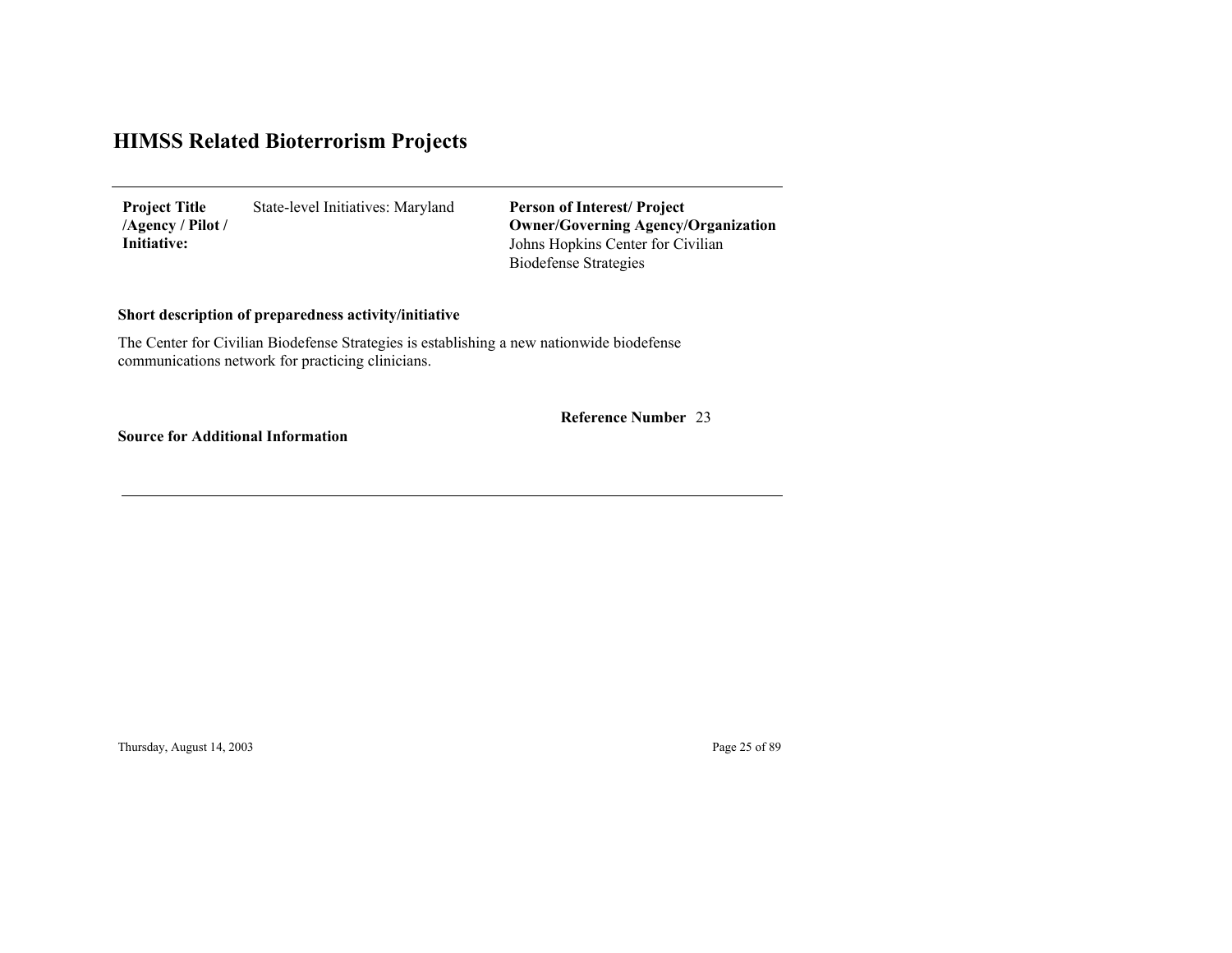State-level Initiatives: Maryland **Project Title /Agency / Pilot / Initiative:**

Johns Hopkins Center for Civilian Biodefense Strategies **Person of Interest/ Project Owner/Governing Agenc y/Organization**

### **Short description of preparedness activity/initiative**

The Center for Civilian Biodefense Strategies is establishing a new nationwide biodefense communications network for practicing clinicians.

23 **Reference Number**

**Source for Additional Information**

Thursday, August 14, 2003 Page 25 of 89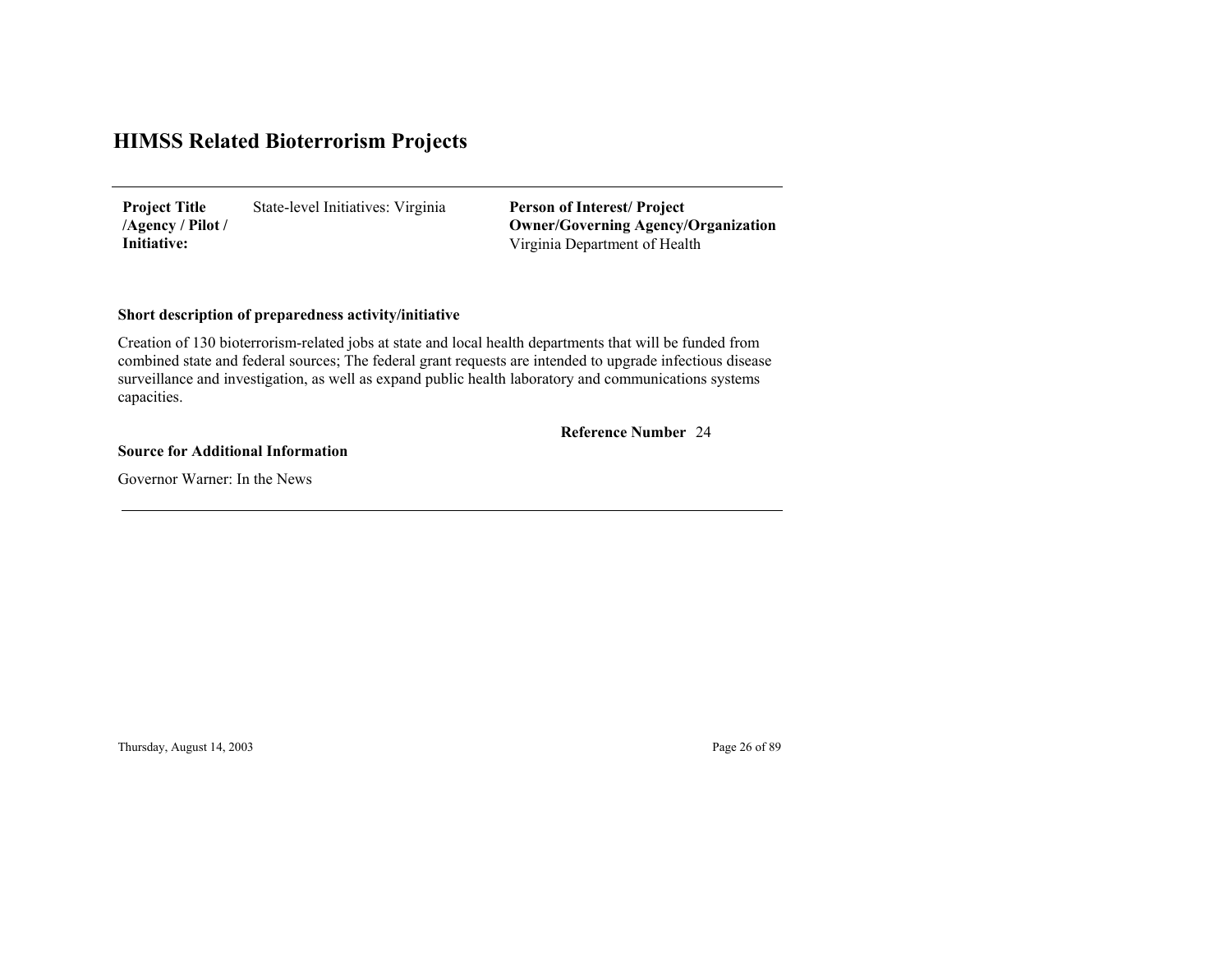State-level Initiatives: Virginia **Project Title /Agency / Pilot / Initiative:**

Virginia Department of Health **Person of Interest/ Project Owner/Governing Agenc y/Organization**

### **Short description of preparedness activity/initiative**

Creation of 130 bioterrorism-related jobs at state and local health departments that will be funded from combined state and federal sources; The federal grant requests are intended to upgrade infectious disease surveillance and investigation, as well as expand public health laboratory and communications systems capacities.

24 **Reference Number**

**Source for Additional Information**

Governor Warner: In the News

Thursday, August 14, 2003 Page 26 of 89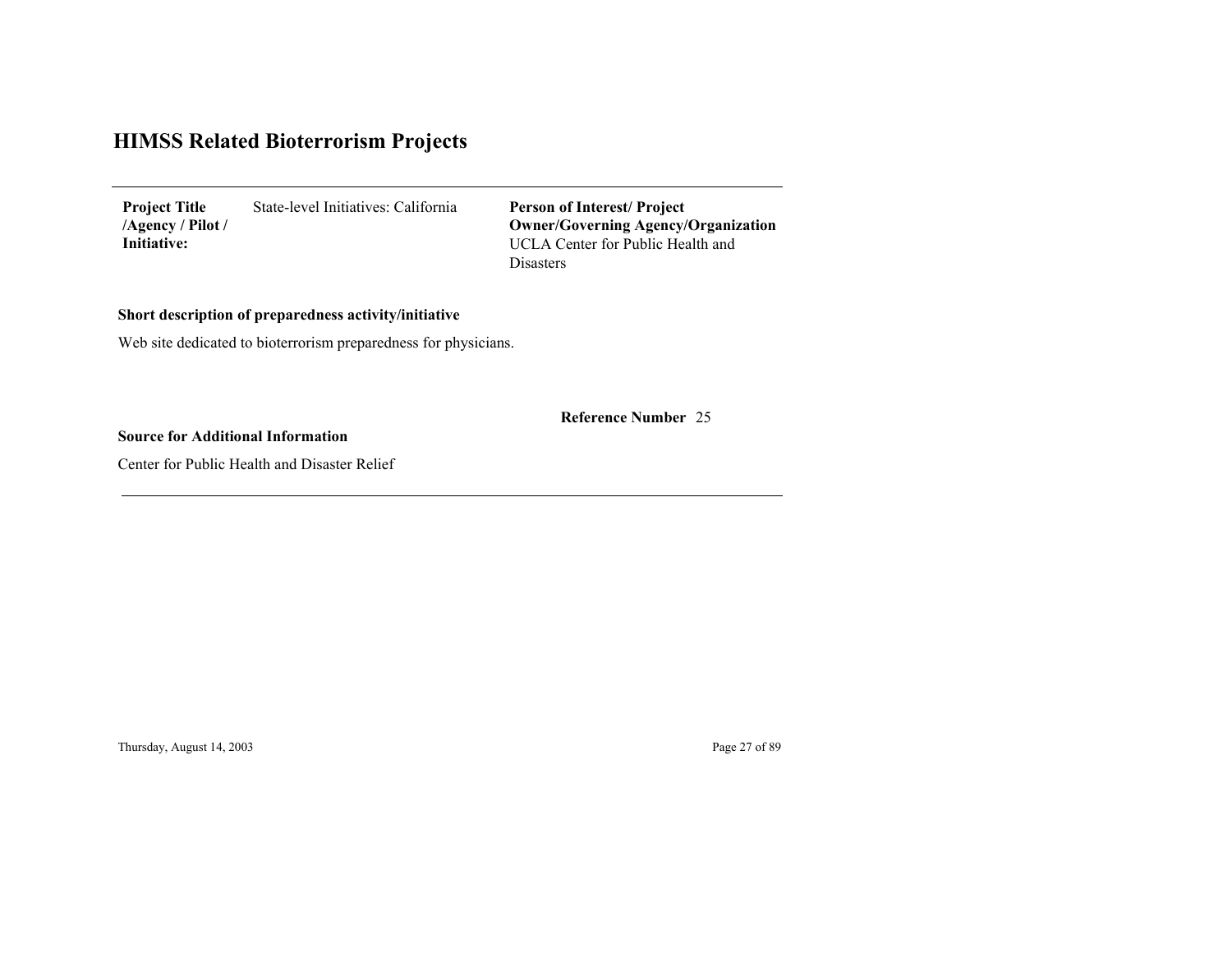State-level Initiatives: California **Project Title /Agency / Pilot / Initiative:**

UCLA Center for Public Health and Disasters**Person of Interest/ Project Owner/Governing Agenc y/Organization**

**Short description of preparedness activity/initiative**

Web site dedicated to bioterrorism preparedness for physicians.

25 **Reference Number**

**Source for Additional Information**

Center for Public Health and Disaster Relief

Thursday, August 14, 2003 Page 27 of 89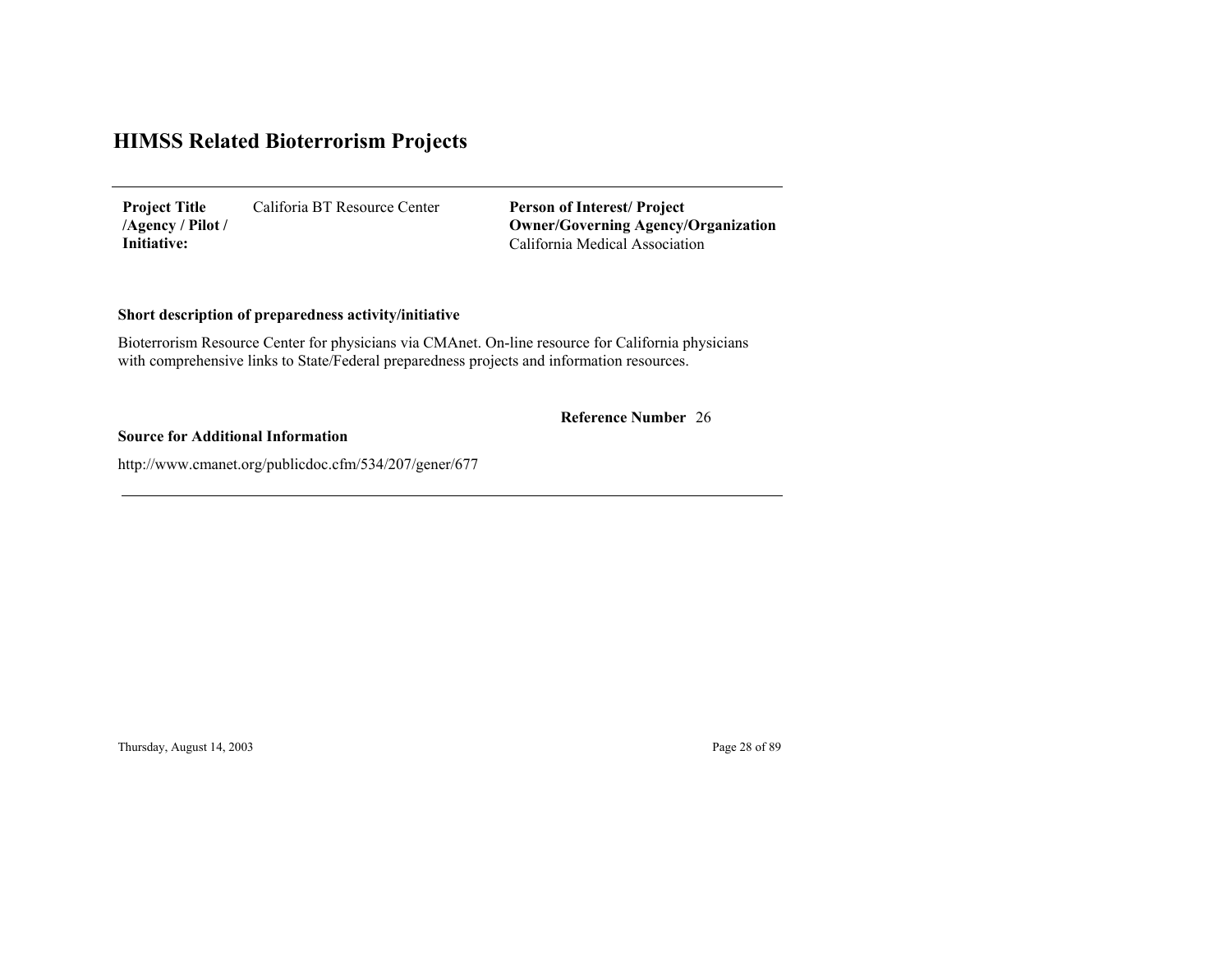Califoria BT Resource Center **Project Title /Agency / Pilot / Initiative:**

California Medical Association**Person of Interest/ Project Owner/Governing Agenc y/Organization**

### **Short description of preparedness activity/initiative**

Bioterrorism Resource Center for physicians via CMAnet. On-line resource for California physicians with comprehensive links to State/Federal preparedness projects and information resources.

#### 26 **Reference Number**

#### **Source for Additional Information**

http://www.cmanet.org/publicdoc.cfm/534/207/gener/677

Thursday, August 14, 2003 Page 28 of 89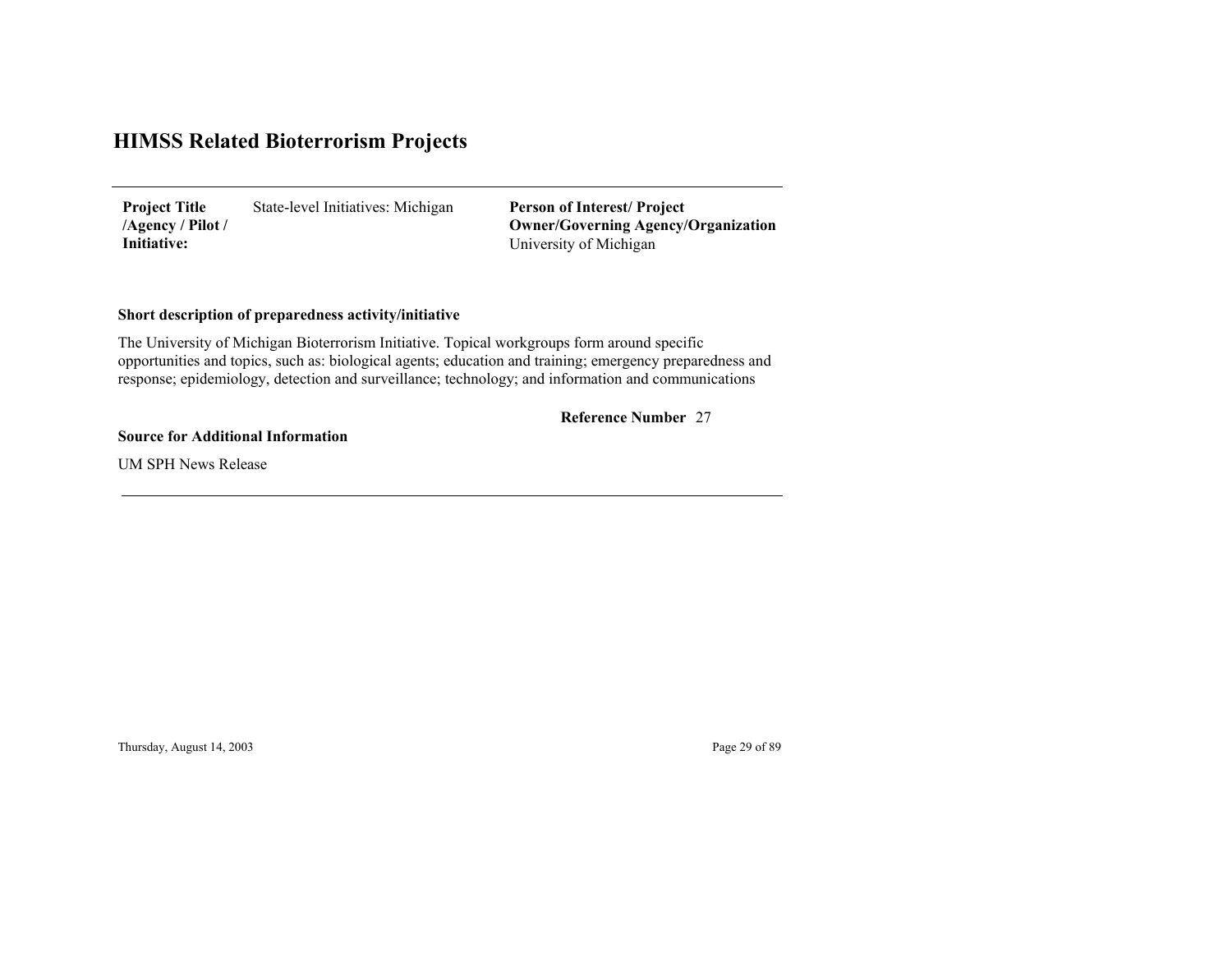State-level Initiatives: Michigan **Project Title /Agency / Pilot / Initiative:**

University of Michigan **Person of Interest/ Project Owner/Governing Agenc y/Organization**

### **Short description of preparedness activity/initiative**

The University of Michigan Bioterrorism Initiative. Topical workgroups form around specific opportunities and topics, such as: biological agents; education and training; emergency preparedness and response; epidemiology, detection and surveillance; technology; and information and communications

#### 27 **Reference Number**

#### **Source for Additional Information**

UM SPH News Release

Thursday, August 14, 2003 Page 29 of 89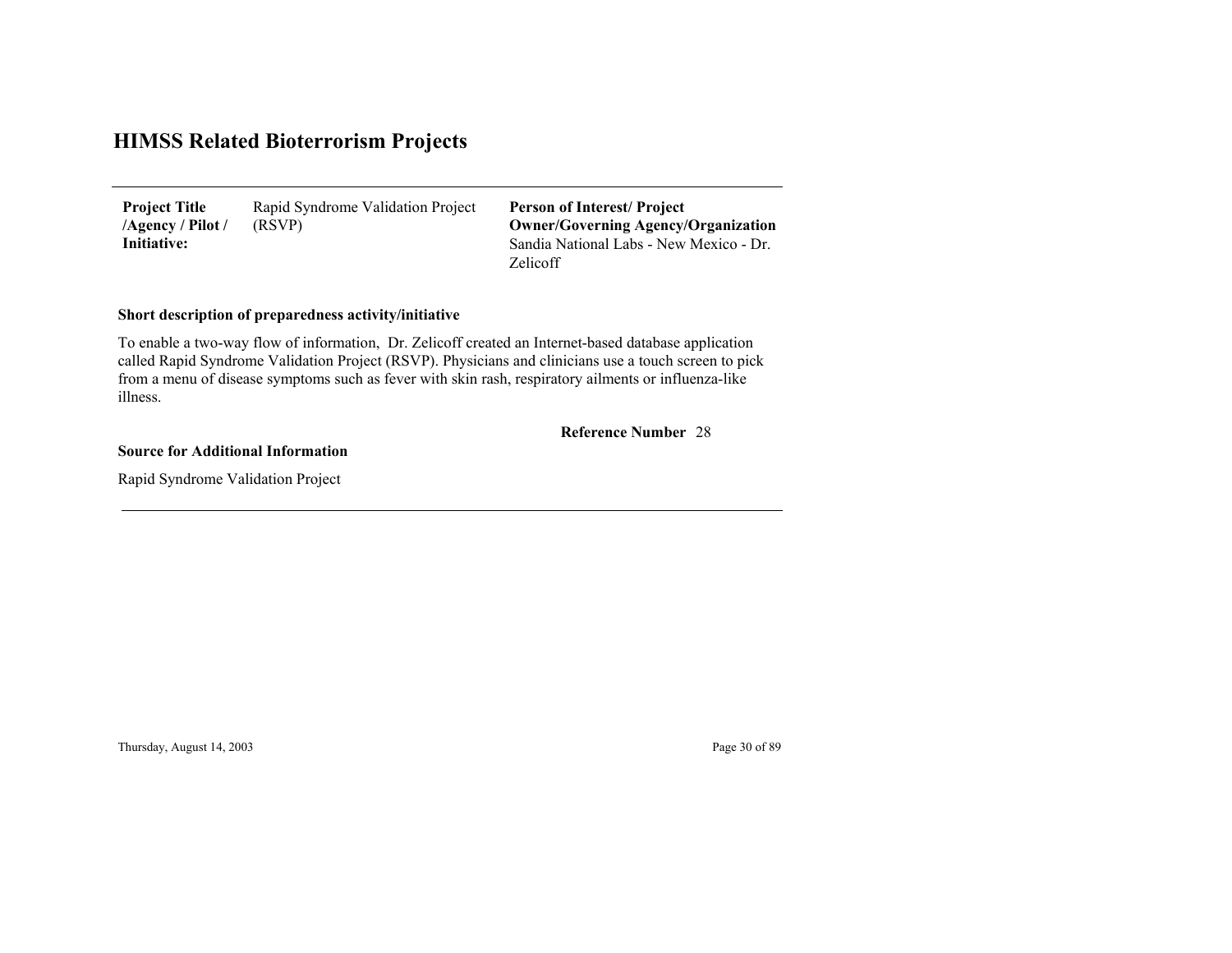Rapid Syndrome Validation Project (RSVP) **Project Title /Agency / Pilot / Initiative:**

Sandia National Labs - New Mexico - Dr. Zelicoff**Person of Interest/ Project Owner/Governing Agenc y/Organization**

### **Short description of preparedness activity/initiative**

To enable a two-way flow of information, Dr. Zelicoff created an Internet-based database application called Rapid Syndrome Validation Project (RSVP). Physicians and clinicians use a touch screen to pick from a menu of disease symptoms such as fever with skin rash, respiratory ailments or influenza-like illness.

28 **Reference Number**

**Source for Additional Information**

Rapid Syndrome Validation Project

Thursday, August 14, 2003 Page 30 of 89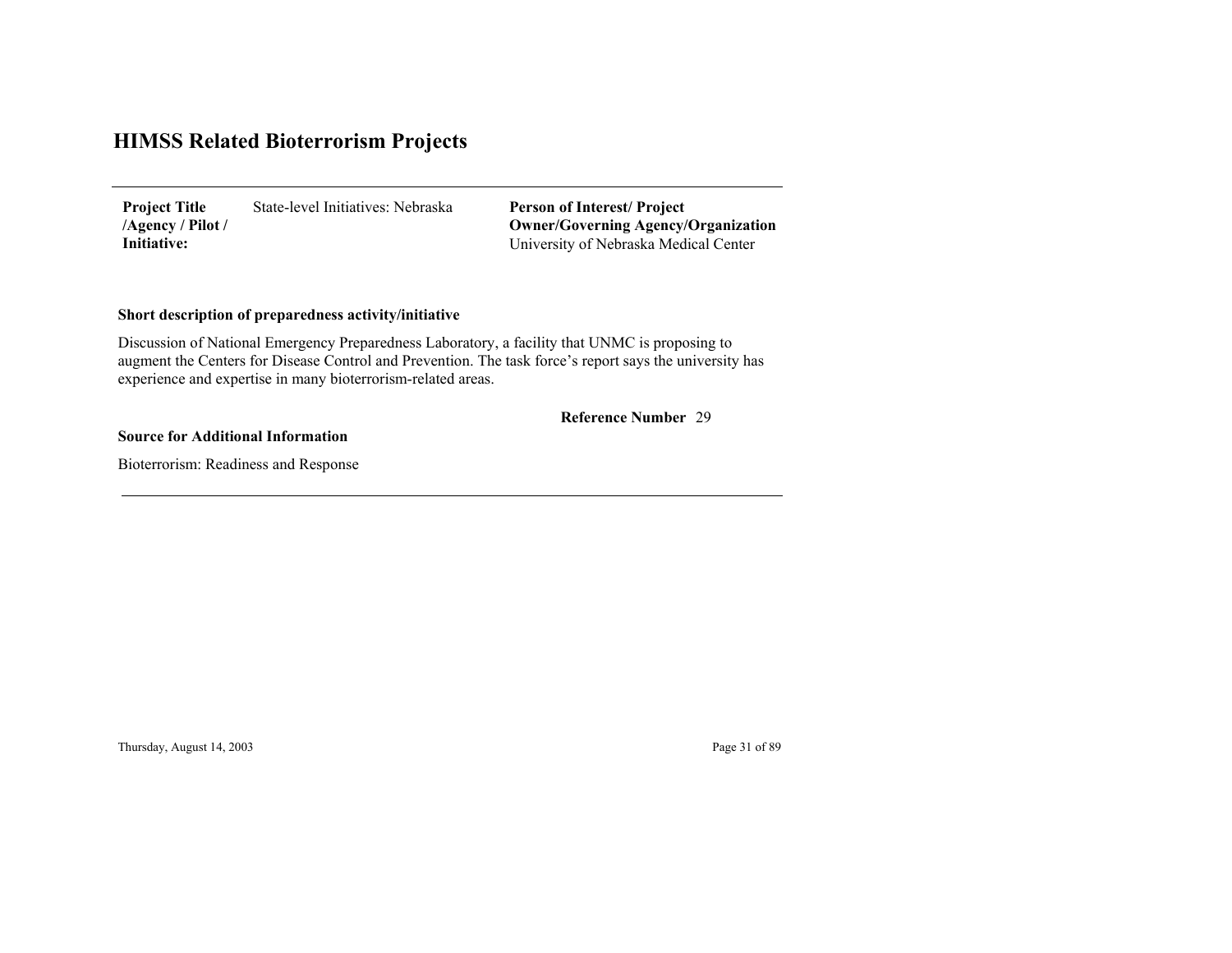State-level Initiatives: Nebraska**Project Title /Agency / Pilot / Initiative:**

University of Nebraska Medical Center **Person of Interest/ Project Owner/Governing Agenc y/Organization**

### **Short description of preparedness activity/initiative**

Discussion of National Emergency Preparedness Laboratory, a facility that UNMC is proposing to augment the Centers for Disease Control and Prevention. The task force's report says the university has experience and expertise in many bioterrorism-related areas.

#### 29 **Reference Number**

#### **Source for Additional Information**

Bioterrorism: Readiness and Response

Thursday, August 14, 2003 Page 31 of 89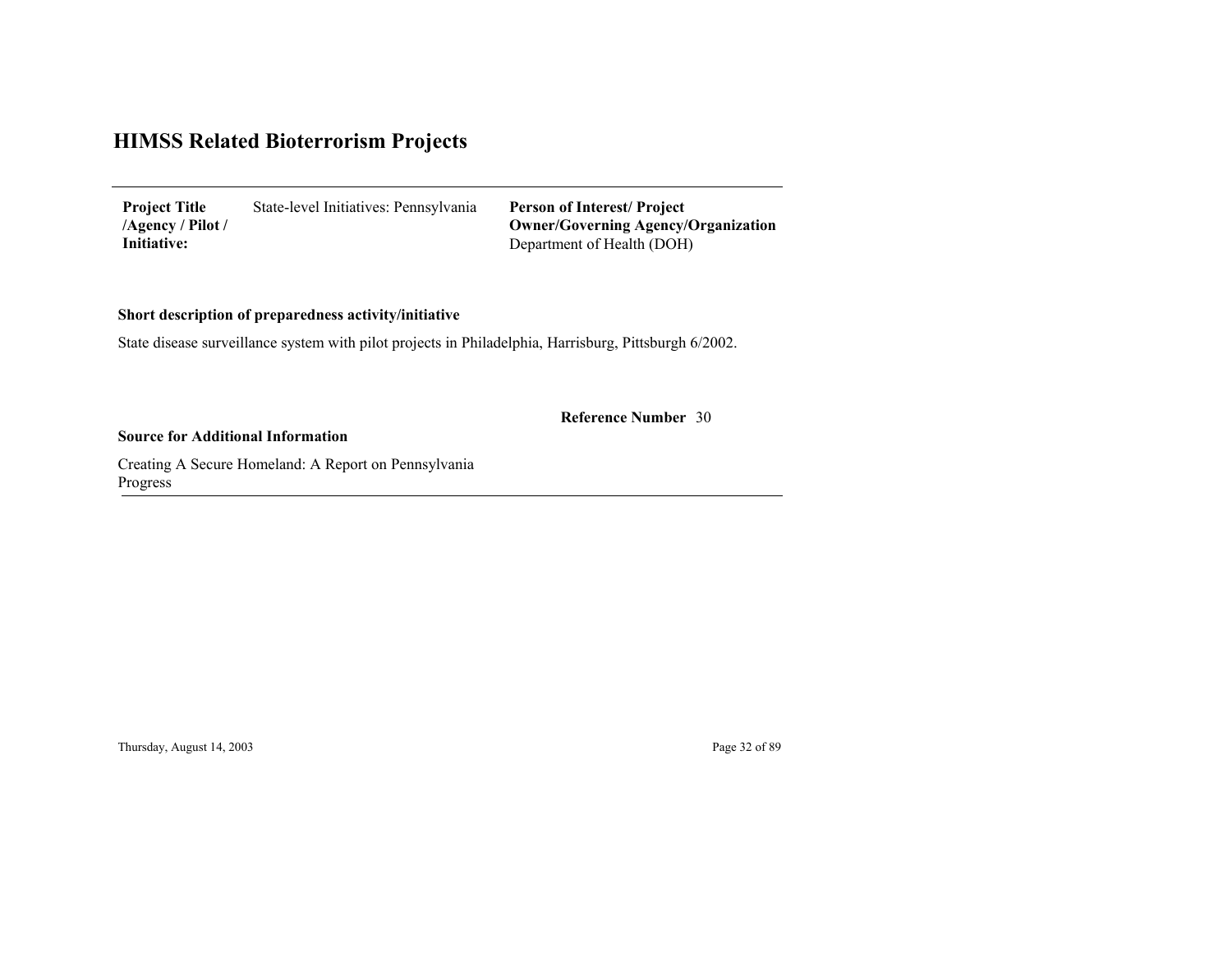State-level Initiatives: Pennsylvania Department of Health (DOH) **Project Title /Agency / Pilot / Initiative: Person of Interest/ Project Owner/Governing Agenc y/Organization**

**Short description of preparedness activity/initiative**

State disease surveillance system with pilot projects in Philadelphia, Harrisburg, Pittsburgh 6/2002.

30 **Reference Number**

**Source for Additional Information**

Creating A Secure Homeland: A Report on Pennsylvania Pro gress

Thursday, August 14, 2003 Page 32 of 89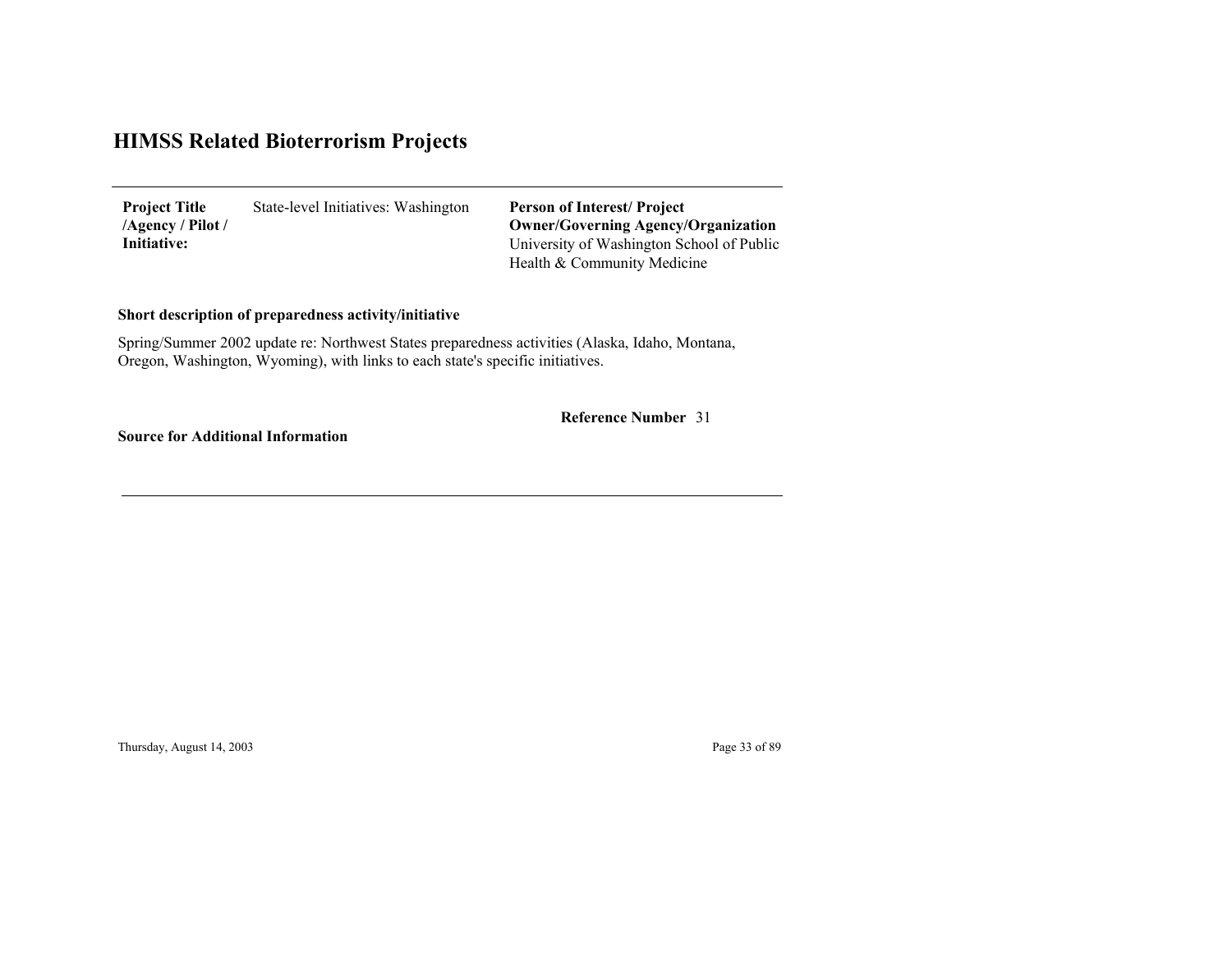State-level Initiatives: Washington **Project Title /Agency / Pilot / Initiative:**

University of Washington School of Public Health & Community Medicine **Person of Interest/ Project Owner/Governing Agenc y/Organization**

### **Short description of preparedness activity/initiative**

Spring/Summer 2002 update re: Northwest States preparedness activities (Alaska, Idaho, Montana, Oregon, Washington, Wyoming), with links to each state's specific initiatives.

**Reference Number** 31

**Source for Additional Information**

Thursday, August 14, 2003 Page 33 of 89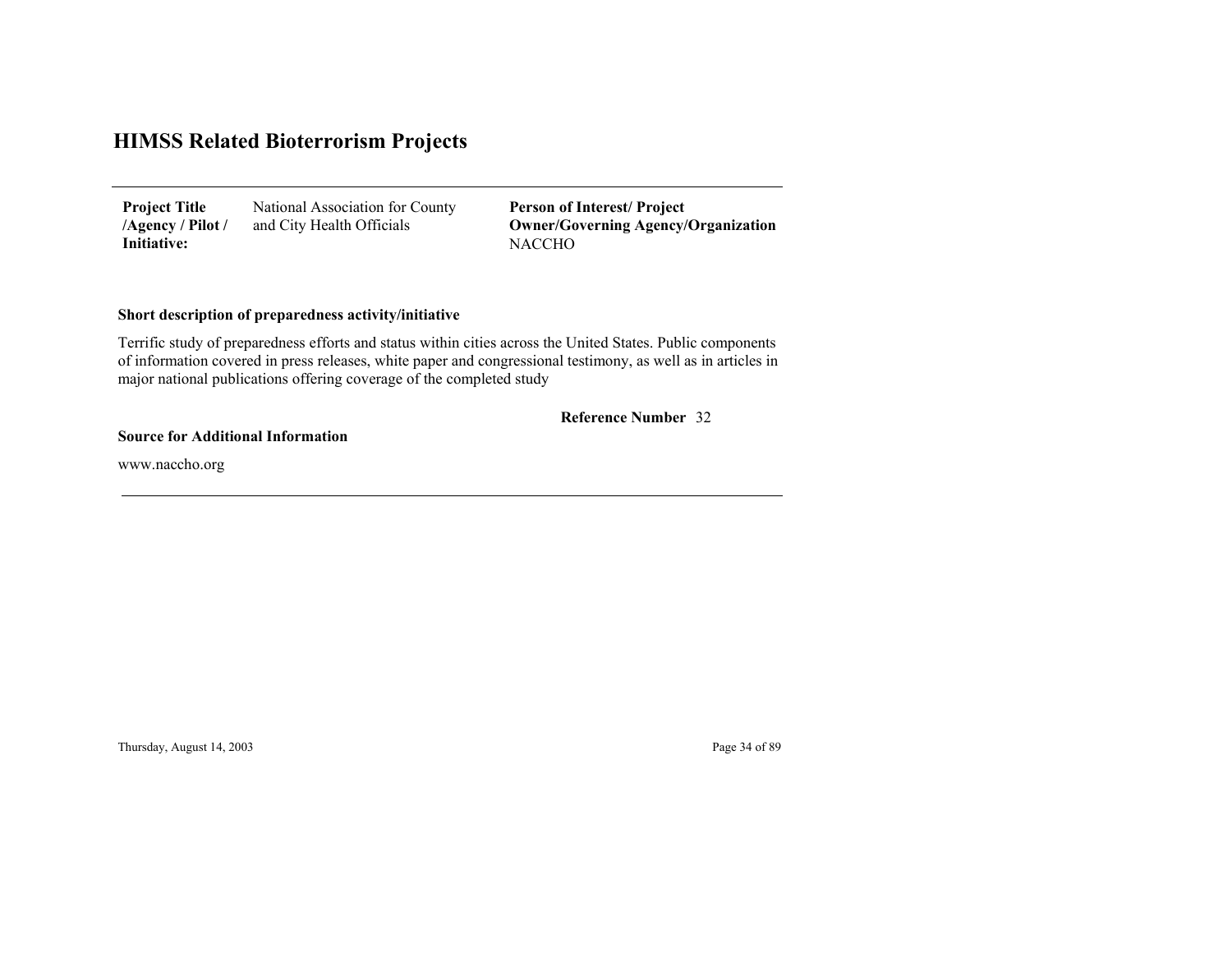| <b>Project Title</b> | National Association for County |
|----------------------|---------------------------------|
| /Agency / Pilot /    | and City Health Officials       |
| Initiative:          |                                 |

**NACCHO Person of Interest/ Project Owner/Governing Agenc y/Organization**

### **Short description of preparedness activity/initiative**

Terrific study of preparedness efforts and status within cities across the United States. Public components of information covered in press releases, white paper and congressional testimony, as well as in articles in major national publications offering coverage of the completed study

#### 32 **Reference Number**

#### **Source for Additional Information**

www.naccho.org

Thursday, August 14, 2003 Page 34 of 89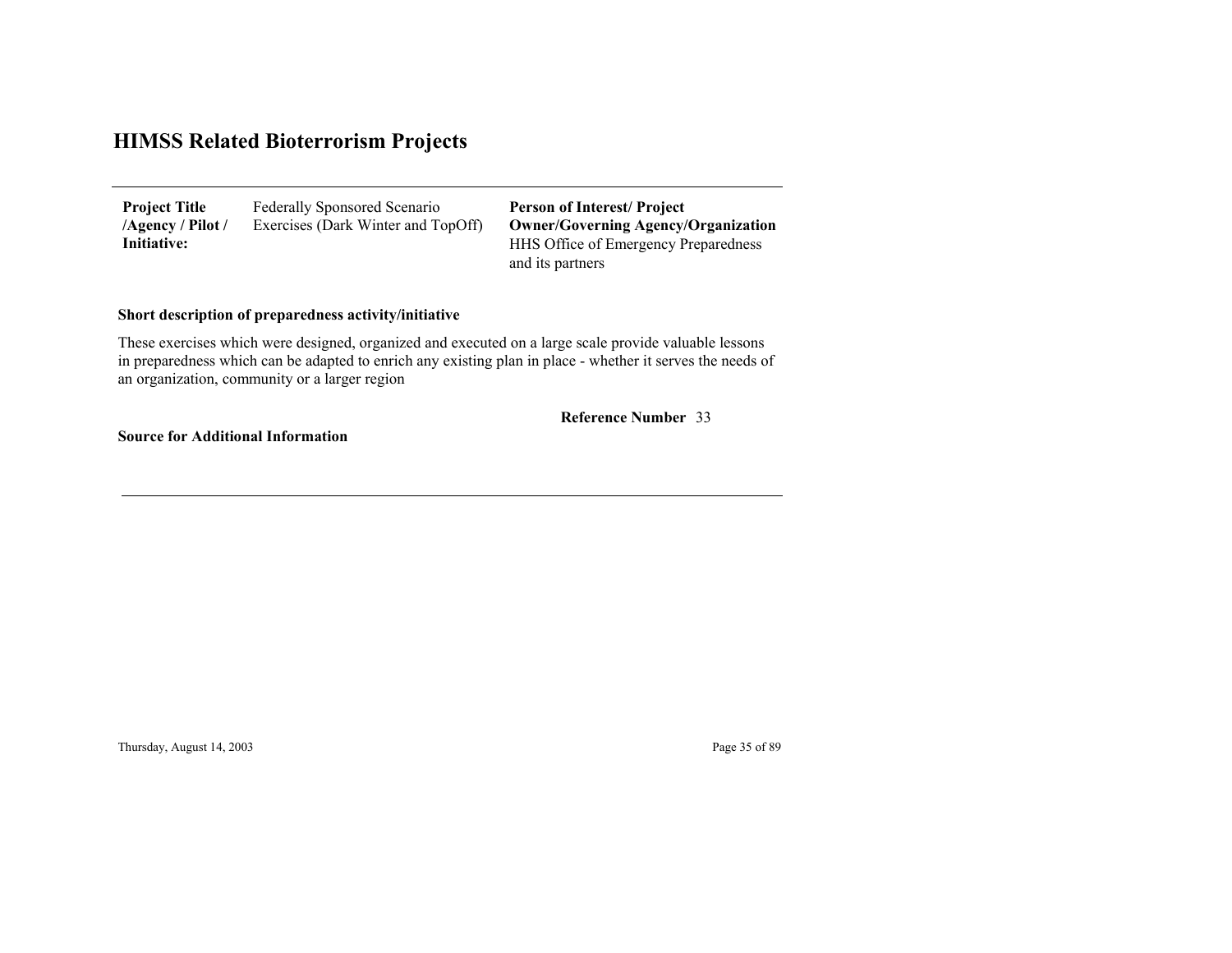Federally Sponsored Scenario Exercises (Dark Winter and TopOff) **Project Title /Agency / Pilot / Initiative:**

HHS Office of Emergency Preparedness and its partners **Person of Interest/ Project Owner/Governing Agenc y/Organization**

### **Short description of preparedness activity/initiative**

These exercises which were designed, organized and executed on a large scale provide valuable lessons in preparedness which can be adapted to enrich any existing plan in place - whether it serves the needs of an organization, community or a larger region

#### 33 **Reference Number**

**Source for Additional Information**

Thursday, August 14, 2003 Page 35 of 89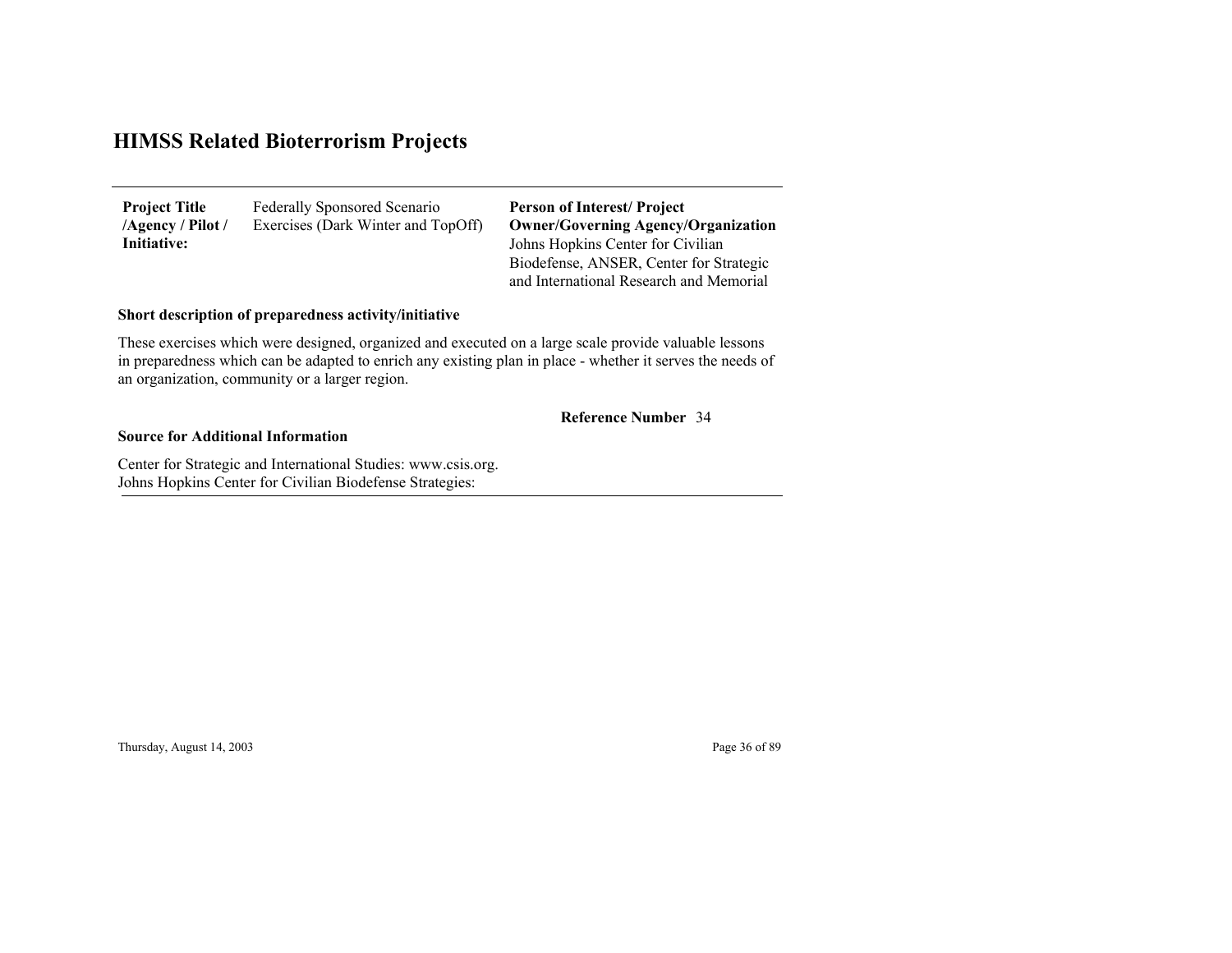| <b>Project Title</b> | Federally Sponsored Scenario       |
|----------------------|------------------------------------|
| /Agency / Pilot /    | Exercises (Dark Winter and TopOff) |
| Initiative:          |                                    |

Johns Hopkins Center for Civilian Biodefense, ANSER, Center for Strategic and International Research and Memorial **Person of Interest/ Project Owner/Governing Agenc y/Organization**

### **Short description of preparedness activity/initiative**

These exercises which were designed, organized and executed on a large scale provide valuable lessons in preparedness which can be adapted to enrich any existing plan in place - whether it serves the needs of an organization, community or a larger region.

#### 34 **Reference Number**

#### **Source for Additional Information**

Center for Strategic and International Studies: www.csis.org. Johns Ho pkins Center for Civilian Biodefense Strate gies:

Thursday, August 14, 2003 Page 36 of 89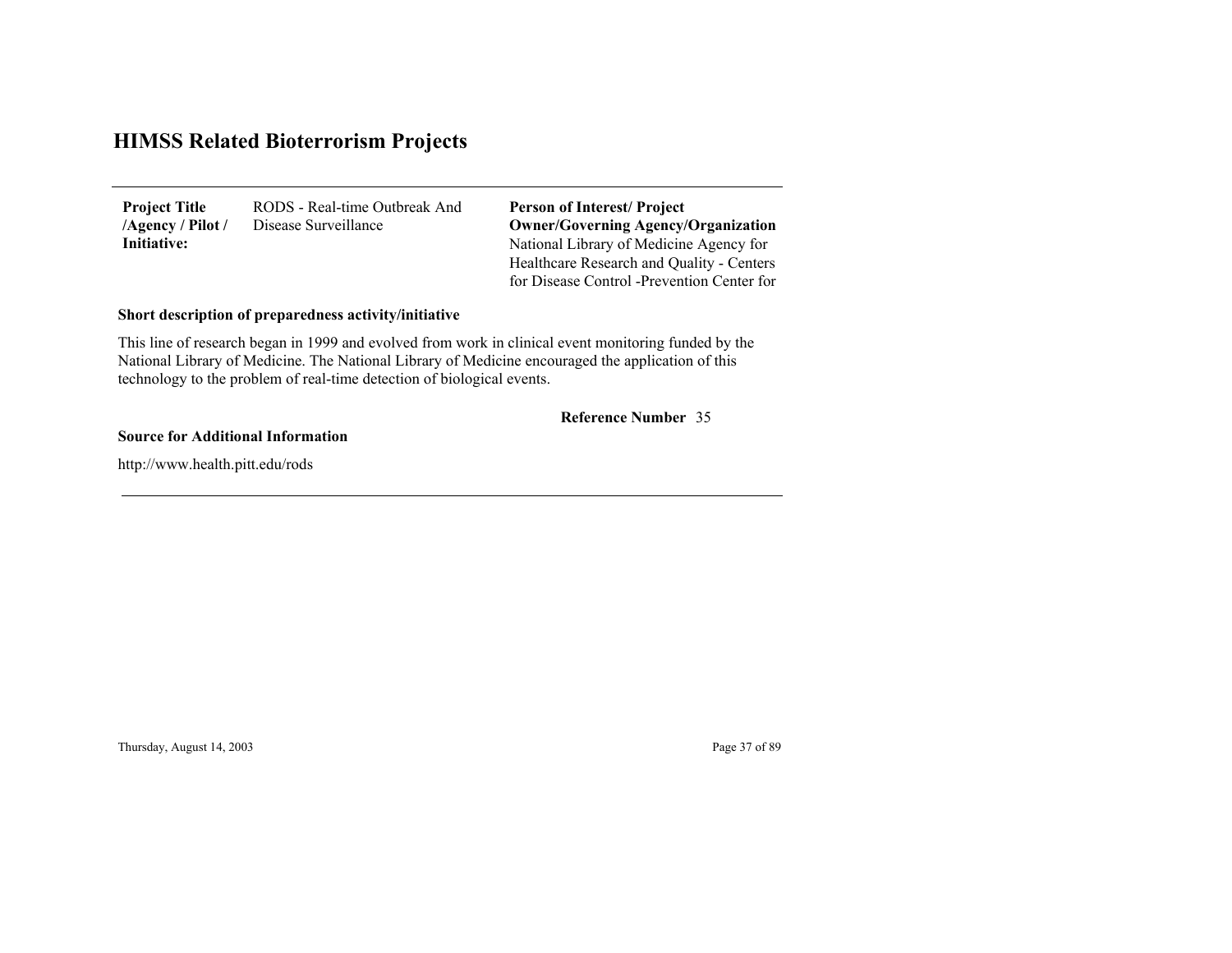RODS - Real-time Outbreak And Disease Surveillance **Project Title /Agency / Pilot / Initiative:**

National Library of Medicine Agency for Healthcare Research and Quality - Centers for Disease Control -Prevention Center for **Person of Interest/ Project Owner/Governing Agenc y/Organization**

#### **Short description of preparedness activity/initiative**

This line of research began in 1999 and evolved from work in clinical event monitoring funded by the National Library of Medicine. The National Library of Medicine encouraged the application of this technology to the problem of real-time detection of biological events.

#### 35 **Reference Number**

#### **Source for Additional Information**

http://www.health.pitt.edu/rods

Thursday, August 14, 2003 Page 37 of 89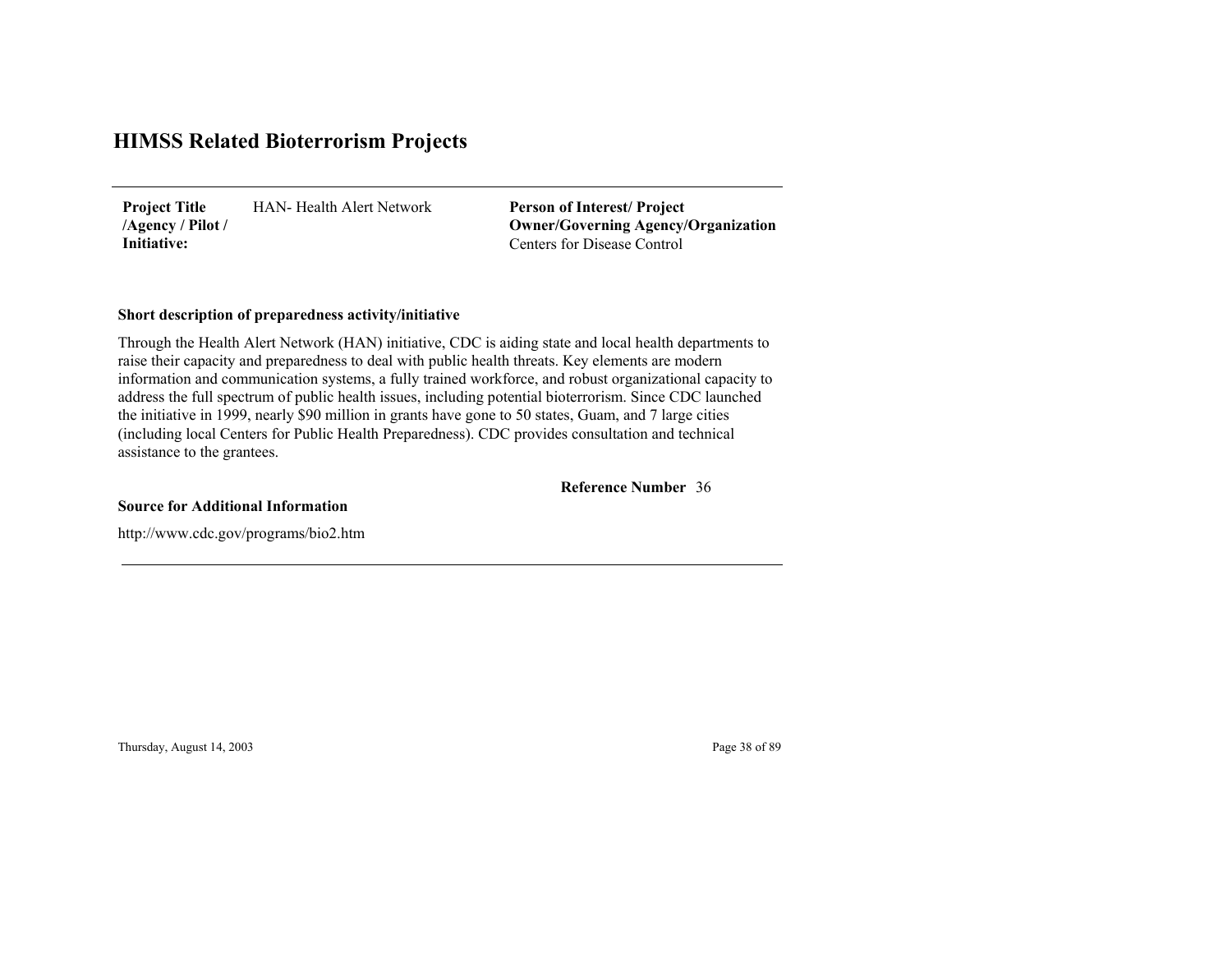HAN- Health Alert Network**Project Title /Agency / Pilot / Initiative:**

Centers for Disease Control**Person of Interest/ Project Owner/Governing Agenc y/Organization**

#### **Short description of preparedness activity/initiative**

Through the Health Alert Network (HAN) initiative, CDC is aiding state and local health departments to raise their capacity and preparedness to deal with public health threats. Key elements are modern information and communication systems, a fully trained workforce, and robust organizational capacity to address the full spectrum of public health issues, including potential bioterrorism. Since CDC launched the initiative in 1999, nearly \$90 million in grants have gone to 50 states, Guam, and 7 large cities (including local Centers for Public Health Preparedness). CDC provides consultation and technical assistance to the grantees.

36**Reference Number**

**Source for Additional Information**

http://www.cdc.gov/programs/bio2.htm

Thursday, August 14, 2003 Page 38 of 89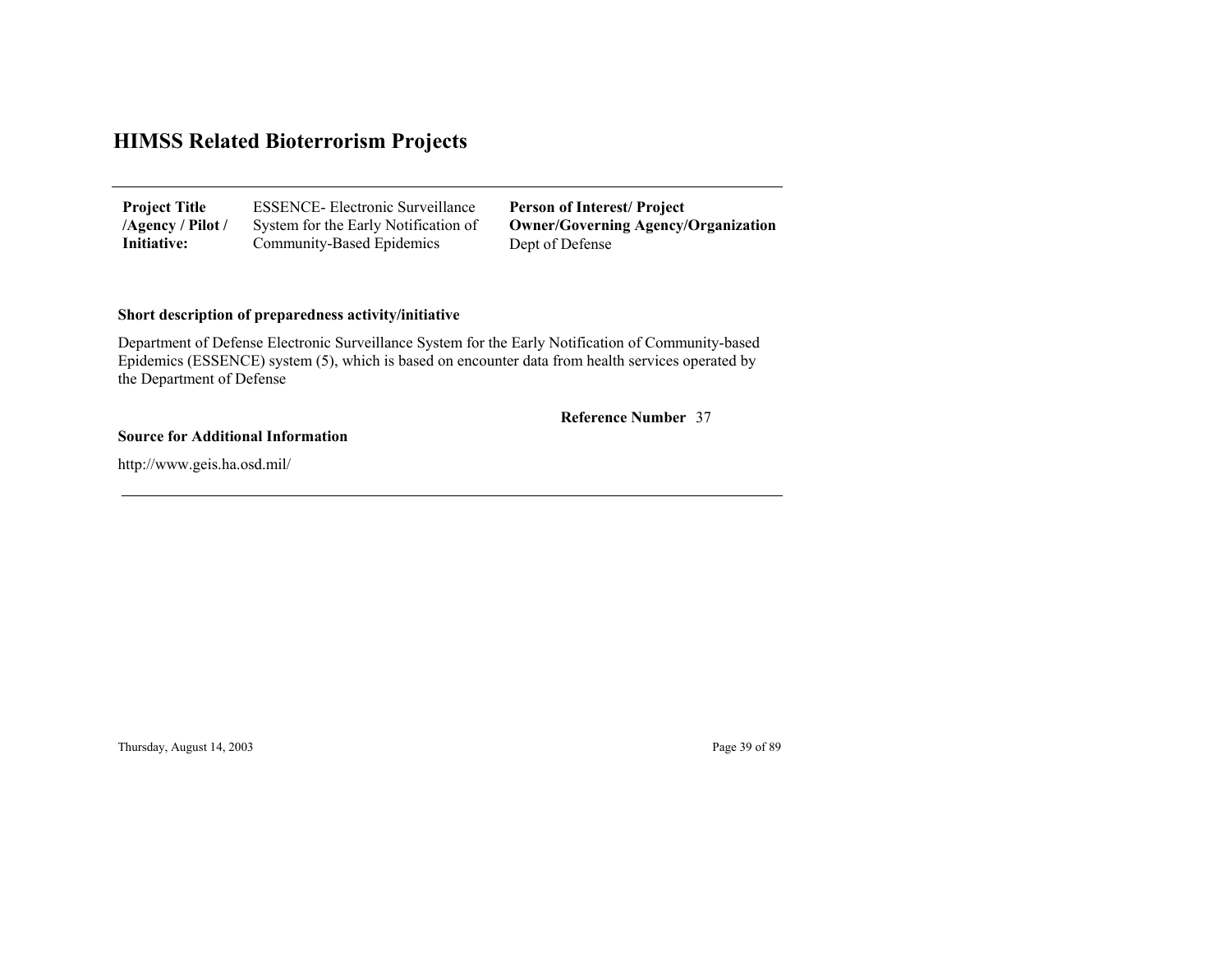| <b>Project Title</b> | <b>ESSENCE-</b> Electronic Surveillance | <b>Person of Interest/Project</b>          |
|----------------------|-----------------------------------------|--------------------------------------------|
| /Agency / Pilot /    | System for the Early Notification of    | <b>Owner/Governing Agency/Organization</b> |
| Initiative:          | Community-Based Epidemics               | Dept of Defense                            |

#### **Short description of preparedness activity/initiative**

Department of Defense Electronic Surveillance System for the Early Notification of Community-based Epidemics (ESSENCE) system (5), which is based on encounter data from health services operated by the Department of Defense

#### 37 **Reference Number**

#### **Source for Additional Information**

http://www.geis.ha.osd.mil/

Thursday, August 14, 2003 Page 39 of 89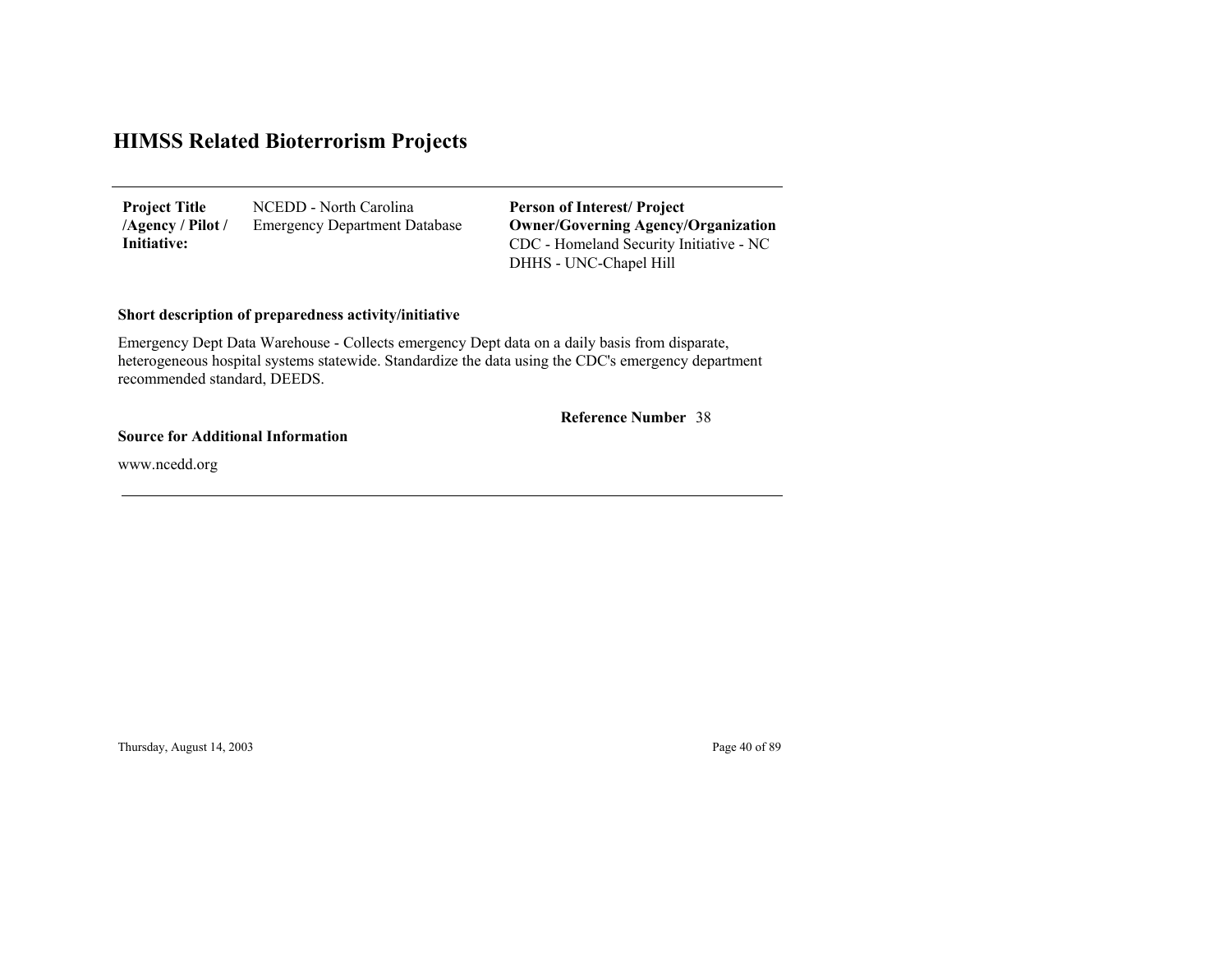NCEDD - North Carolina Emergency Department Database **Project Title /Agency / Pilot / Initiative:**

CDC - Homeland Security Initiative - NC DHHS - UNC-Chapel Hill **Person of Interest/ Project Owner/Governing Agenc y/Organization**

#### **Short description of preparedness activity/initiative**

Emergency Dept Data Warehouse - Collects emergency Dept data on a daily basis from disparate, heterogeneous hospital systems statewide. Standardize the data using the CDC's emergency department recommended standard, DEEDS.

#### 38 **Reference Number**

#### **Source for Additional Information**

www.ncedd.org

Thursday, August 14, 2003 Page 40 of 89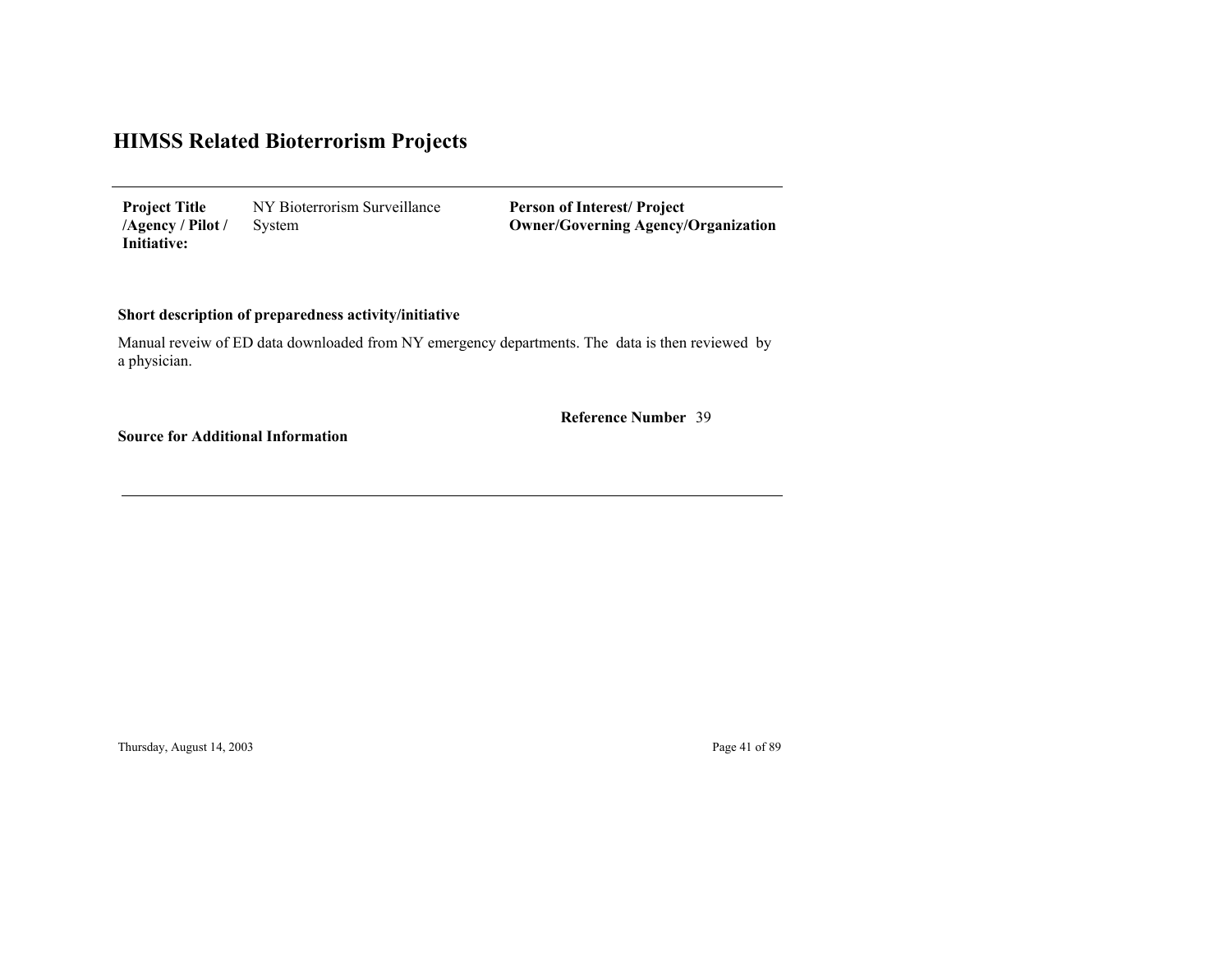NY Bioterrorism Surveillance System **Project Title /Agency / Pilot / Initiative:**

**Person of Interest/ Project Owner/Governing Agenc y/Organization**

#### **Short description of preparedness activity/initiative**

Manual reveiw of ED data downloaded from NY emergency departments. The data is then reviewed by a physician.

39 **Reference Number**

**Source for Additional Information**

Thursday, August 14, 2003 Page 41 of 89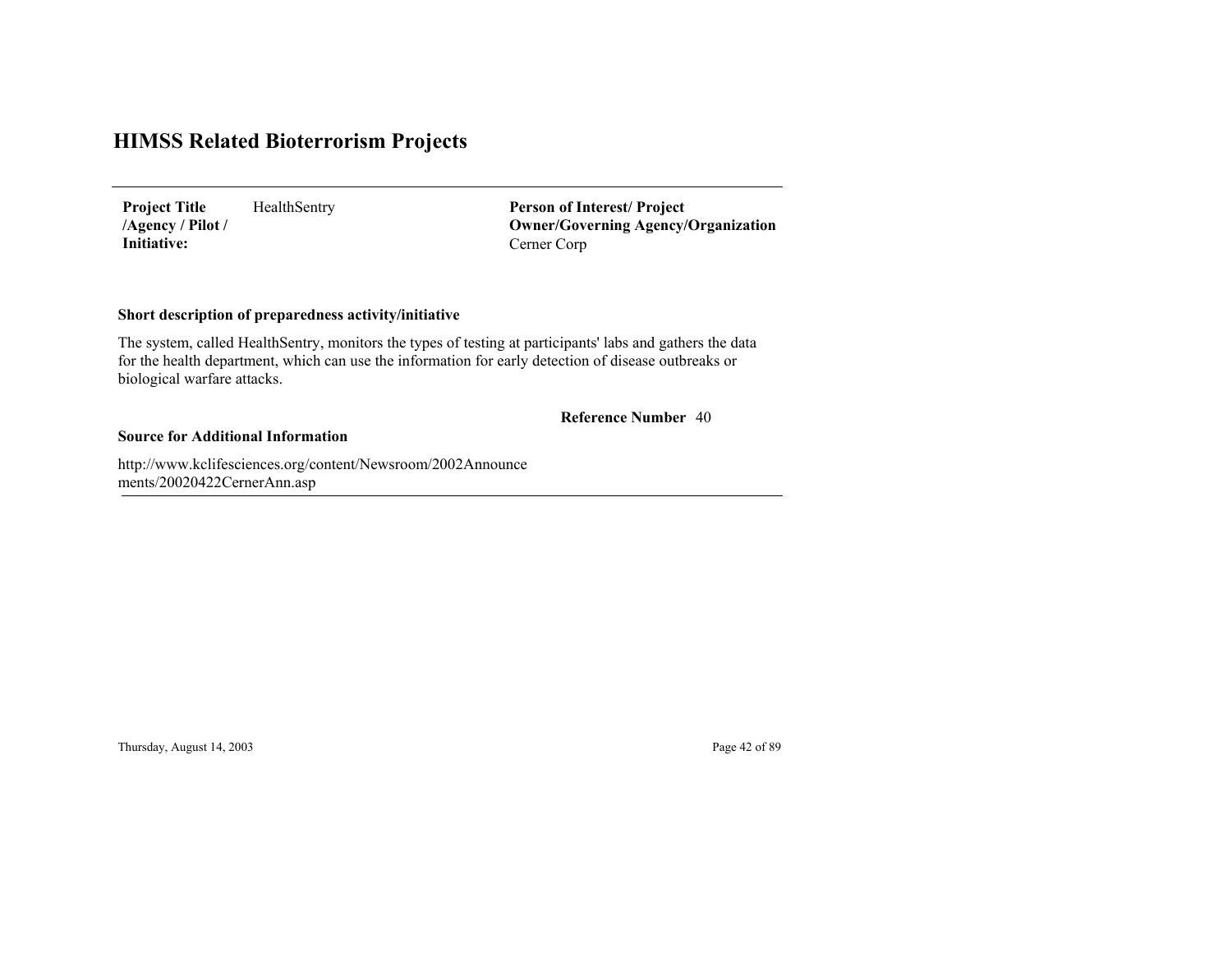HealthSentry **Project Title /Agency / Pilot / Initiative:**

Cerner Corp **Person of Interest/ Project Owner/Governing Agenc y/Organization**

#### **Short description of preparedness activity/initiative**

The system, called HealthSentry, monitors the types of testing at participants' labs and gathers the data for the health department, which can use the information for early detection of disease outbreaks or biological warfare attacks.

#### 40 **Reference Number**

#### **Source for Additional Information**

http://www.kclifesciences.org/content/Newsroom/2002Announce ments/20020422CernerAnn.as p

Thursday, August 14, 2003 Page 42 of 89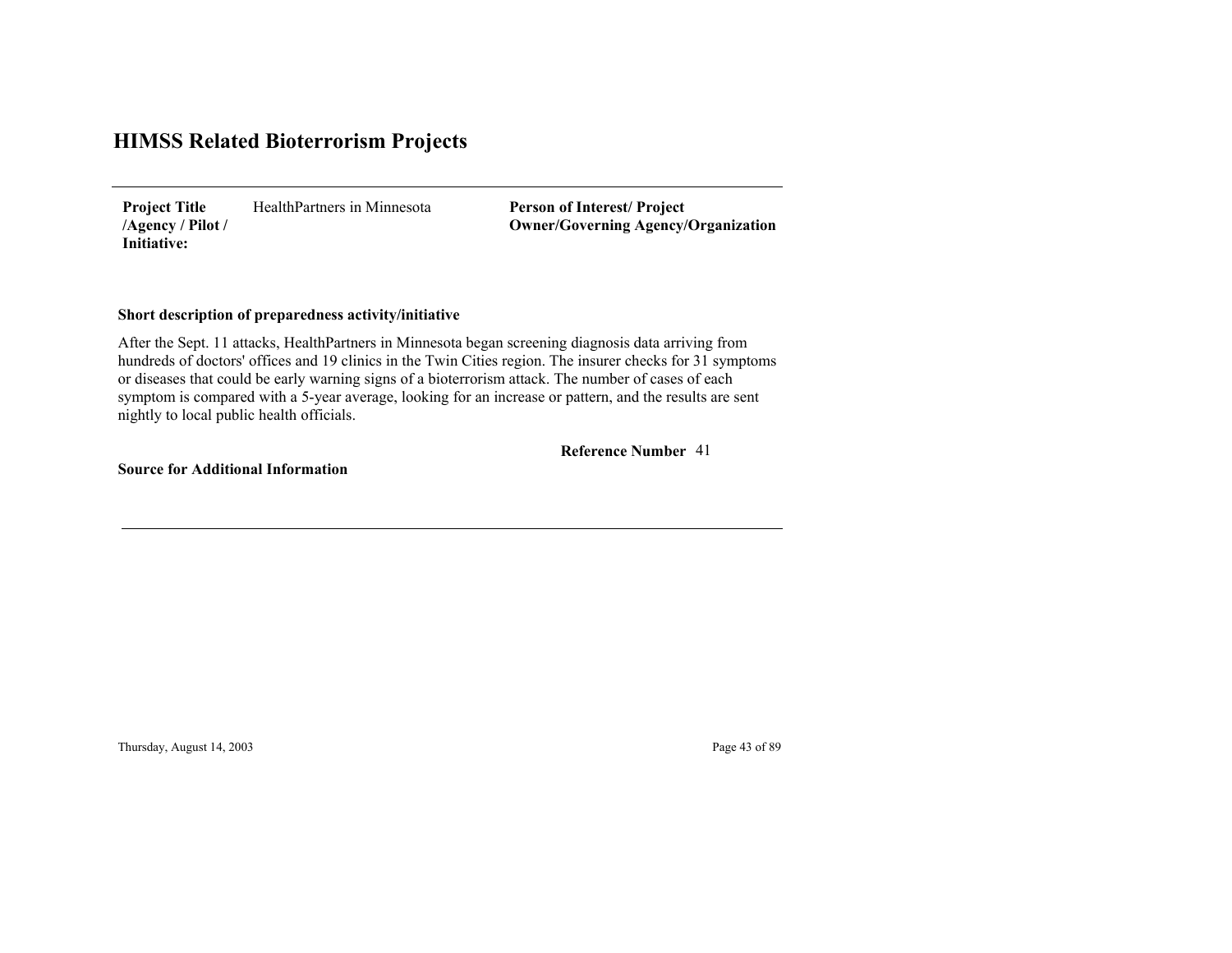HealthPartners in Minnesota**Project Title /Agency / Pilot / Initiative:**

**Person of Interest/ Project Owner/Governing Agenc y/Organization**

#### **Short description of preparedness activity/initiative**

After the Sept. 11 attacks, HealthPartners in Minnesota began screening diagnosis data arriving from hundreds of doctors' offices and 19 clinics in the Twin Cities region. The insurer checks for 31 symptoms or diseases that could be early warning signs of a bioterrorism attack. The number of cases of each symptom is compared with a 5-year average, looking for an increase or pattern, and the results are sent nightly to local public health officials.

41**Reference Number**

**Source for Additional Information**

Thursday, August 14, 2003 Page 43 of 89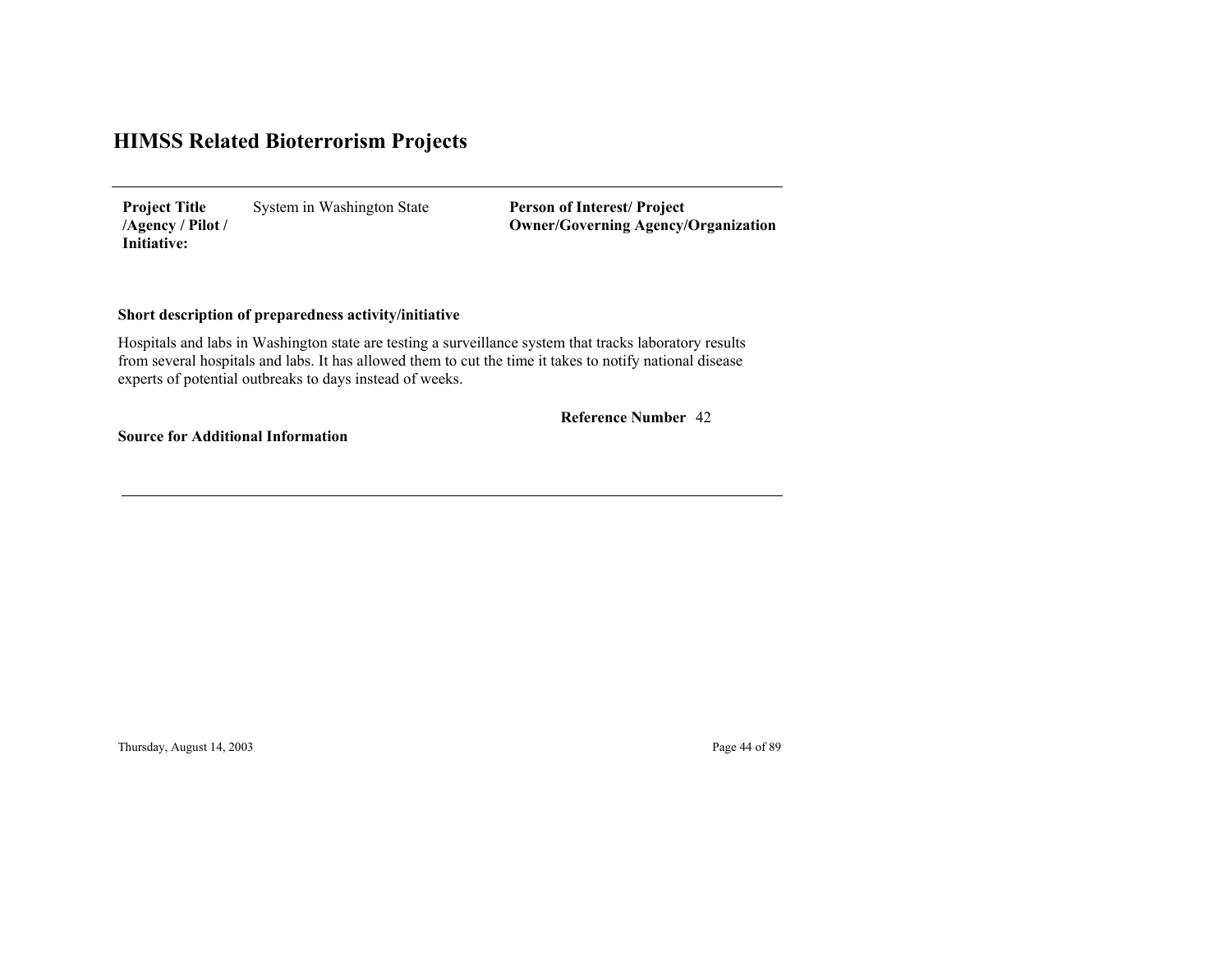System in Washington State **Project Title /Agency / Pilot / Initiative:**

**Person of Interest/ Project Owner/Governing Agenc y/Organization**

#### **Short description of preparedness activity/initiative**

Hospitals and labs in Washington state are testing a surveillance system that tracks laboratory results from several hospitals and labs. It has allowed them to cut the time it takes to notify national disease experts of potential outbreaks to days instead of weeks.

42 **Reference Number**

**Source for Additional Information**

Thursday, August 14, 2003 Page 44 of 89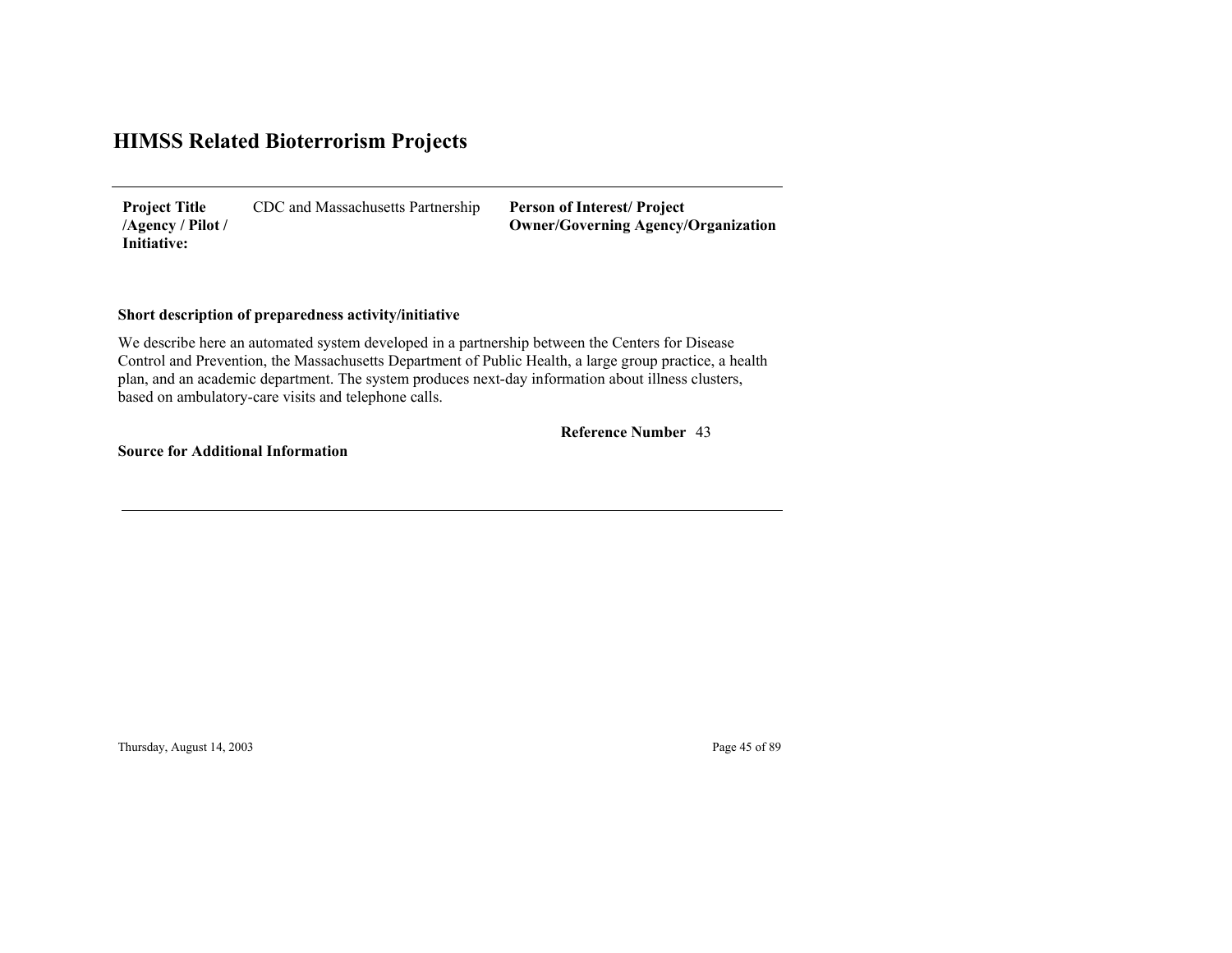CDC and Massachusetts Partnership **Project Title /Agency / Pilot / Initiative:**

**Person of Interest/ Project Owner/Governing Agenc y/Organization**

#### **Short description of preparedness activity/initiative**

We describe here an automated system developed in a partnership between the Centers for Disease Control and Prevention, the Massachusetts Department of Public Health, a large group practice, a health plan, and an academic department. The system produces next-day information about illness clusters, based on ambulatory-care visits and telephone calls.

43 **Reference Number**

**Source for Additional Information**

Thursday, August 14, 2003 Page 45 of 89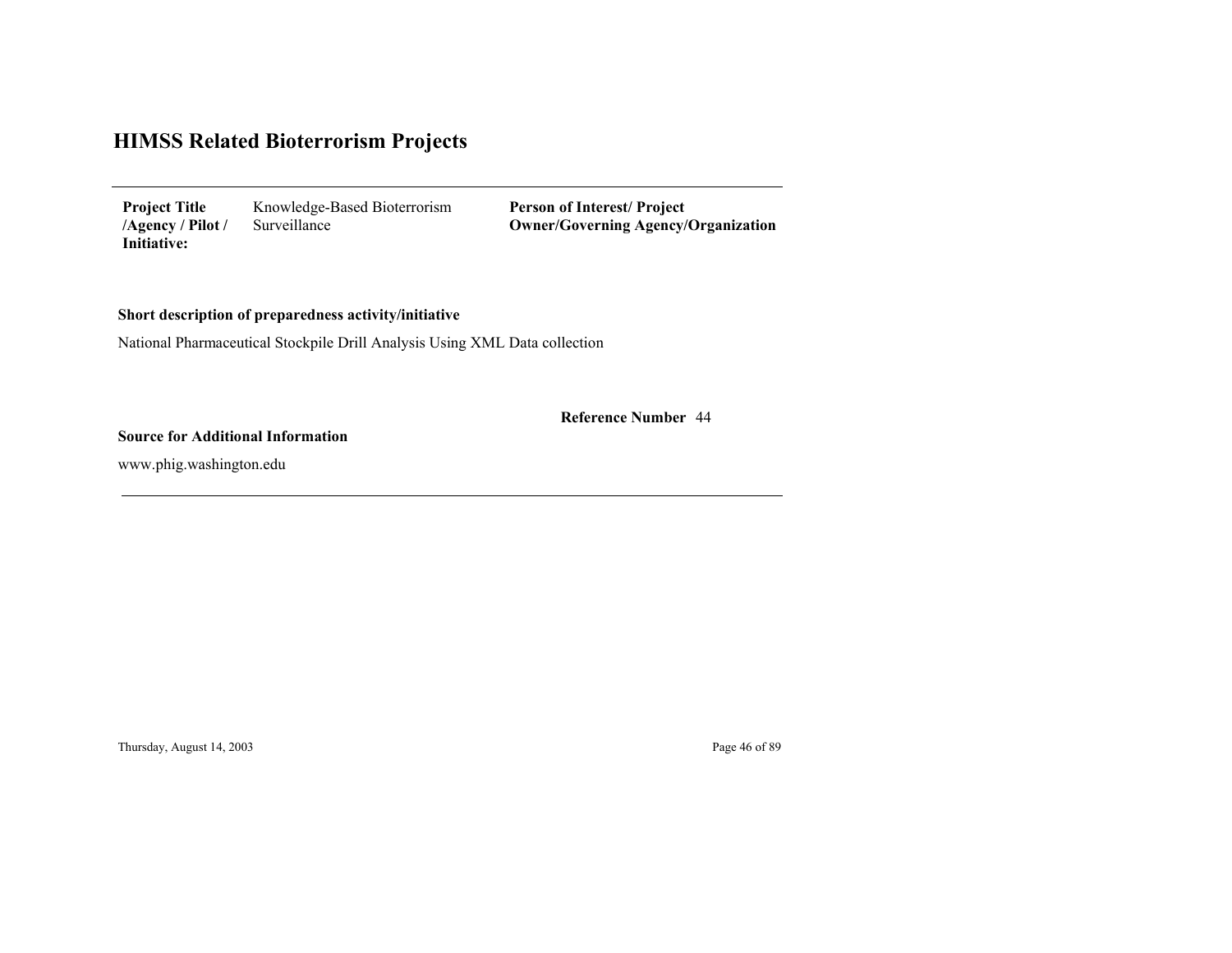| <b>Project Title</b> | Knowledge-Based Bioterrorism |
|----------------------|------------------------------|
| /Agency / Pilot /    | Surveillance                 |
| Initiative:          |                              |

**Person of Interest/ Project Owner/Governing Agenc y/Organization**

#### **Short description of preparedness activity/initiative**

National Pharmaceutical Stockpile Drill Analysis Using XML Data collection

44 **Reference Number**

#### **Source for Additional Information**

www.phig.washington.edu

Thursday, August 14, 2003 Page 46 of 89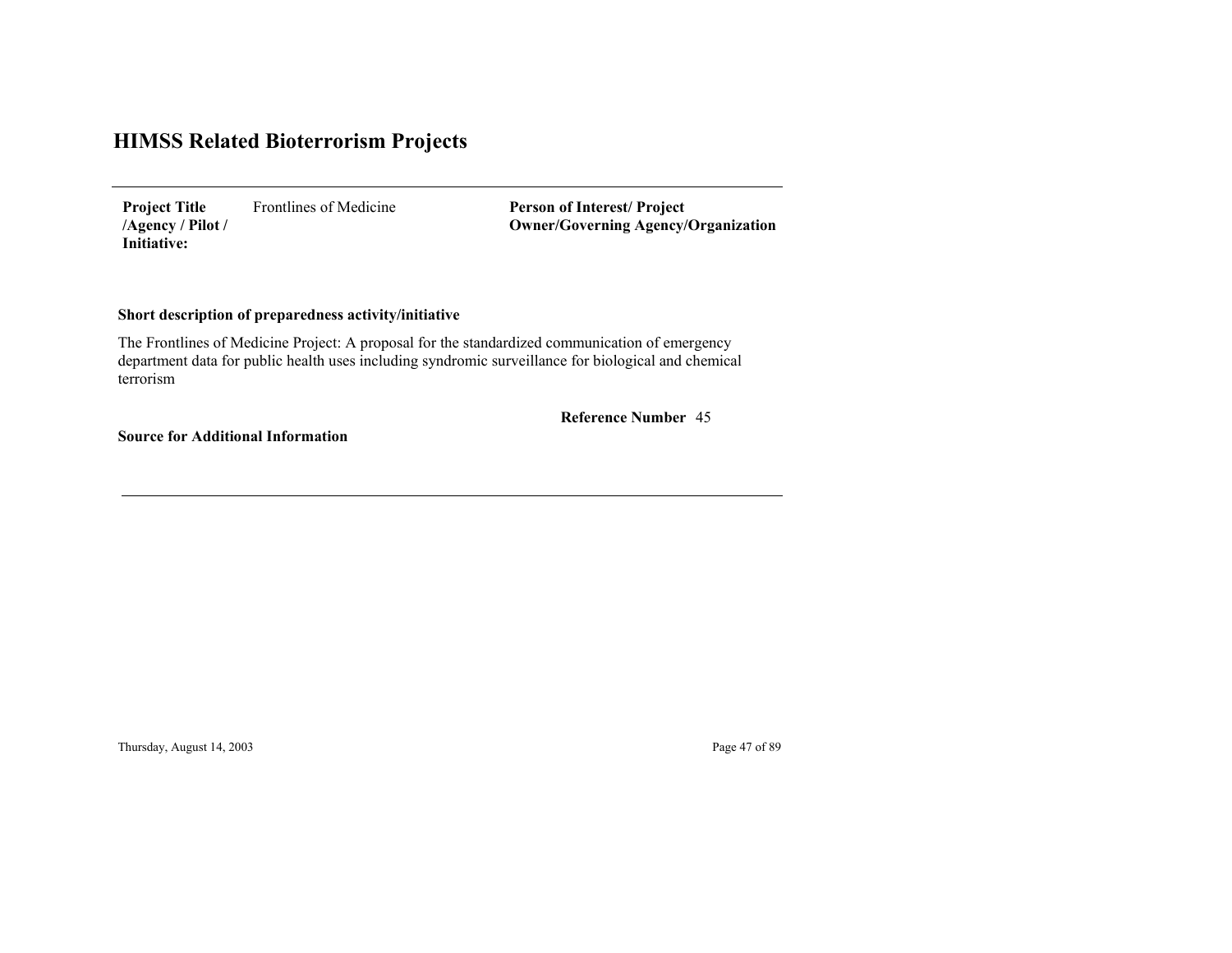Frontlines of Medicine **Project Title /Agency / Pilot / Initiative:**

**Person of Interest/ Project Owner/Governing Agenc y/Organization**

#### **Short description of preparedness activity/initiative**

The Frontlines of Medicine Project: A proposal for the standardized communication of emergency department data for public health uses including syndromic surveillance for biological and chemical terrorism

45 **Reference Number**

**Source for Additional Information**

Thursday, August 14, 2003 Page 47 of 89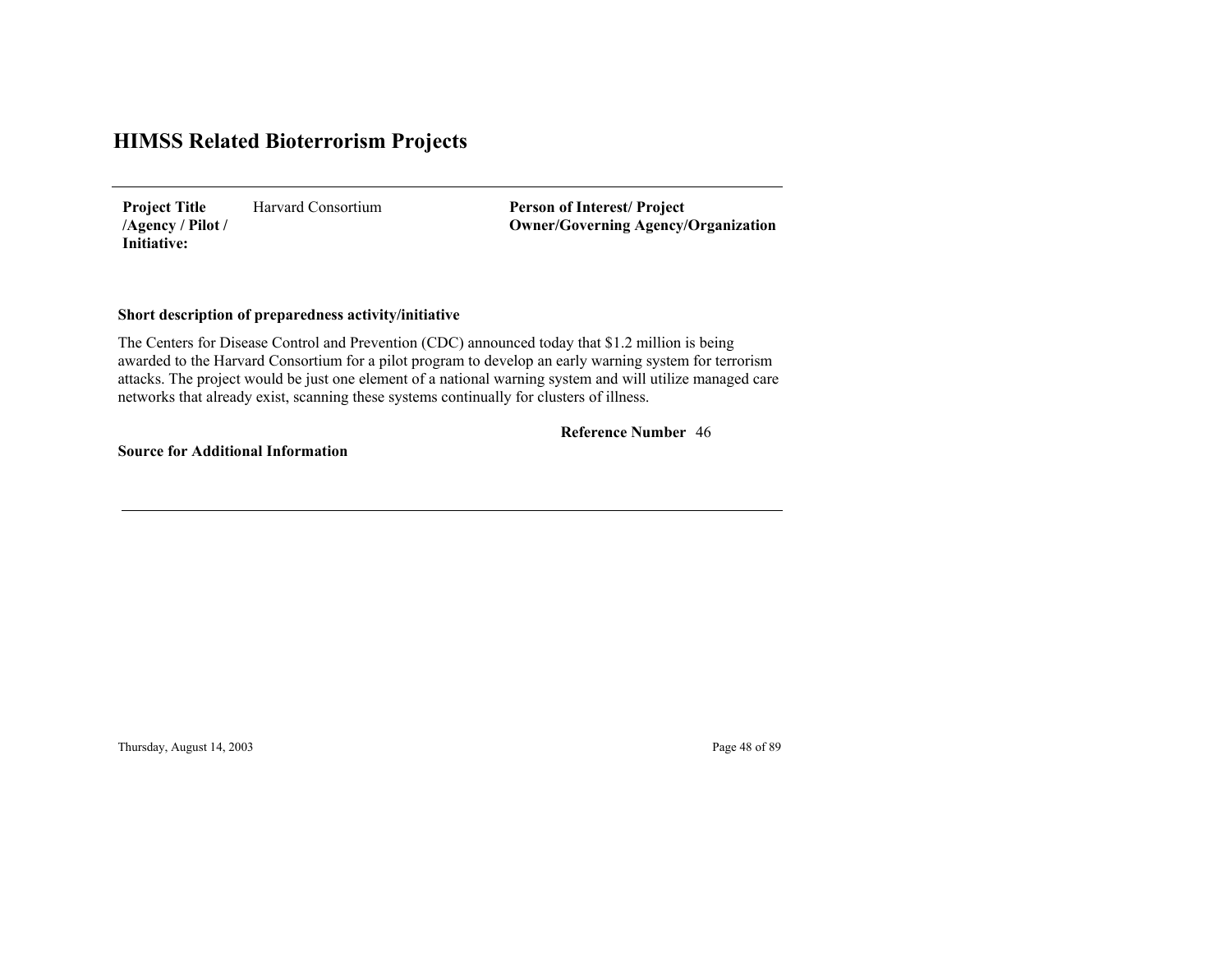Harvard Consortium**Project Title /Agency / Pilot / Initiative:**

**Person of Interest/ Project Owner/Governing Agenc y/Organization**

#### **Short description of preparedness activity/initiative**

The Centers for Disease Control and Prevention (CDC) announced today that \$1.2 million is being awarded to the Harvard Consortium for a pilot program to develop an early warning system for terrorism attacks. The project would be just one element of a national warning system and will utilize managed care networks that already exist, scanning these systems continually for clusters of illness.

#### 46 **Reference Number**

**Source for Additional Information**

Thursday, August 14, 2003 Page 48 of 89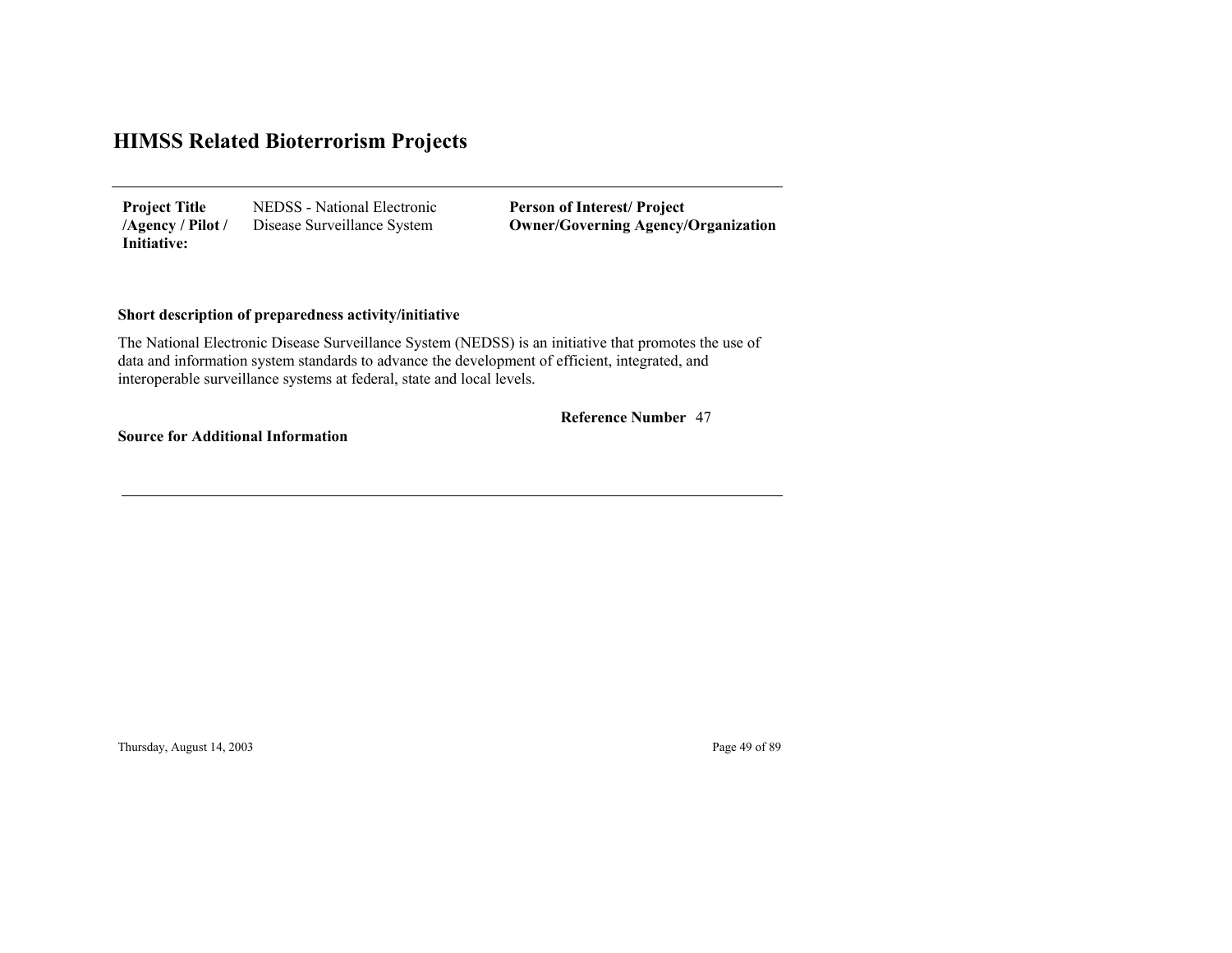NEDSS - National Electronic Disease Surveillance System **Project Title /Agency / Pilot / Initiative:**

**Person of Interest/ Project Owner/Governing Agenc y/Organization**

#### **Short description of preparedness activity/initiative**

The National Electronic Disease Surveillance System (NEDSS) is an initiative that promotes the use of data and information system standards to advance the development of efficient, integrated, and interoperable surveillance systems at federal, state and local levels.

47 **Reference Number**

**Source for Additional Information**

Thursday, August 14, 2003 Page 49 of 89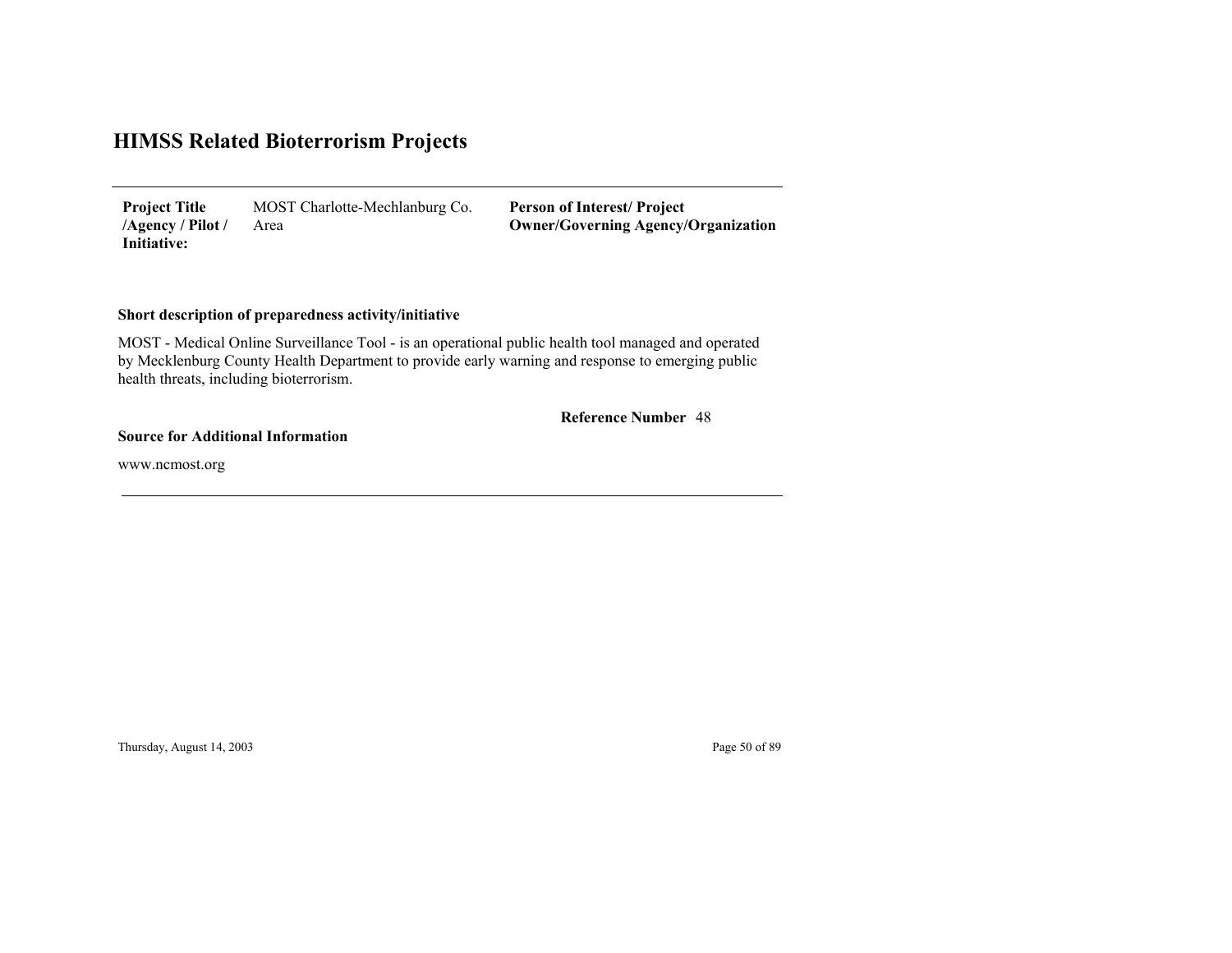MOST Charlotte-Mechlanburg Co. Area **Project Title /Agency / Pilot / Initiative:**

**Person of Interest/ Project Owner/Governing Agenc y/Organization**

#### **Short description of preparedness activity/initiative**

MOST - Medical Online Surveillance Tool - is an operational public health tool managed and operated by Mecklenburg County Health Department to provide early warning and response to emerging public health threats, including bioterrorism.

#### 48 **Reference Number**

#### **Source for Additional Information**

www.ncmost.org

Thursday, August 14, 2003 Page 50 of 89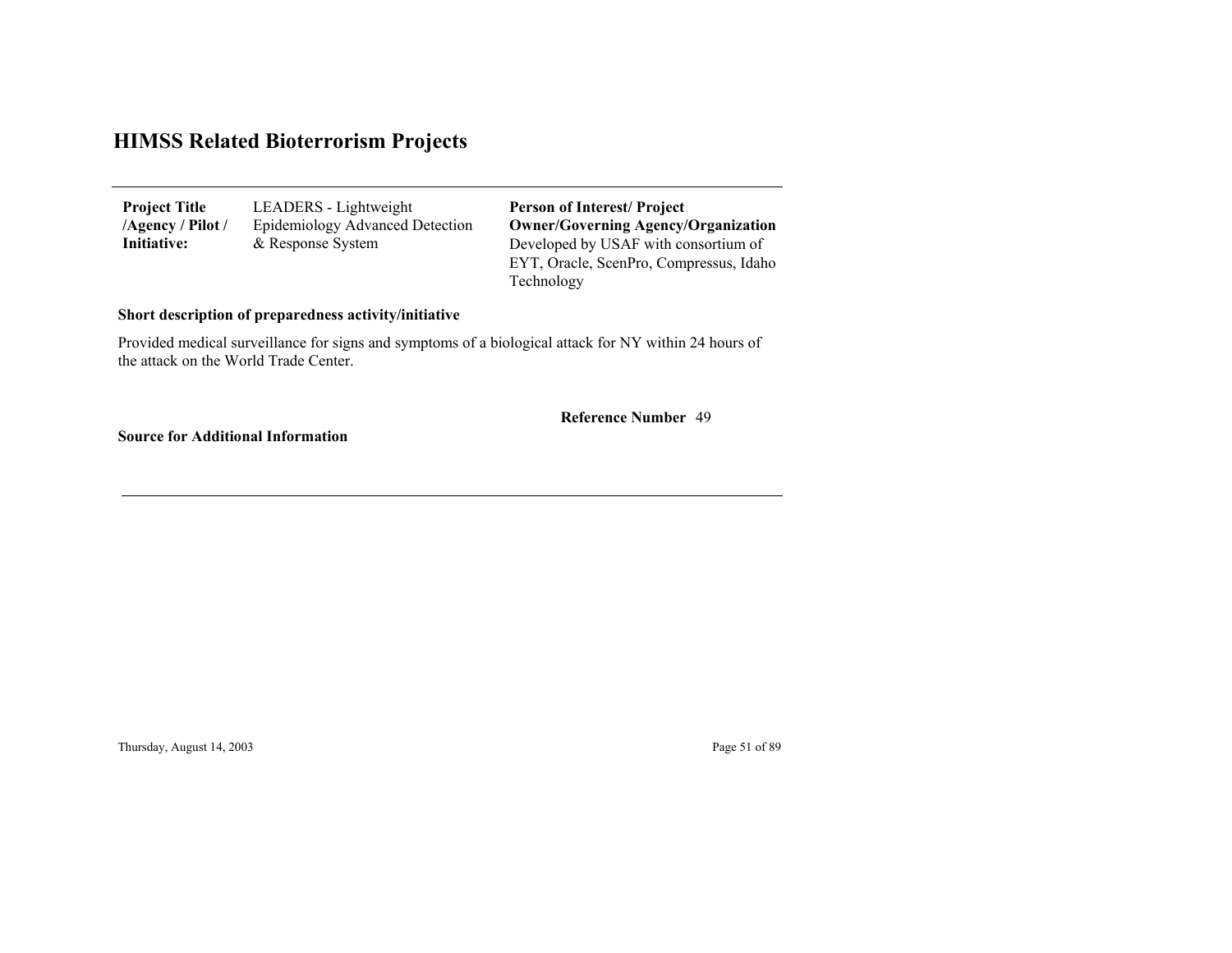| <b>Project Title</b><br>/Agency / Pilot / | LEADERS - Lightweight<br>Epidemiology Advanced Detection | <b>Person of Interest/Project</b><br><b>Owner/Governing Agency/Organization</b> |
|-------------------------------------------|----------------------------------------------------------|---------------------------------------------------------------------------------|
| Initiative:                               | & Response System                                        | Developed by USAF with consortium of<br>EYT, Oracle, ScenPro, Compressus, Idaho |
|                                           |                                                          | Technology                                                                      |

#### **Short description of preparedness activity/initiative**

Provided medical surveillance for signs and symptoms of a biological attack for NY within 24 hours of the attack on the World Trade Center.

49 **Reference Number**

**Source for Additional Information**

Thursday, August 14, 2003 Page 51 of 89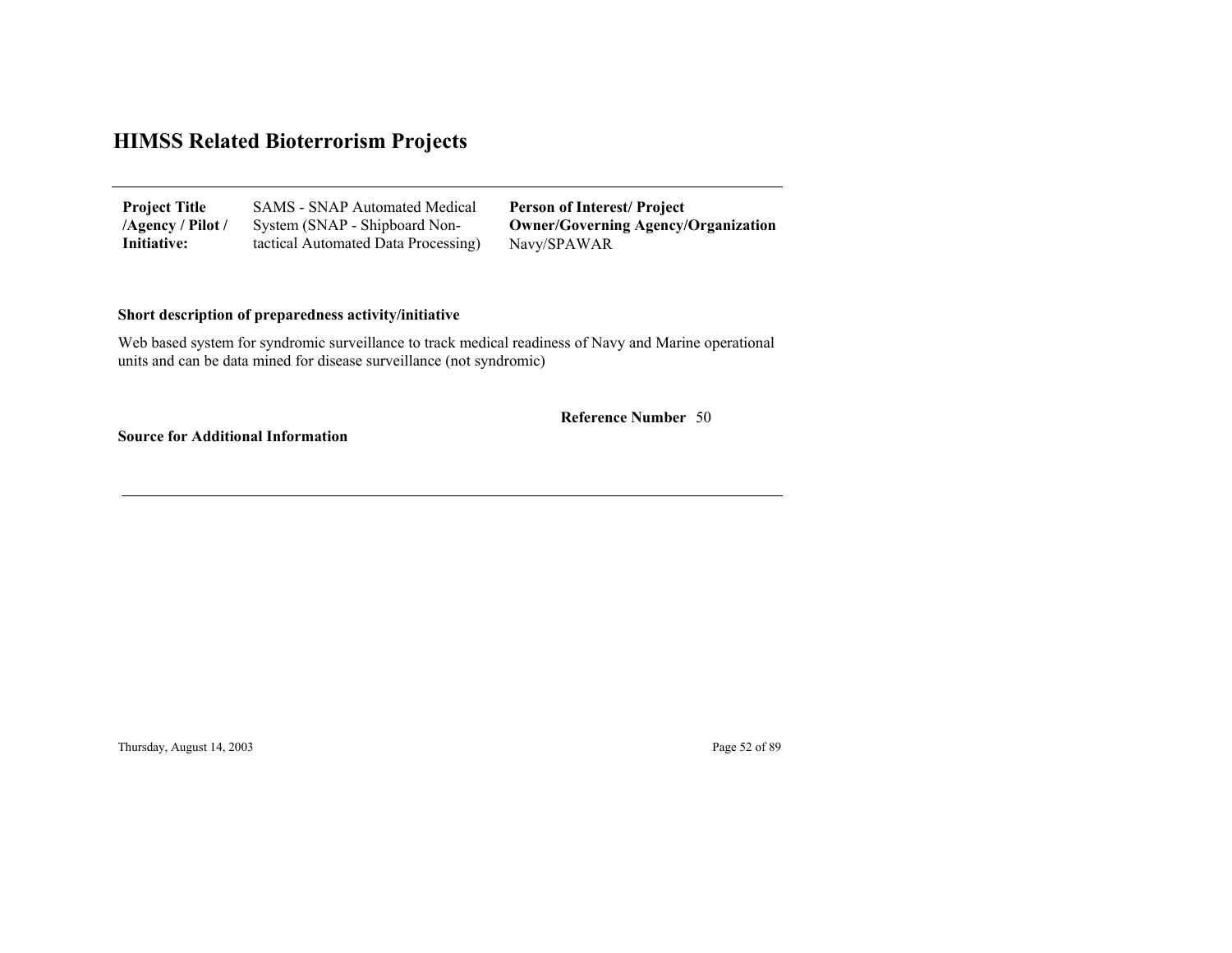| <b>Project Title</b> | <b>SAMS</b> - SNAP Automated Medical | <b>Person of Interest/Project</b>          |
|----------------------|--------------------------------------|--------------------------------------------|
| /Agency / Pilot /    | System (SNAP - Shipboard Non-        | <b>Owner/Governing Agency/Organization</b> |
| Initiative:          | tactical Automated Data Processing)  | Navy/SPAWAR                                |

#### **Short description of preparedness activity/initiative**

Web based system for syndromic surveillance to track medical readiness of Navy and Marine operational units and can be data mined for disease surveillance (not syndromic)

50 **Reference Number**

**Source for Additional Information**

Thursday, August 14, 2003 Page 52 of 89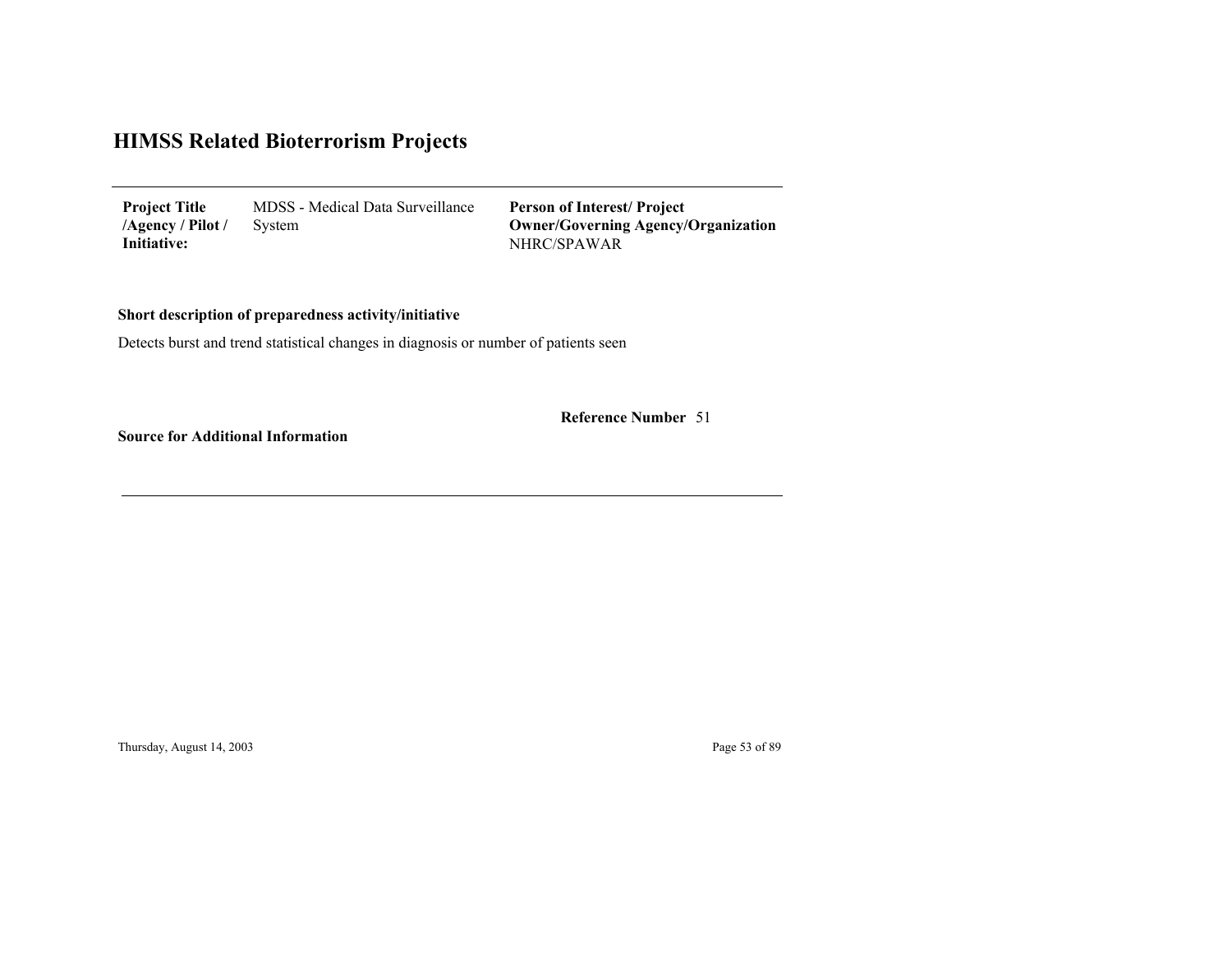MDSS - Medical Data Surveillance System **Project Title /Agency / Pilot / Initiative:**

NHRC/SPAWAR **Person of Interest/ Project Owner/Governing Agenc y/Organization**

**Short description of preparedness activity/initiative**

Detects burst and trend statistical changes in diagnosis or number of patients seen

**Reference Number** 51

**Source for Additional Information**

Thursday, August 14, 2003 Page 53 of 89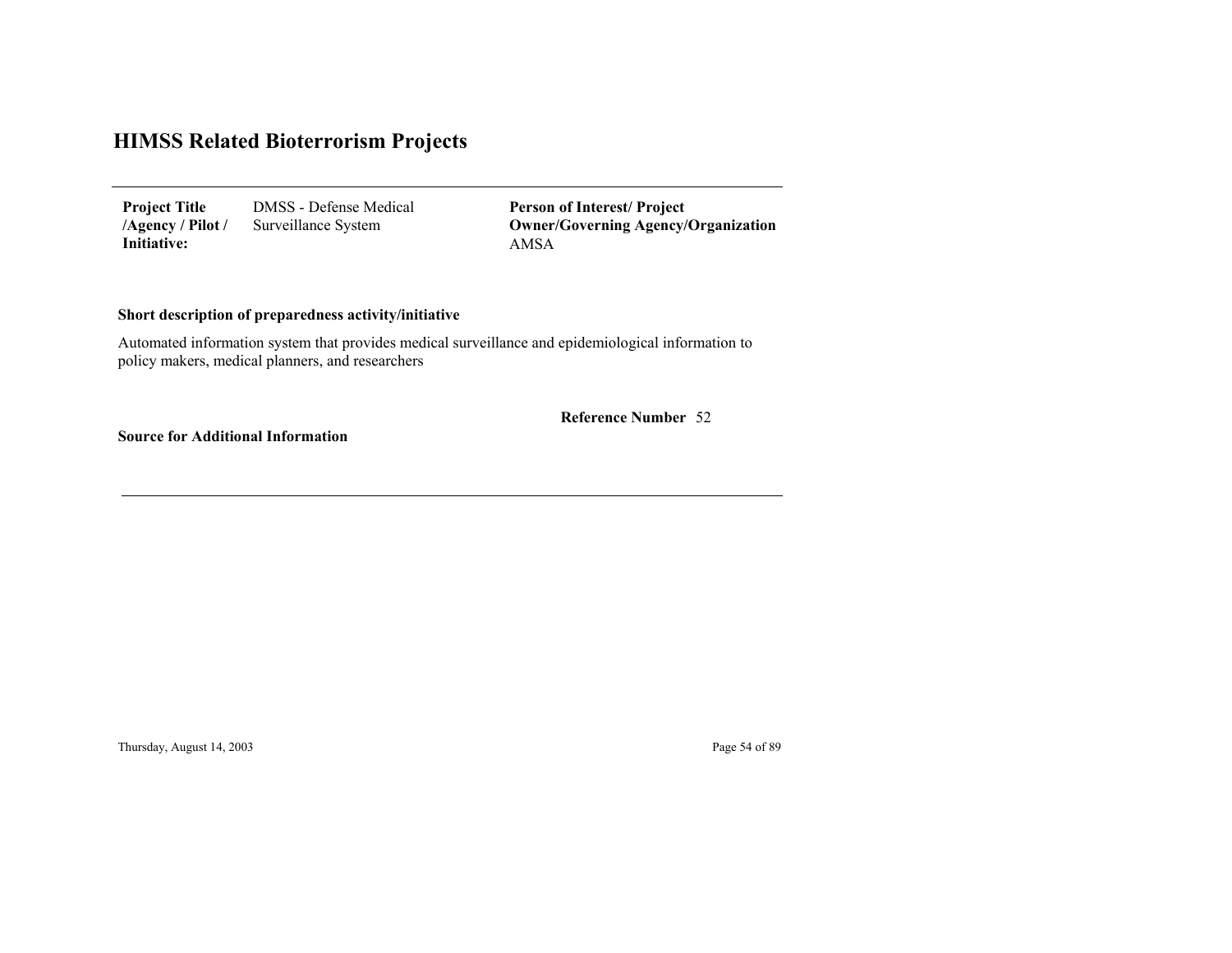DMSS - Defense Medical Surveillance System **Project Title /Agency / Pilot / Initiative:**

AMSA**Person of Interest/ Project Owner/Governing Agenc y/Organization**

#### **Short description of preparedness activity/initiative**

Automated information system that provides medical surveillance and epidemiological information to policy makers, medical planners, and researchers

52 **Reference Number**

**Source for Additional Information**

Thursday, August 14, 2003 Page 54 of 89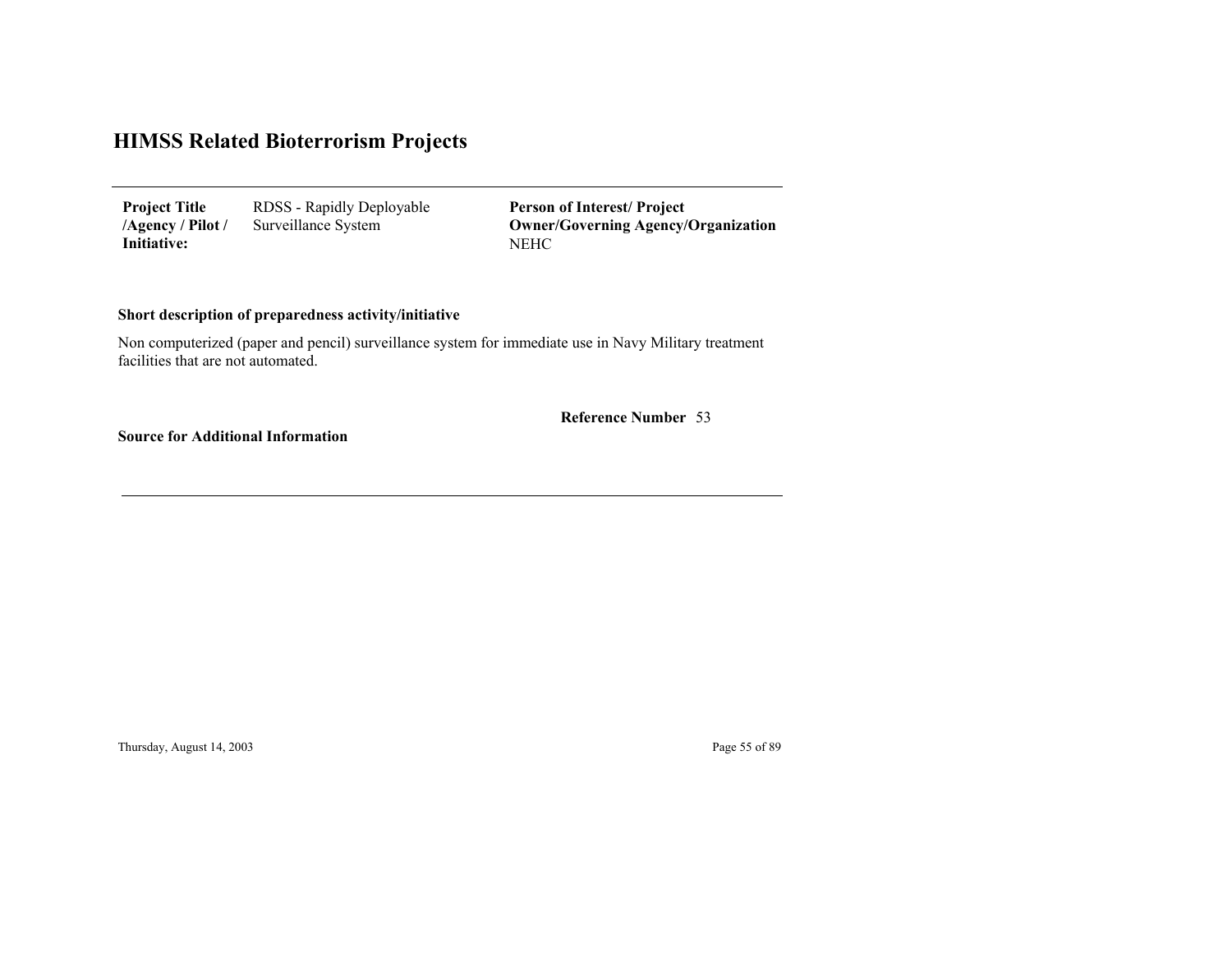RDSS - Rapidly Deployable Surveillance System **Project Title /Agency / Pilot / Initiative:**

NEHC**Person of Interest/ Project Owner/Governing Agenc y/Organization**

#### **Short description of preparedness activity/initiative**

Non computerized (paper and pencil) surveillance system for immediate use in Navy Military treatment facilities that are not automated.

53 **Reference Number**

**Source for Additional Information**

Thursday, August 14, 2003 Page 55 of 89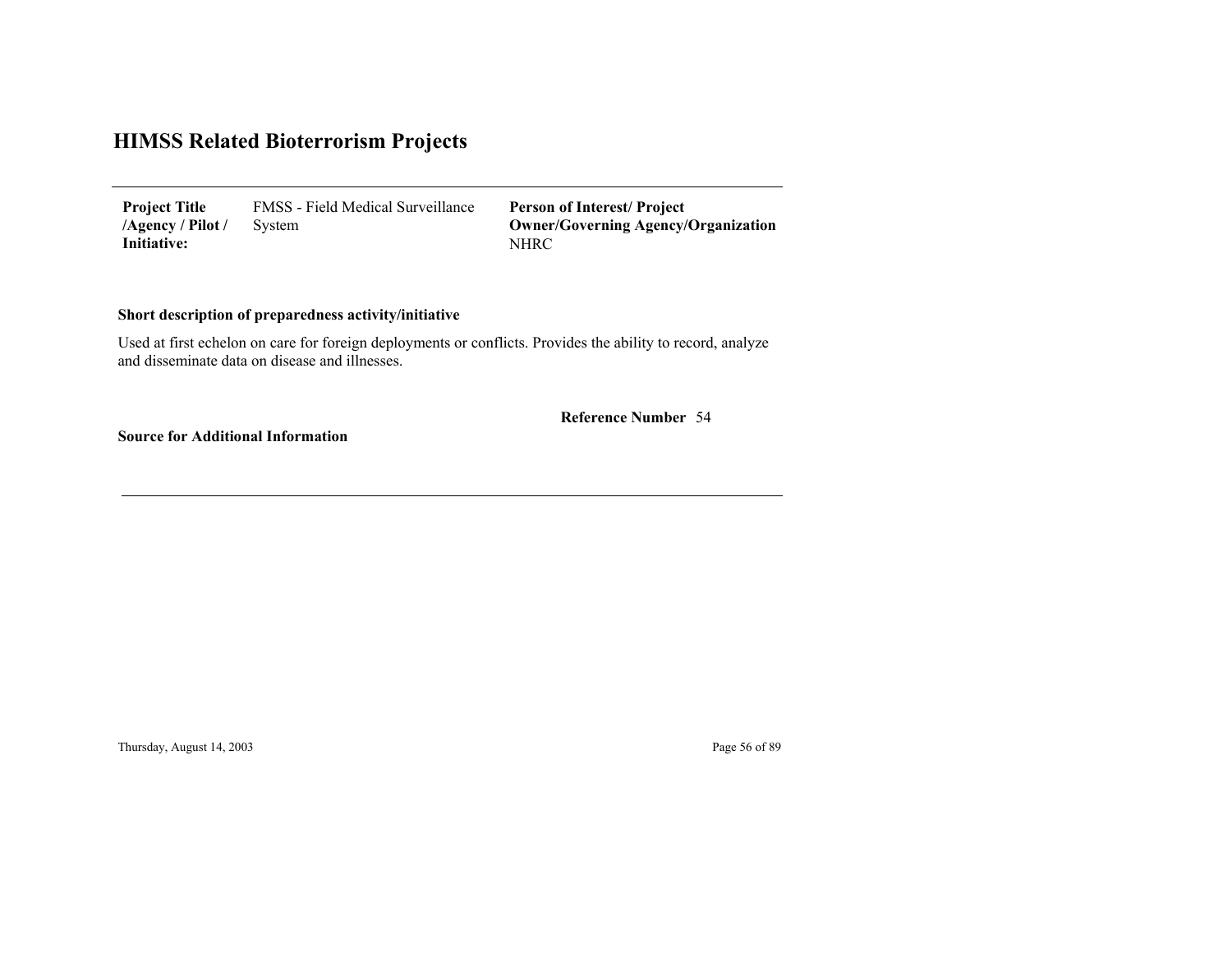FMSS - Field Medical Surveillance System **Project Title /Agency / Pilot / Initiative:**

NHRC **Person of Interest/ Project Owner/Governing Agenc y/Organization**

#### **Short description of preparedness activity/initiative**

Used at first echelon on care for foreign deployments or conflicts. Provides the ability to record, analyze and disseminate data on disease and illnesses.

54 **Reference Number**

**Source for Additional Information**

Thursday, August 14, 2003 Page 56 of 89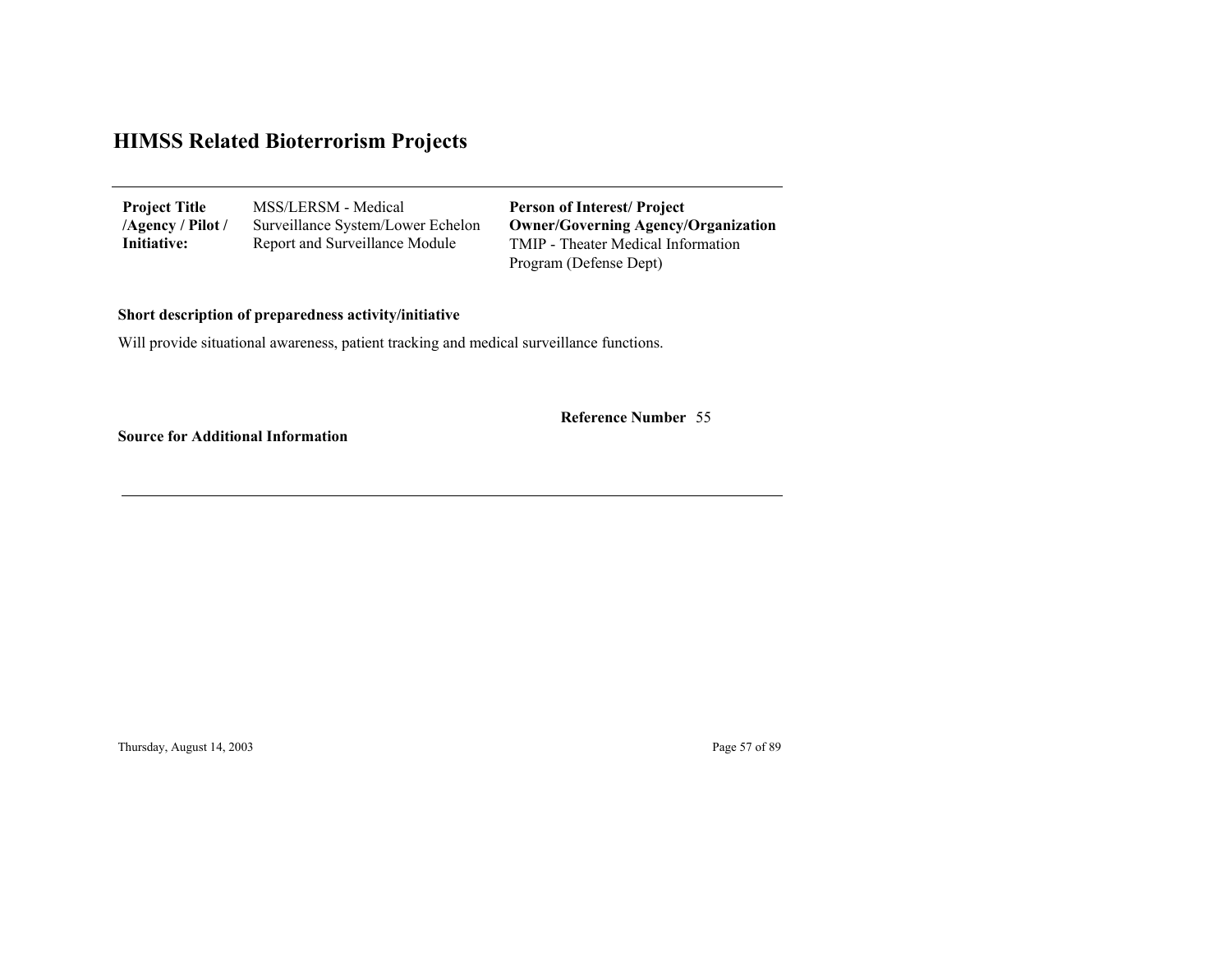| <b>Project Title</b> | MSS/LERSM - Medical               | <b>Person of Interest/Project</b>                            |
|----------------------|-----------------------------------|--------------------------------------------------------------|
| /Agency / Pilot /    | Surveillance System/Lower Echelon | <b>Owner/Governing Agency/Organization</b>                   |
| Initiative:          | Report and Surveillance Module    | TMIP - Theater Medical Information<br>Program (Defense Dept) |

#### **Short description of preparedness activity/initiative**

Will provide situational awareness, patient tracking and medical surveillance functions.

55 **Reference Number**

**Source for Additional Information**

Thursday, August 14, 2003 Page 57 of 89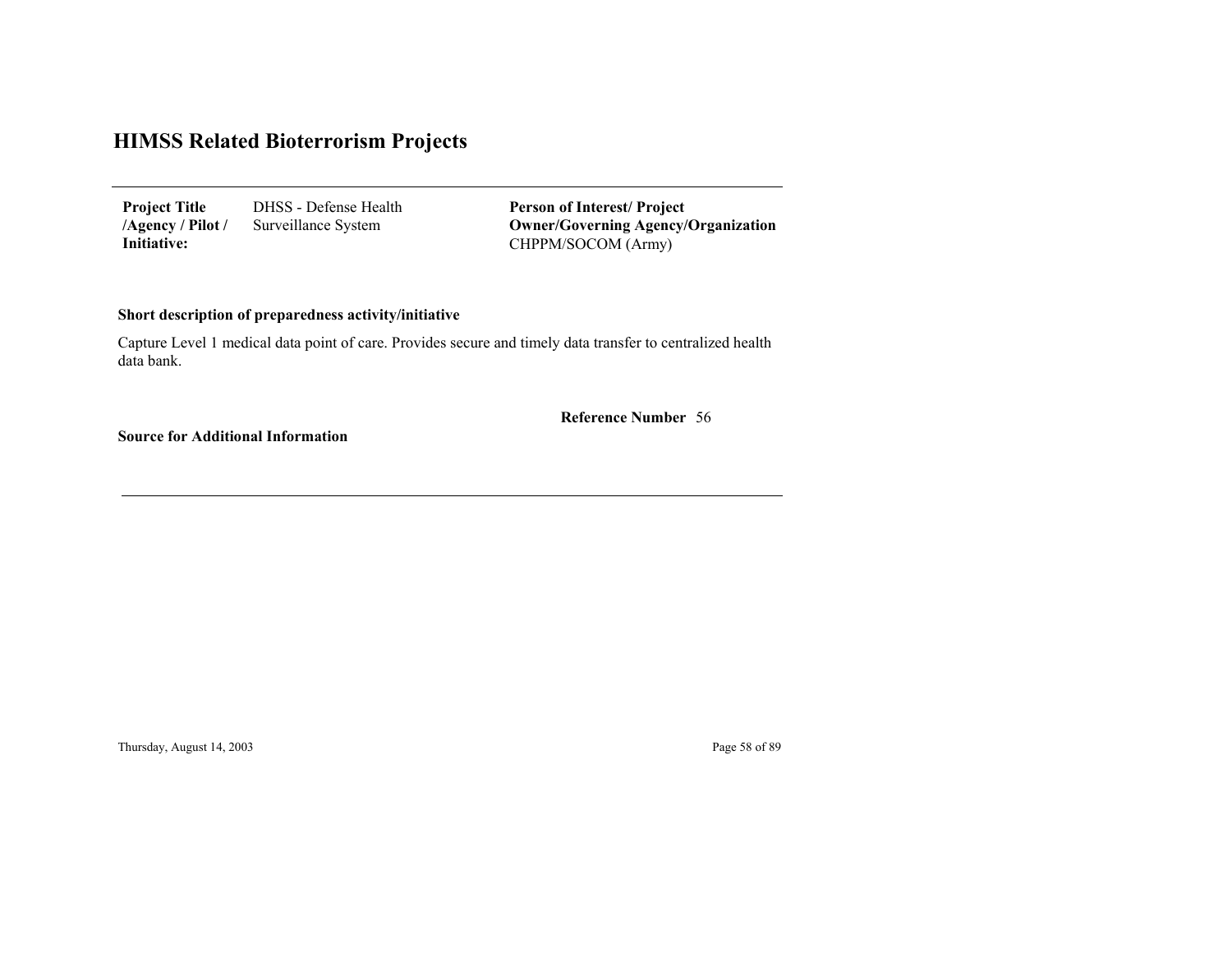DHSS - Defense Health Surveillance System **Project Title /Agency / Pilot / Initiative:**

CHPPM/SOCOM (Army) **Person of Interest/ Project Owner/Governing Agenc y/Organization**

#### **Short description of preparedness activity/initiative**

Capture Level 1 medical data point of care. Provides secure and timely data transfer to centralized health data bank.

56 **Reference Number**

**Source for Additional Information**

Thursday, August 14, 2003 Page 58 of 89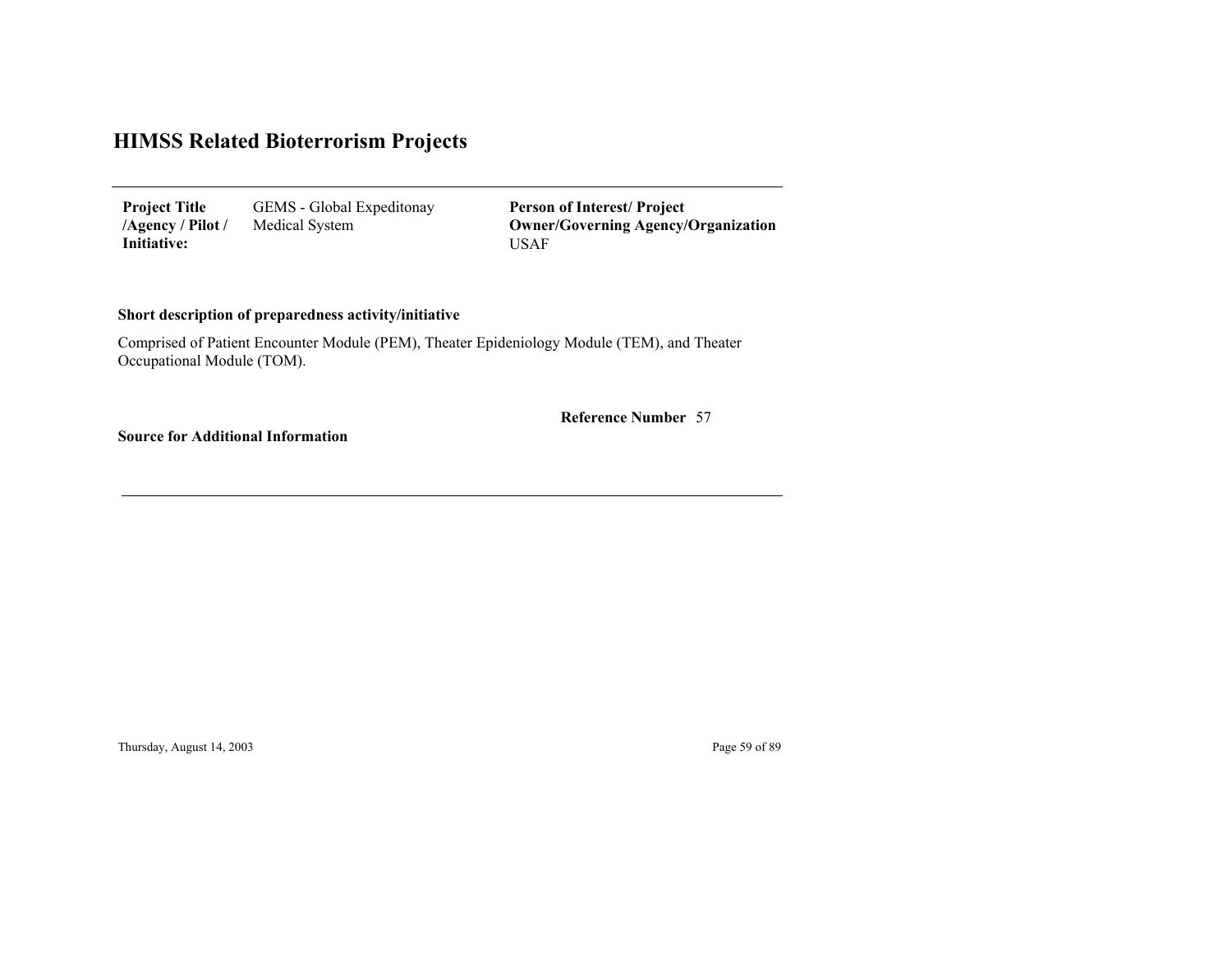GEMS - Global Expeditonay Medical System **Project Title /Agency / Pilot / Initiative:**

USAF**Person of Interest/ Project Owner/Governing Agenc y/Organization**

#### **Short description of preparedness activity/initiative**

Comprised of Patient Encounter Module (PEM), Theater Epideniology Module (TEM), and Theater Occupational Module (TOM).

57 **Reference Number**

**Source for Additional Information**

Thursday, August 14, 2003 Page 59 of 89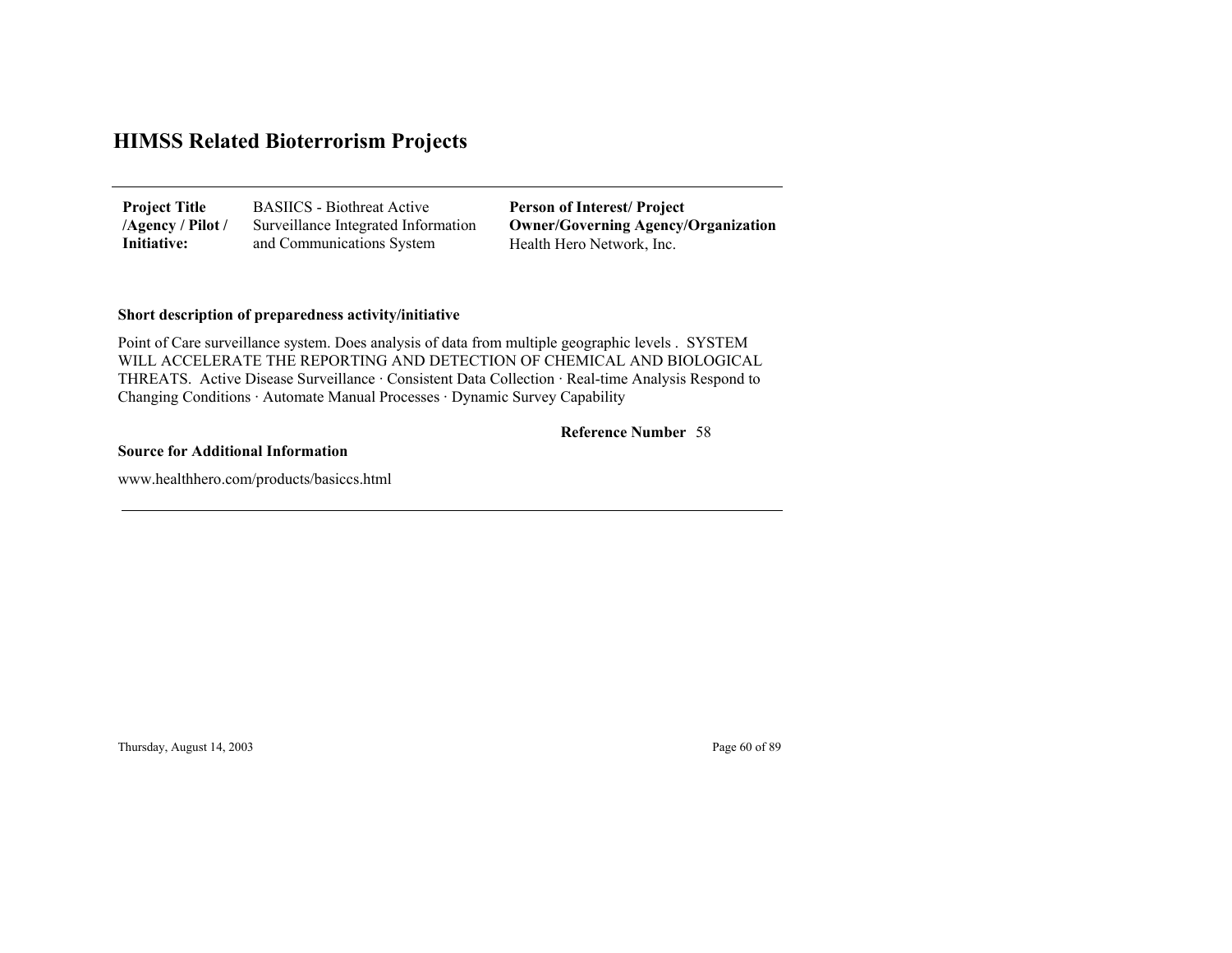| <b>Project Title</b> | <b>BASIICS</b> - Biothreat Active   | <b>Person of Interest/Project</b>          |
|----------------------|-------------------------------------|--------------------------------------------|
| /Agency / Pilot /    | Surveillance Integrated Information | <b>Owner/Governing Agency/Organization</b> |
| Initiative:          | and Communications System           | Health Hero Network, Inc.                  |

#### **Short description of preparedness activity/initiative**

Point of Care surveillance system. Does analysis of data from multiple geographic levels . SYSTEM WILL ACCELERATE THE REPORTING AND DETECTION OF CHEMICAL AND BIOLOGICAL THREATS. Active Disease Surveillance · Consistent Data Collection · Real-time Analysis Respond to Changing Conditions · Automate Manual Processes · Dynamic Survey Capability

#### 58 **Reference Number**

#### **Source for Additional Information**

www.healthhero.com/products/basiccs.html

Thursday, August 14, 2003 Page 60 of 89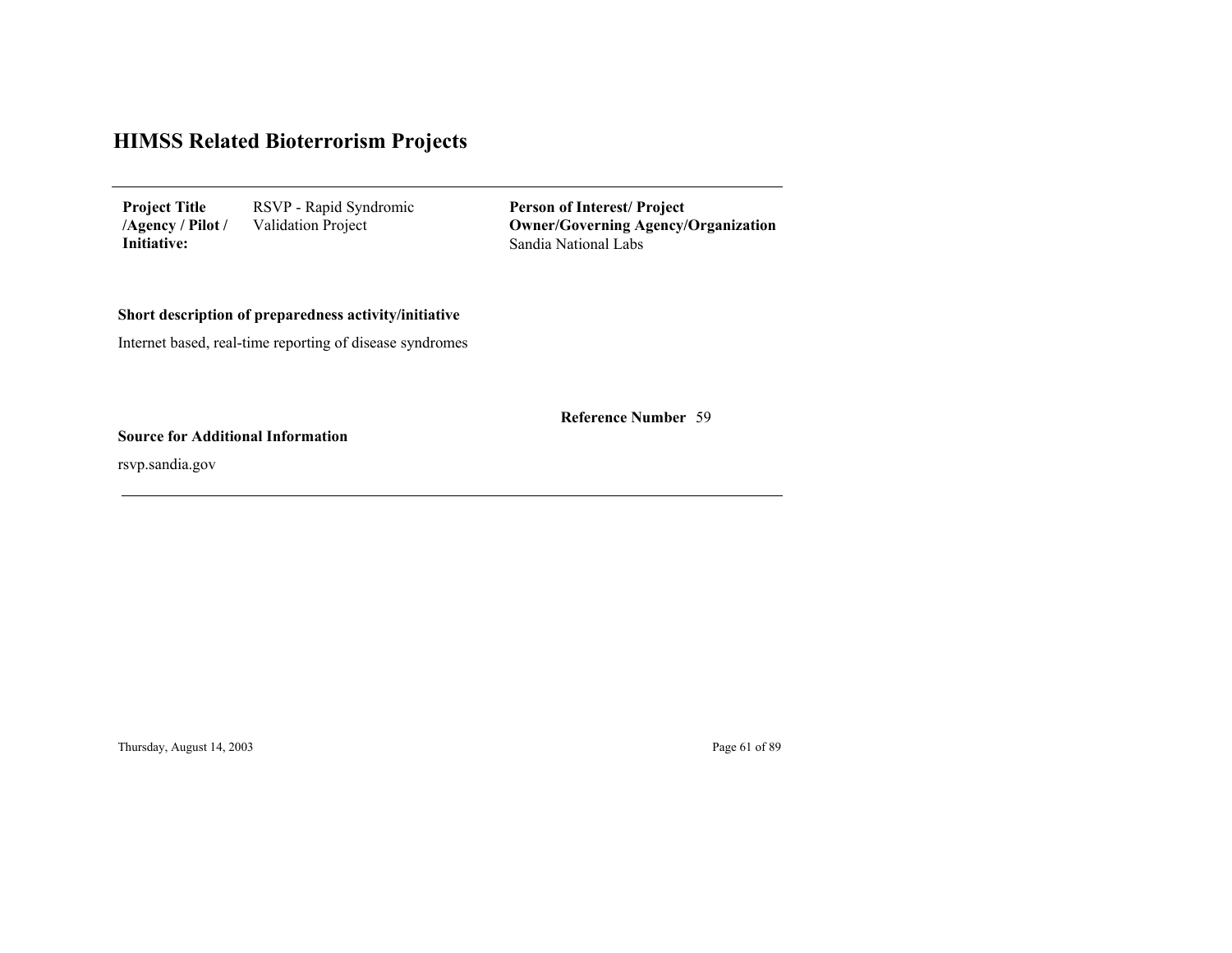| <b>Project Title</b> | RSVP - Rapid Syndromic    |
|----------------------|---------------------------|
| $/$ Agency / Pilot / | <b>Validation Project</b> |
| Initiative:          |                           |

Sandia National Labs **Person of Interest/ Project Owner/Governing Agenc y/Organization**

#### **Short description of preparedness activity/initiative**

Internet based, real-time reporting of disease syndromes

59 **Reference Number**

**Source for Additional Information**

rsvp.sandia.gov

Thursday, August 14, 2003 Page 61 of 89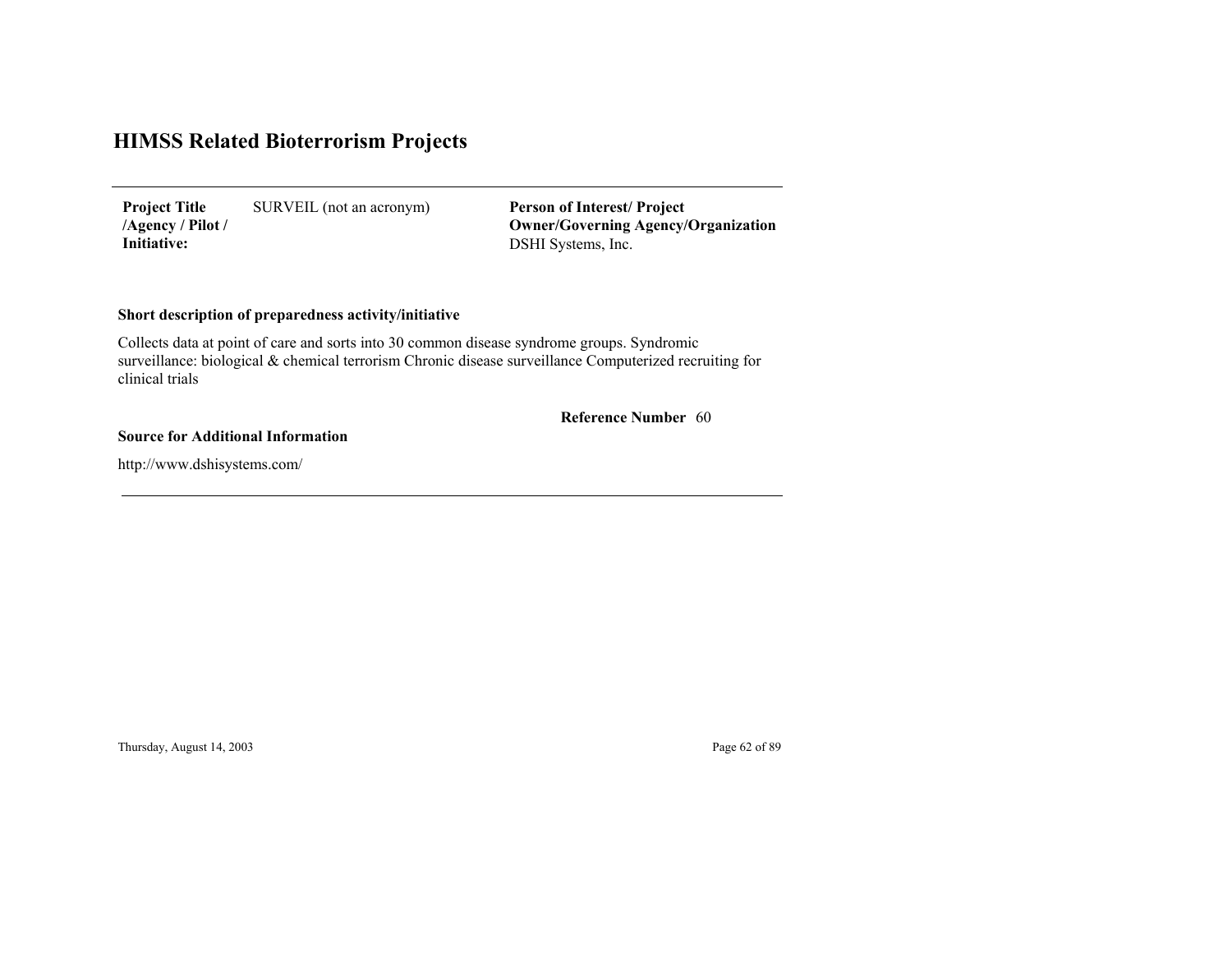SURVEIL (not an acronym) **Project Title /Agency / Pilot / Initiative:**

DSHI Systems, Inc. **Person of Interest/ Project Owner/Governing Agenc y/Organization**

#### **Short description of preparedness activity/initiative**

Collects data at point of care and sorts into 30 common disease syndrome groups. Syndromic surveillance: biological & chemical terrorism Chronic disease surveillance Computerized recruiting for clinical trials

#### 60 **Reference Number**

#### **Source for Additional Information**

http://www.dshisystems.com/

Thursday, August 14, 2003 Page 62 of 89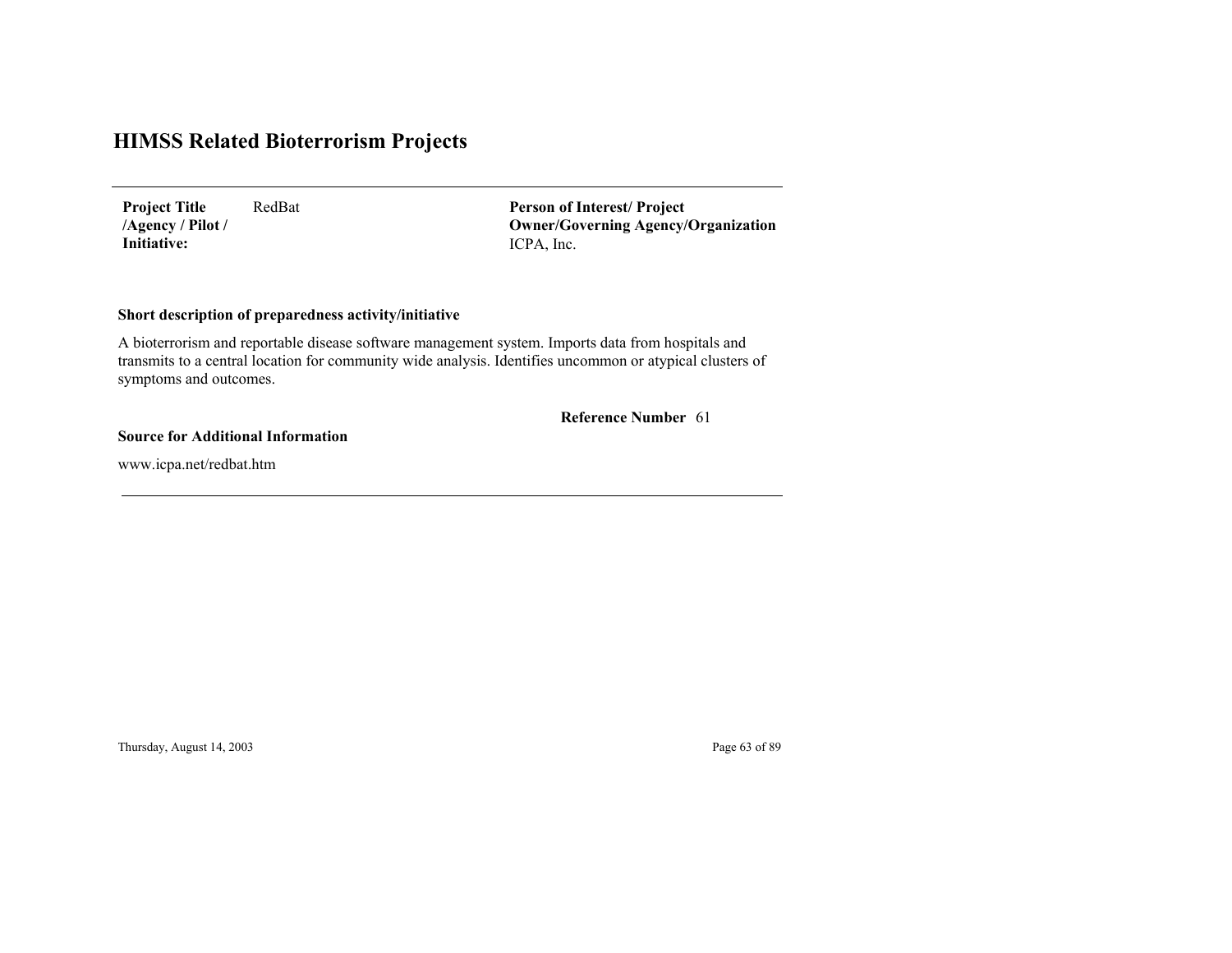RedBat **Project Title /Agency / Pilot / Initiative:**

ICPA, Inc. **Person of Interest/ Project Owner/Governing Agenc y/Organization**

#### **Short description of preparedness activity/initiative**

A bioterrorism and reportable disease software management system. Imports data from hospitals and transmits to a central location for community wide analysis. Identifies uncommon or atypical clusters of symptoms and outcomes.

**Reference Number** 61

#### **Source for Additional Information**

www.icpa.net/redbat.htm

Thursday, August 14, 2003 Page 63 of 89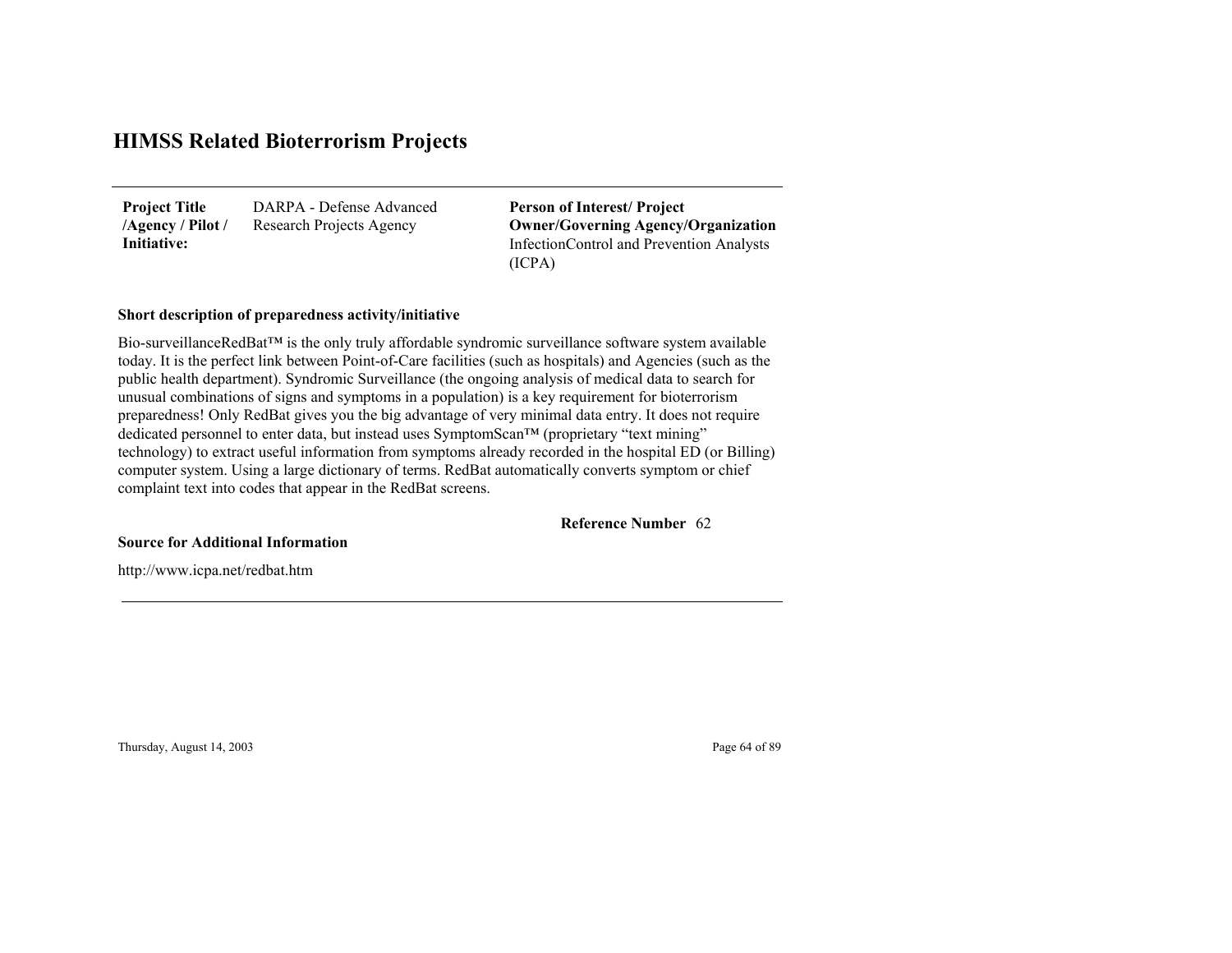DARPA - Defense Advanced Research Projects Agency **Project Title /Agency / Pilot / Initiative:**

InfectionControl and Prevention Analysts (ICPA) **Person of Interest/ Project Owner/Governing Agenc y/Organization**

#### **Short description of preparedness activity/initiative**

Bio-surveillanceRedBat™ is the only truly affordable syndromic surveillance software system available today. It is the perfect link between Point-of-Care facilities (such as hospitals) and Agencies (such as the public health department). Syndromic Surveillance (the ongoing analysis of medical data to search for unusual combinations of signs and symptoms in a population) is a key requirement for bioterrorism preparedness! Only RedBat gives you the big advantage of very minimal data entry. It does not require dedicated personnel to enter data, but instead uses SymptomScan™ (proprietary "text mining" technology) to extract useful information from symptoms already recorded in the hospital ED (or Billing) computer system. Using a large dictionary of terms. RedBat automatically converts symptom or chief complaint text into codes that appear in the RedBat screens.

62**Reference Number**

**Source for Additional Information**

http://www.icpa.net/redbat.htm

Thursday, August 14, 2003 Page 64 of 89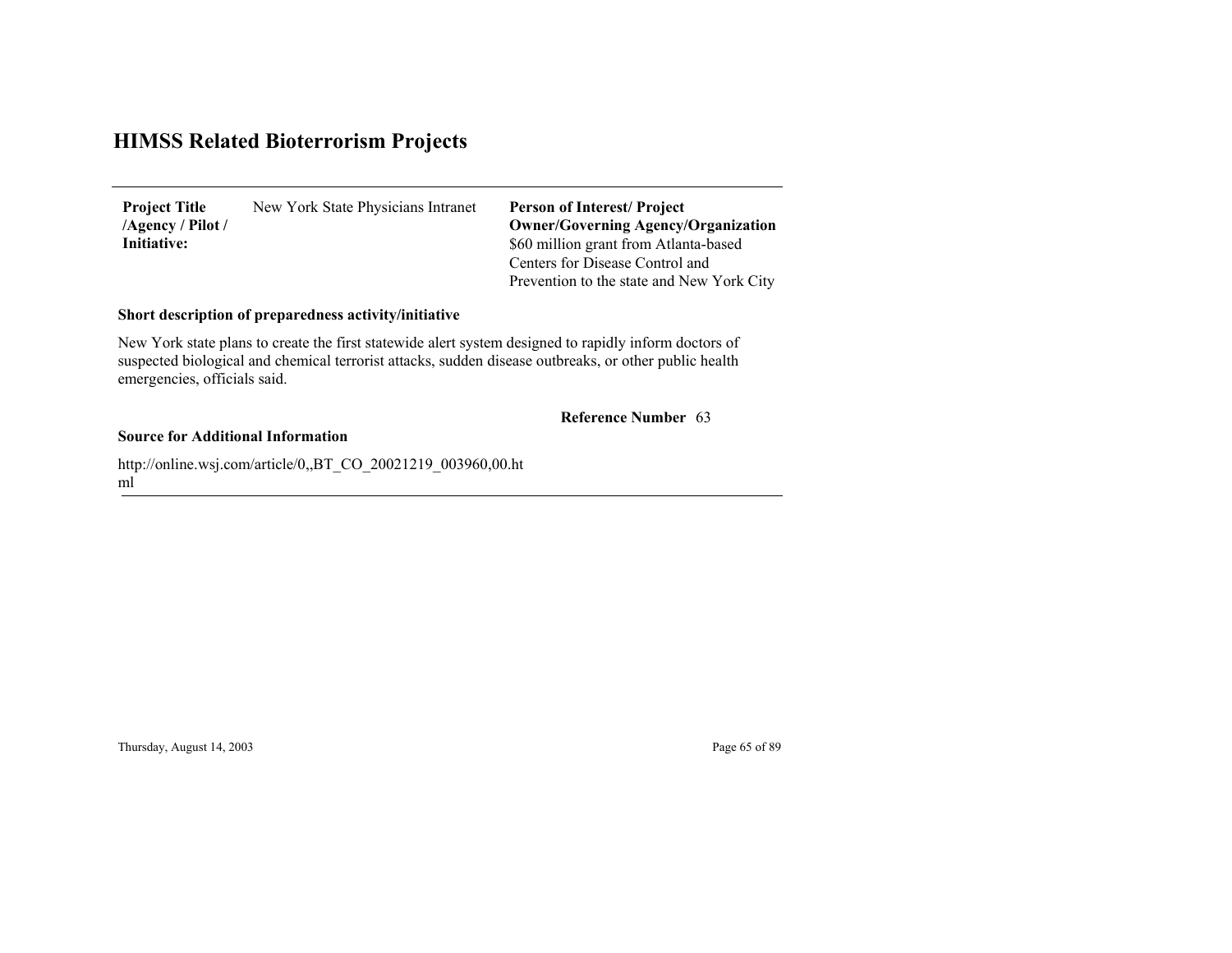New York State Physicians Intranet **Project Title /Agency / Pilot / Initiative:**

\$60 million grant from Atlanta-based Centers for Disease Control and Prevention to the state and New York City **Person of Interest/ Project Owner/Governing Agenc y/Organization**

#### **Short description of preparedness activity/initiative**

New York state plans to create the first statewide alert system designed to rapidly inform doctors of suspected biological and chemical terrorist attacks, sudden disease outbreaks, or other public health emergencies, officials said.

#### 63 **Reference Number**

#### **Source for Additional Information**

http://online.wsj.com/article/0,,BT\_CO\_20021219\_003960,00.ht ml

Thursday, August 14, 2003 Page 65 of 89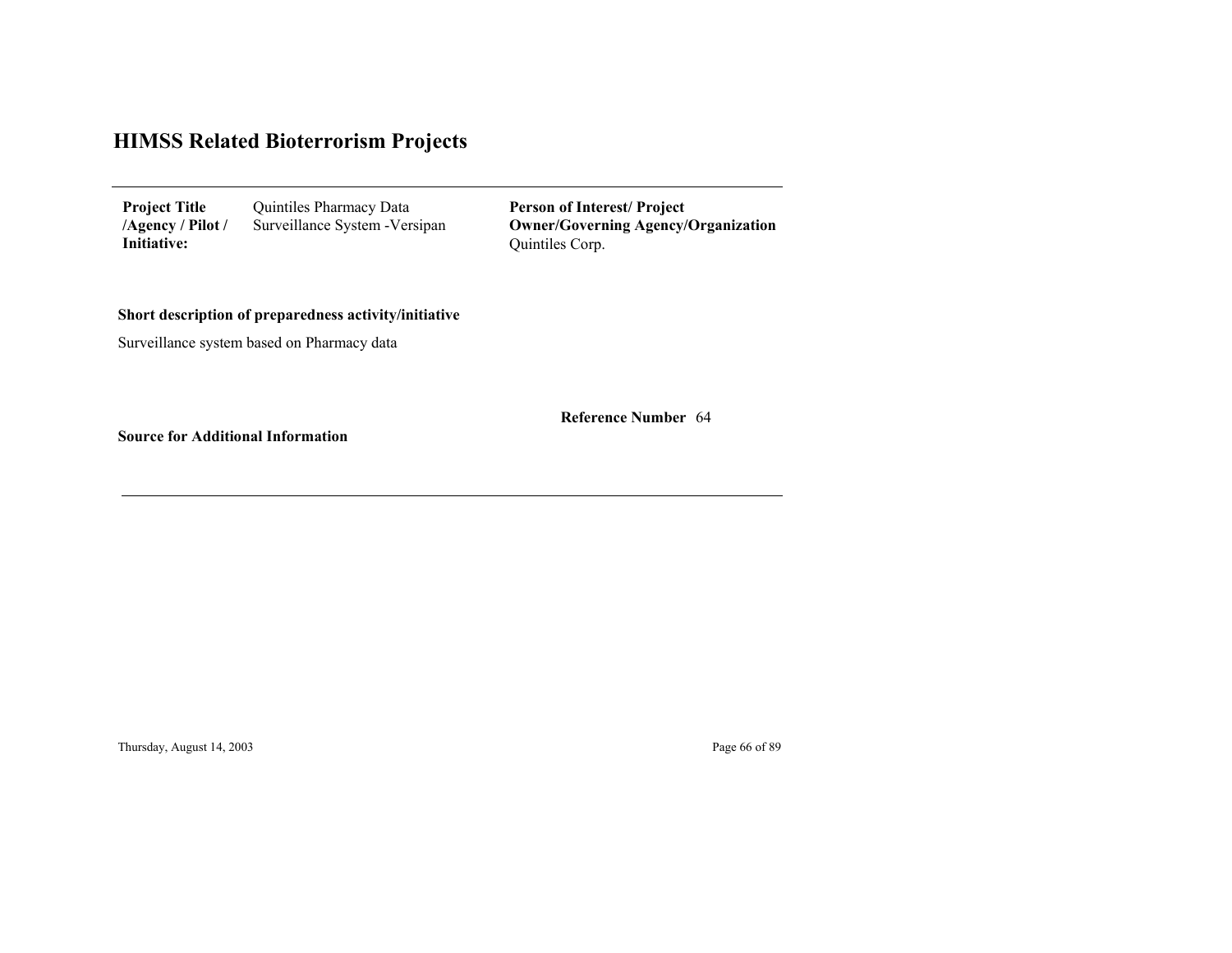| <b>Project Title</b> | Quintiles Pharmacy Data        |
|----------------------|--------------------------------|
| /Agency / Pilot /    | Surveillance System - Versipan |
| Initiative:          |                                |

Quintiles Corp. **Person of Interest/ Project Owner/Governing Agenc y/Organization**

64 **Reference Number**

#### **Short description of preparedness activity/initiative**

Surveillance system based on Pharmacy data

**Source for Additional Information**

Thursday, August 14, 2003 Page 66 of 89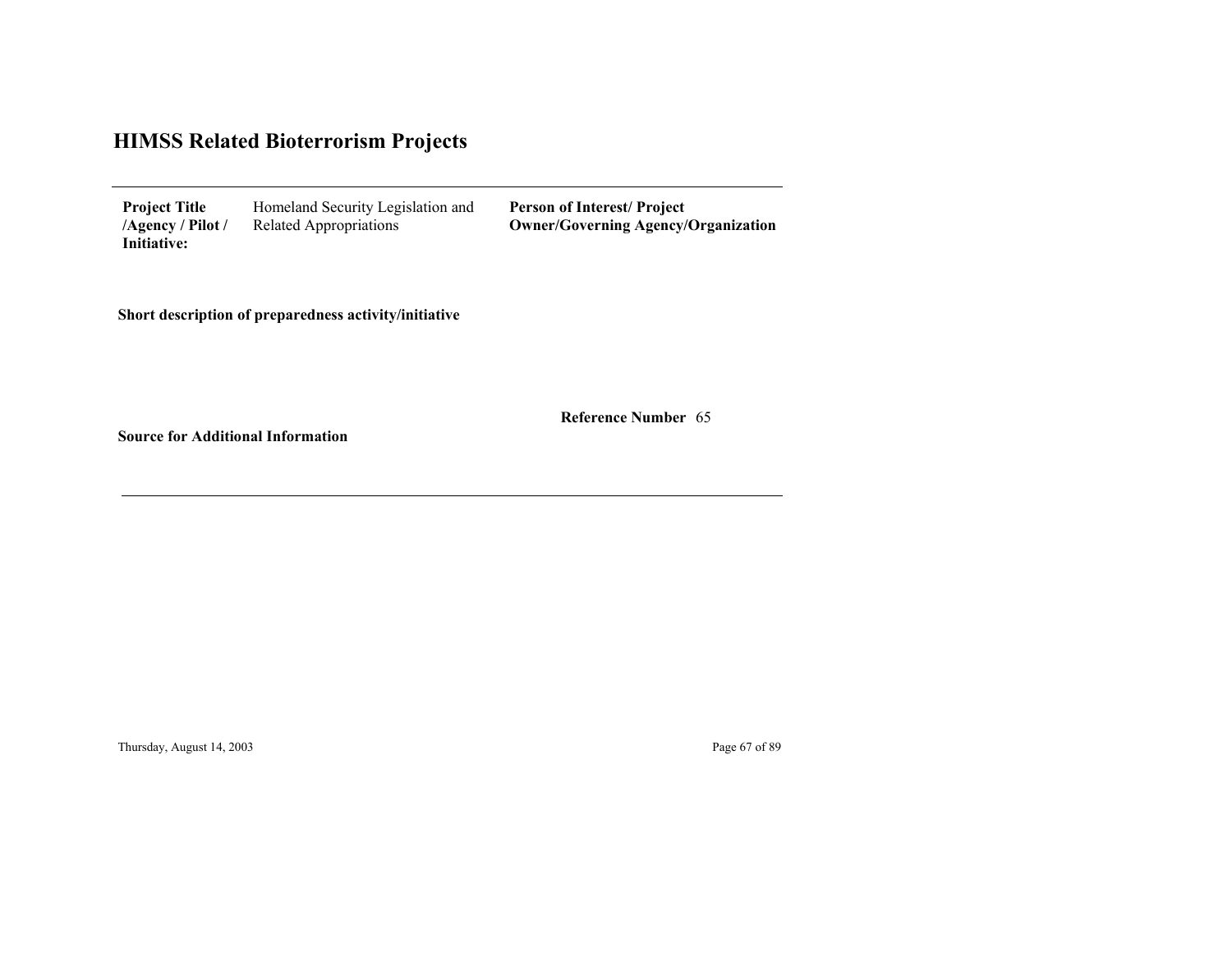| <b>Project Title</b> | Homeland Security Legislation and | <b>Person of Interest/Project</b>          |
|----------------------|-----------------------------------|--------------------------------------------|
| /Agency / Pilot /    | Related Appropriations            | <b>Owner/Governing Agency/Organization</b> |
| Initiative:          |                                   |                                            |

**Short description of preparedness activity/initiative**

65 **Reference Number**

<u> 1989 - Johann Stoff, deutscher Stoffen und der Stoffen und der Stoffen und der Stoffen und der Stoffen und der</u>

**Source for Additional Information**

Thursday, August 14, 2003 Page 67 of 89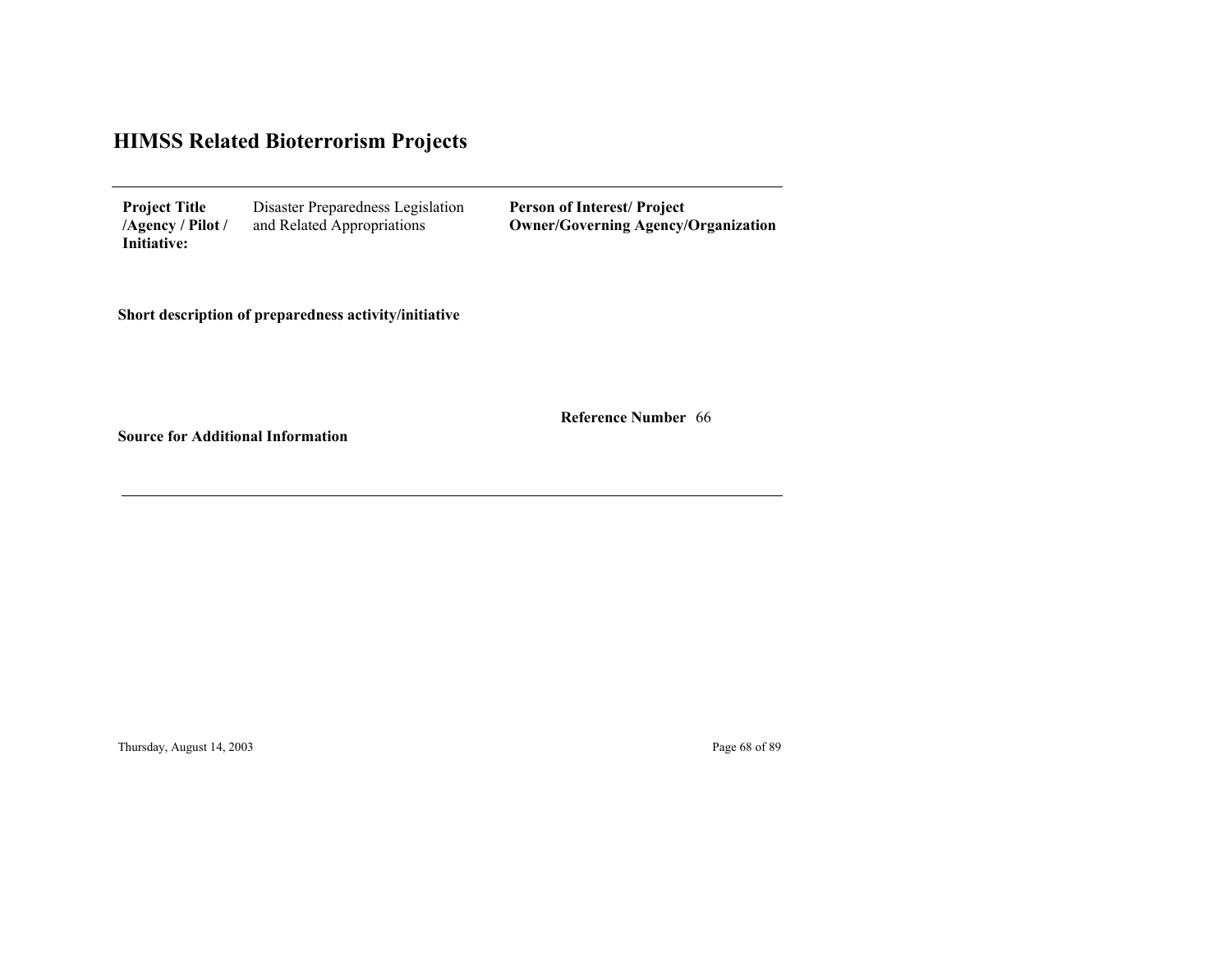| <b>Project Title</b> | Disaster Preparedness Legislation | <b>Person of Interest/Project</b>          |
|----------------------|-----------------------------------|--------------------------------------------|
| /Agency / Pilot /    | and Related Appropriations        | <b>Owner/Governing Agency/Organization</b> |
| Initiative:          |                                   |                                            |

**Short description of preparedness activity/initiative**

66 **Reference Number**

<u> 1989 - Johann Stoff, deutscher Stoffen und der Stoffen und der Stoffen und der Stoffen und der Stoffen und der</u>

**Source for Additional Information**

Thursday, August 14, 2003 **Page 68 of 89**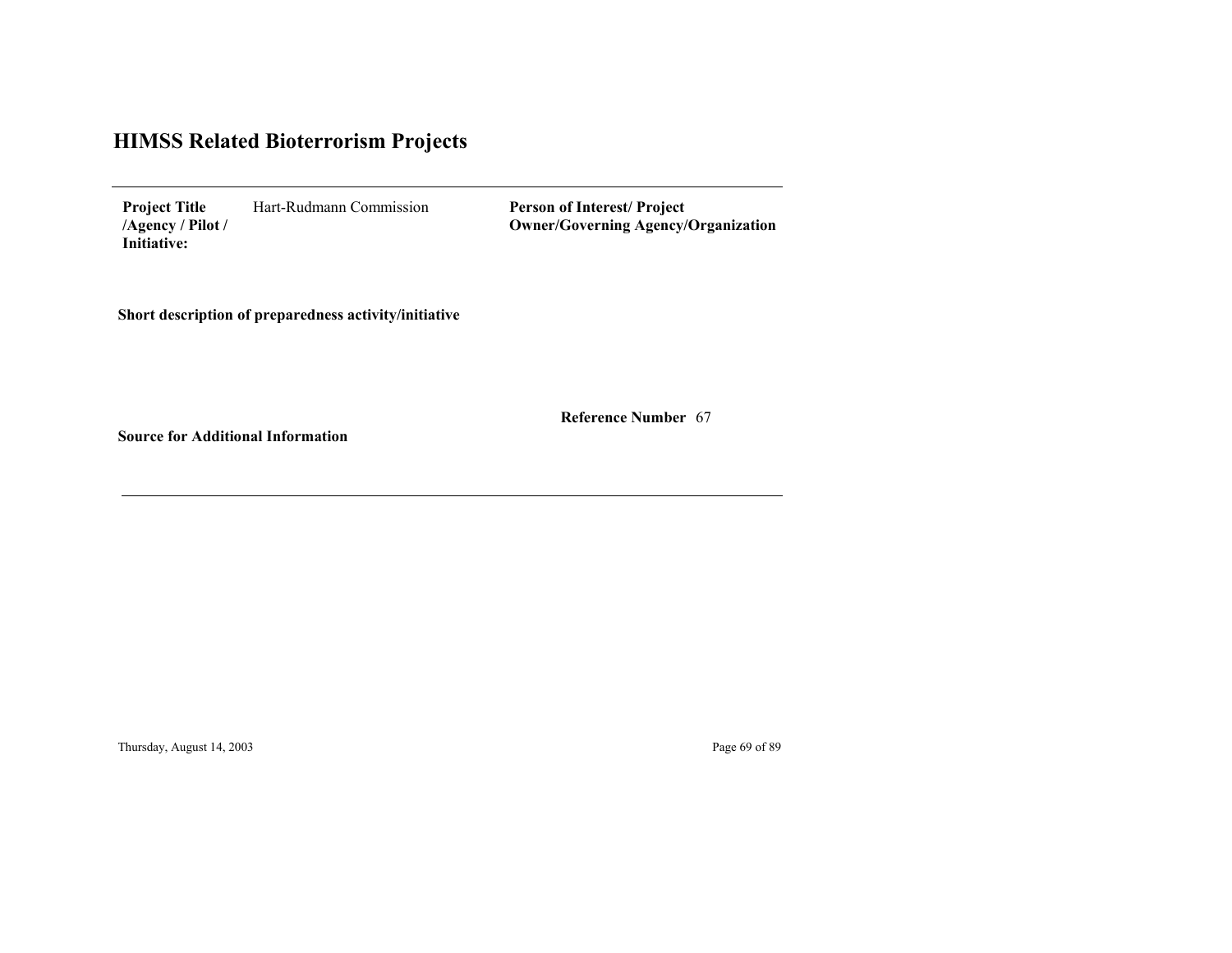Hart-Rudmann Commission **Project Title /Agency / Pilot / Initiative:**

**Person of Interest/ Project Owner/Governing Agenc y/Organization**

**Short description of preparedness activity/initiative**

67 **Reference Number**

**Source for Additional Information**

Thursday, August 14, 2003 **Page 69 of 89**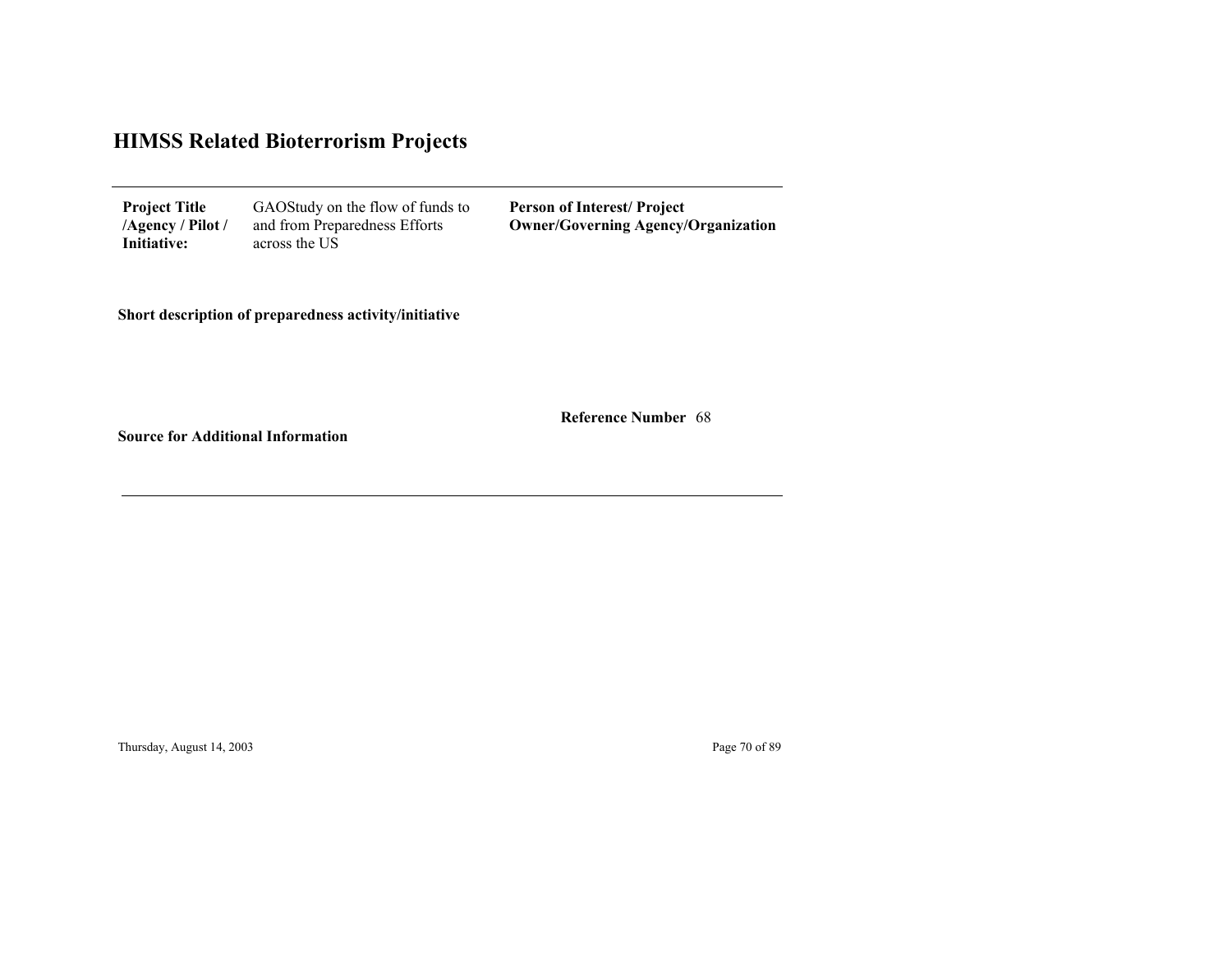| <b>Project Title</b><br>/Agency / Pilot /<br>Initiative: | GAOStudy on the flow of funds to<br>and from Preparedness Efforts<br>across the US | <b>Person of Interest/Project</b><br><b>Owner/Governing Agency/Organization</b> |
|----------------------------------------------------------|------------------------------------------------------------------------------------|---------------------------------------------------------------------------------|
|----------------------------------------------------------|------------------------------------------------------------------------------------|---------------------------------------------------------------------------------|

**Short description of preparedness activity/initiative**

68 **Reference Number**

<u> 1989 - Johann Stoff, deutscher Stoffen und der Stoffen und der Stoffen und der Stoffen und der Stoffen und der</u>

**Source for Additional Information**

Thursday, August 14, 2003 Page 70 of 89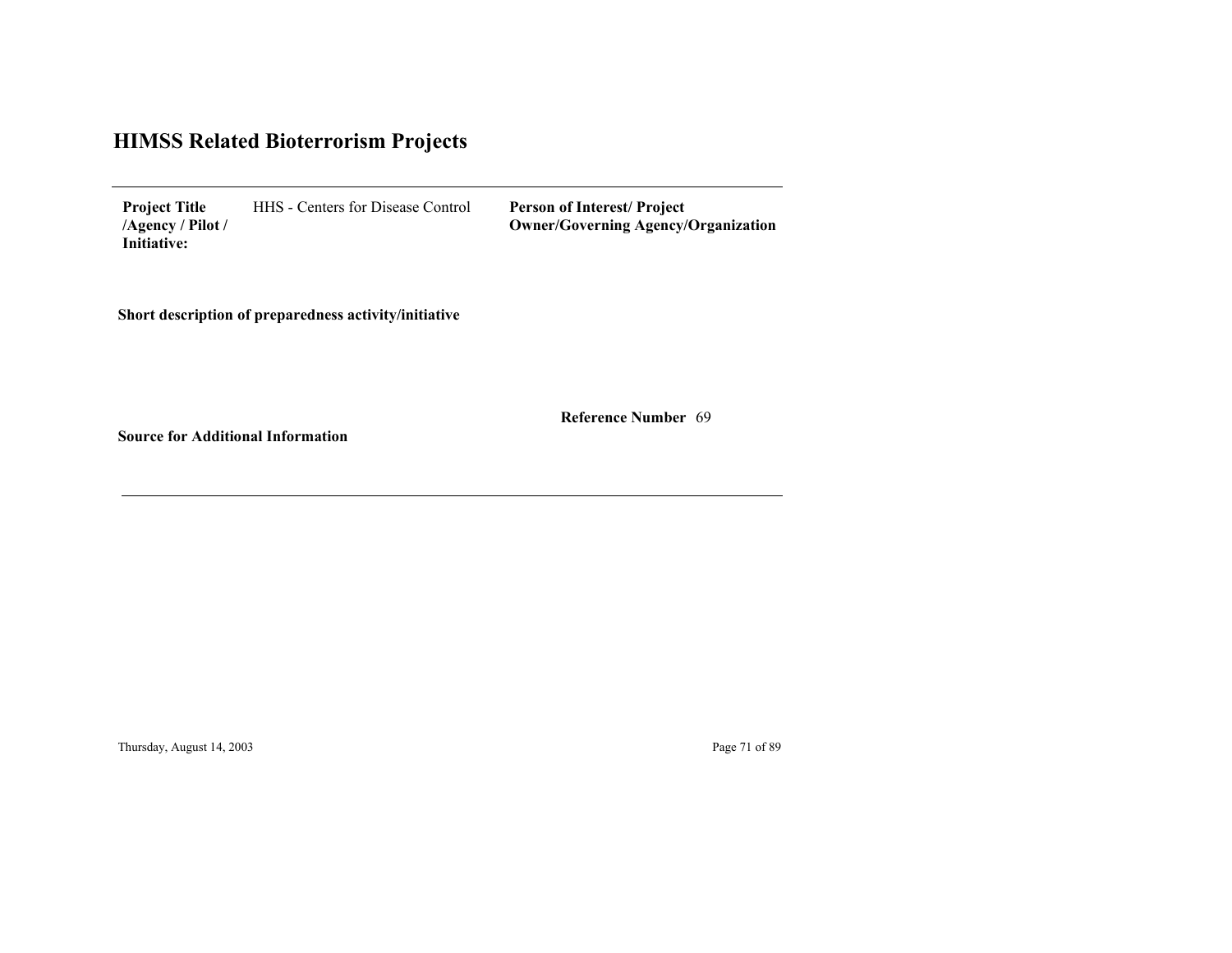HHS - Centers for Disease Control **Project Title /Agency / Pilot / Initiative:**

**Person of Interest/ Project Owner/Governing Agenc y/Organization**

**Short description of preparedness activity/initiative**

69 **Reference Number**

**Source for Additional Information**

Thursday, August 14, 2003 Page 71 of 89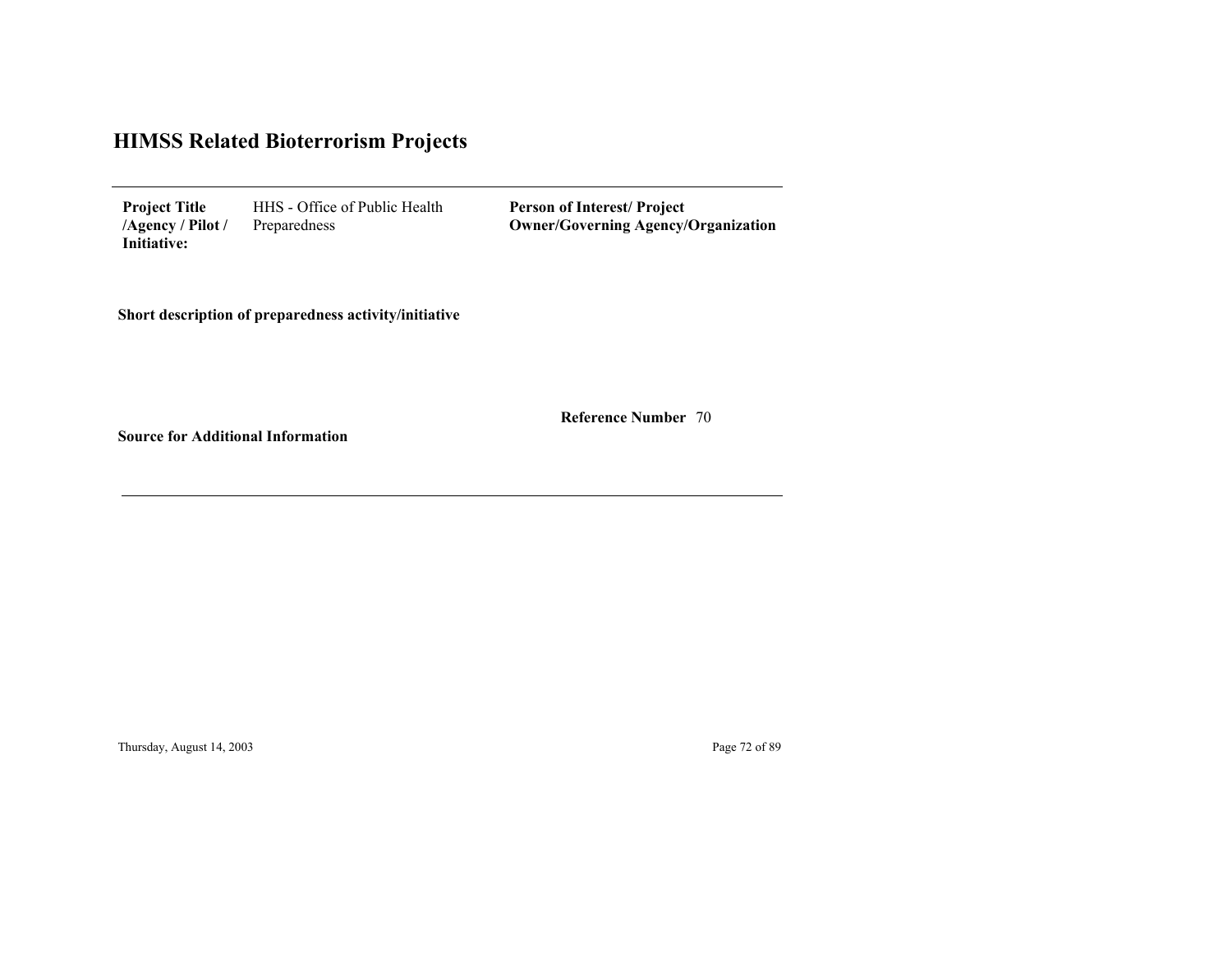HHS - Office of Public Health Preparedness **Project Title /Agency / Pilot / Initiative:**

**Person of Interest/ Project Owner/Governing Agenc y/Organization**

**Short description of preparedness activity/initiative**

70 **Reference Number**

**Source for Additional Information**

Thursday, August 14, 2003 Page 72 of 89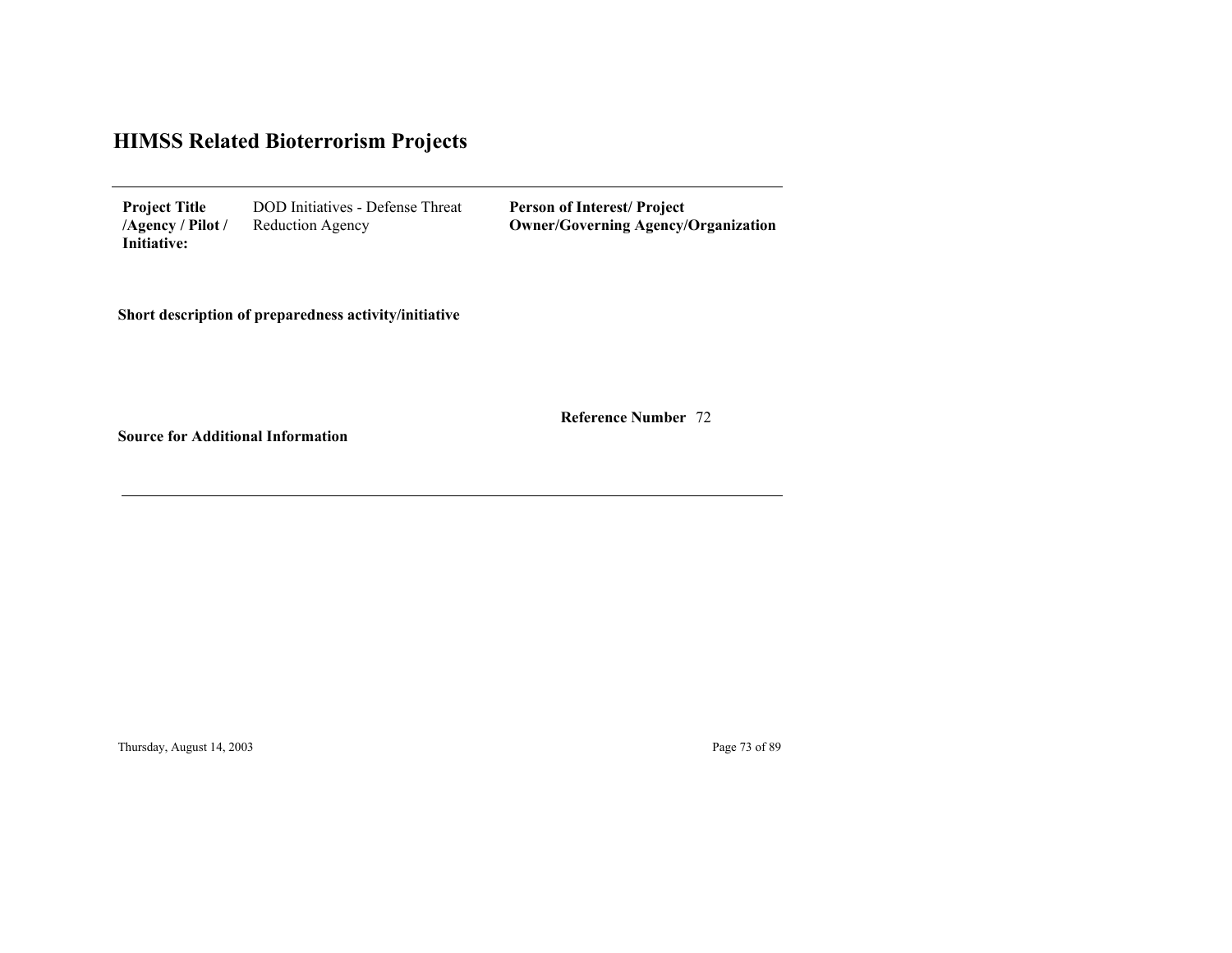| <b>Project Title</b> | <b>DOD</b> Initiatives - Defense Threat |
|----------------------|-----------------------------------------|
| $/$ Agency / Pilot / | Reduction Agency                        |
| Initiative:          |                                         |

**Person of Interest/ Project Owner/Governing Agenc y/Organization**

**Short description of preparedness activity/initiative**

72 **Reference Number**

**Source for Additional Information**

Thursday, August 14, 2003 Page 73 of 89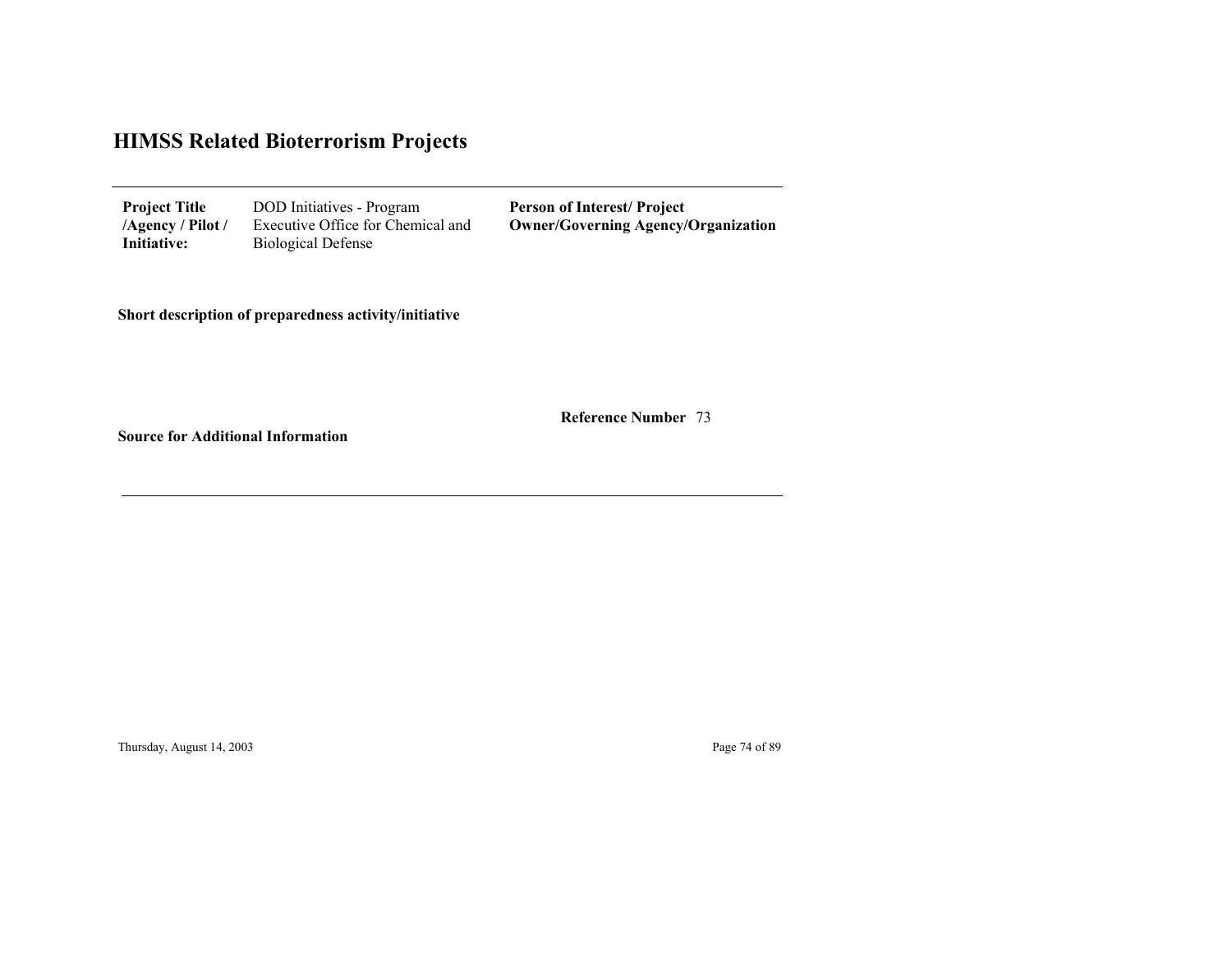| <b>Project Title</b> | DOD Initiatives - Program         | <b>Person of Interest/Project</b>          |
|----------------------|-----------------------------------|--------------------------------------------|
| /Agency / Pilot /    | Executive Office for Chemical and | <b>Owner/Governing Agency/Organization</b> |
| Initiative:          | <b>Biological Defense</b>         |                                            |

**Short description of preparedness activity/initiative**

73 **Reference Number**

<u> 1980 - Johann Stoff, fransk politik (f. 1980)</u>

**Source for Additional Information**

Thursday, August 14, 2003 Page 74 of 89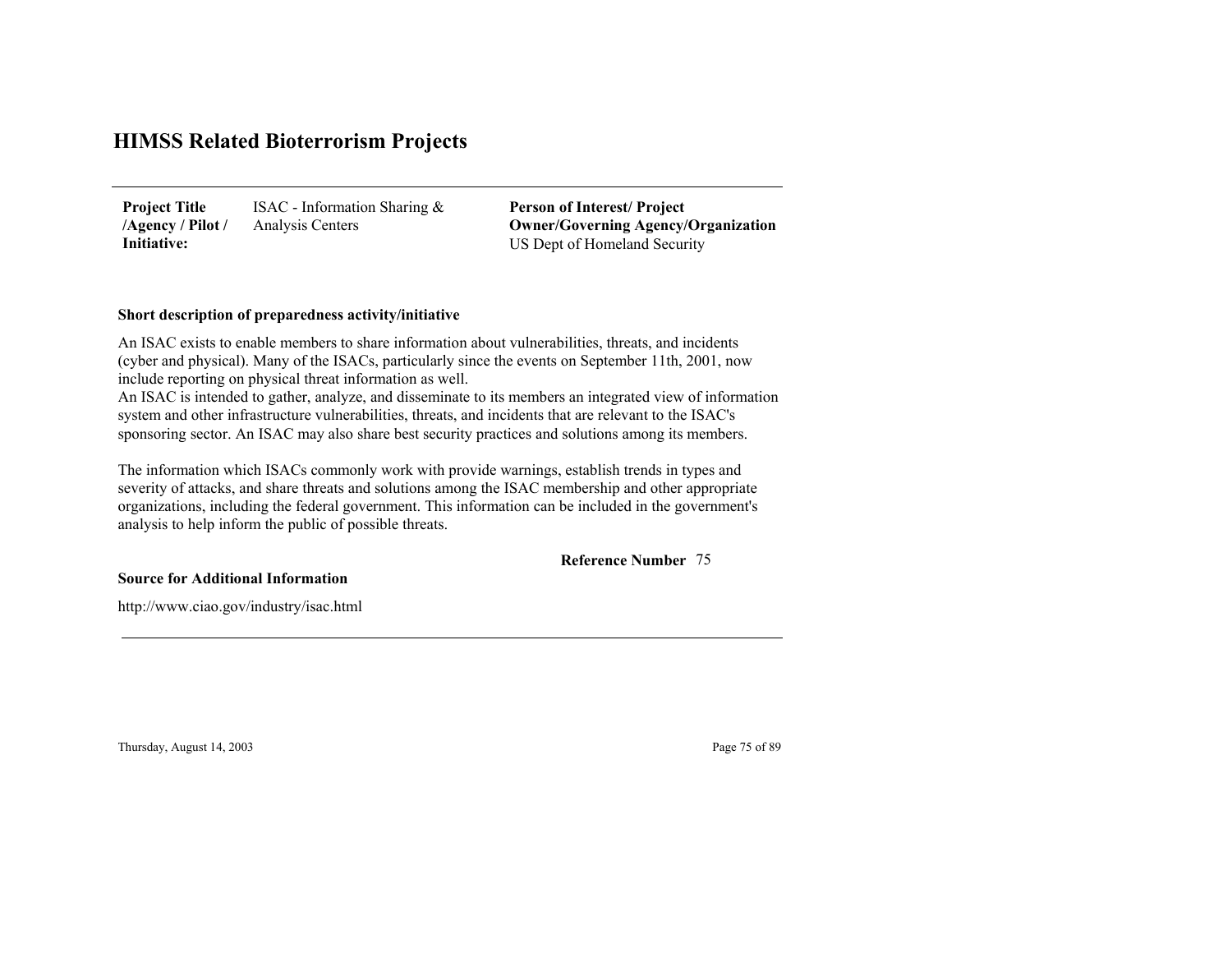ISAC - Information Sharing & Analysis Centers **Project Title /Agency / Pilot / Initiative:**

US Dept of Homeland Security **Person of Interest/ Project Owner/Governing Agenc y/Organization**

### **Short description of preparedness activity/initiative**

An ISAC exists to enable members to share information about vulnerabilities, threats, and incidents (cyber and physical). Many of the ISACs, particularly since the events on September 11th, 2001, now include reporting on physical threat information as well.

An ISAC is intended to gather, analyze, and disseminate to its members an integrated view of informatio n system and other infrastructure vulnerabilities, threats, and incidents that are relevant to the ISAC's sponsoring sector. An ISAC may also share best security practices and solutions among its members.

The information which ISACs commonly work with provide warnings, establish trends in types and severity of attacks, and share threats and solutions among the ISAC membership and other appropriate organizations, including the federal government. This information can be included in the government's analysis to help inform the public of possible threats.

75**Reference Number**

### **Source for Additional Information**

http://www.ciao.gov/industry/isac.html

Thursday, August 14, 2003 Page 75 of 89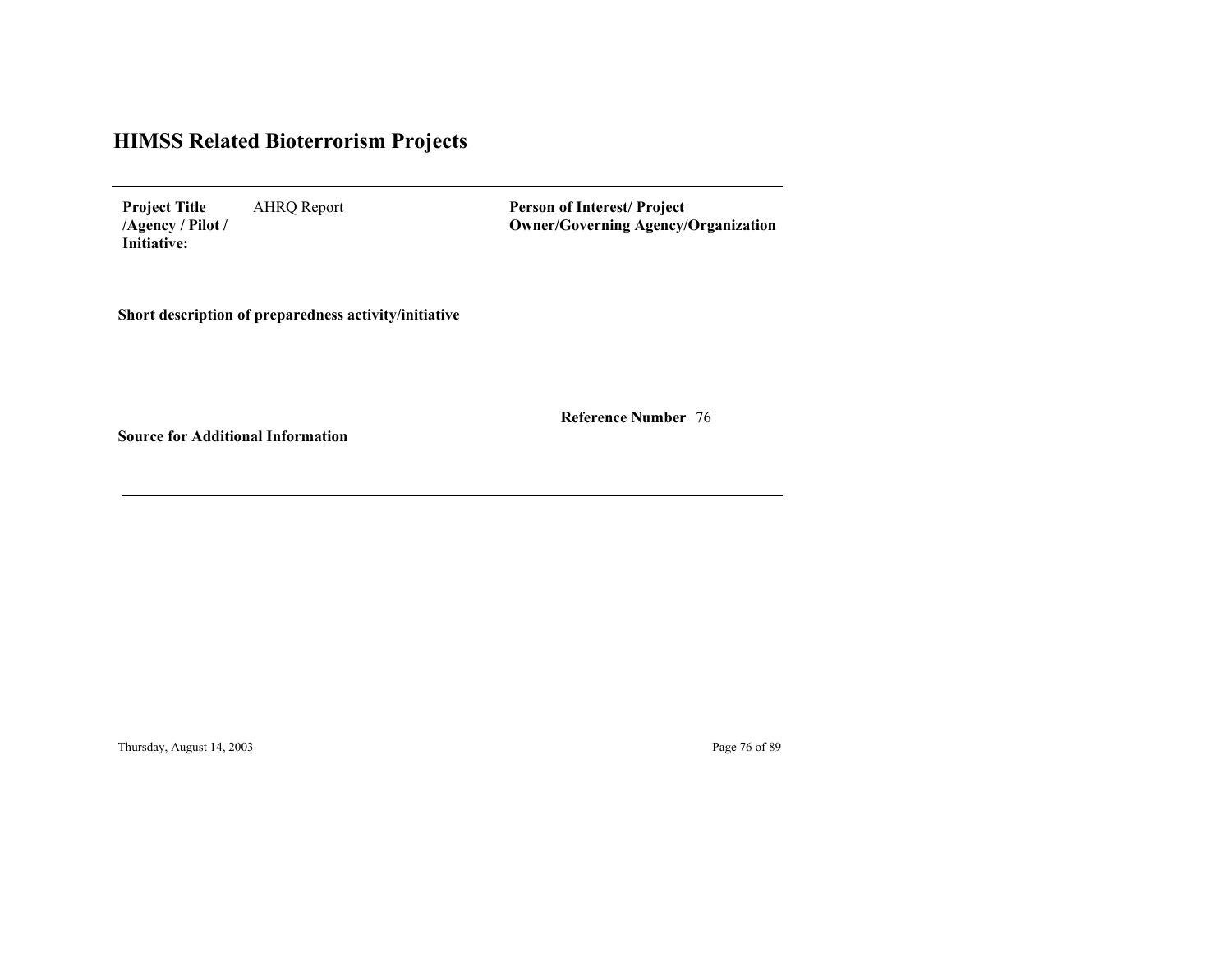AHRQ Report **Project Title /Agency / Pilot / Initiative:**

**Person of Interest/ Project Owner/Governing Agenc y/Organization**

**Short description of preparedness activity/initiative**

76 **Reference Number**

**Source for Additional Information**

Thursday, August 14, 2003 Page 76 of 89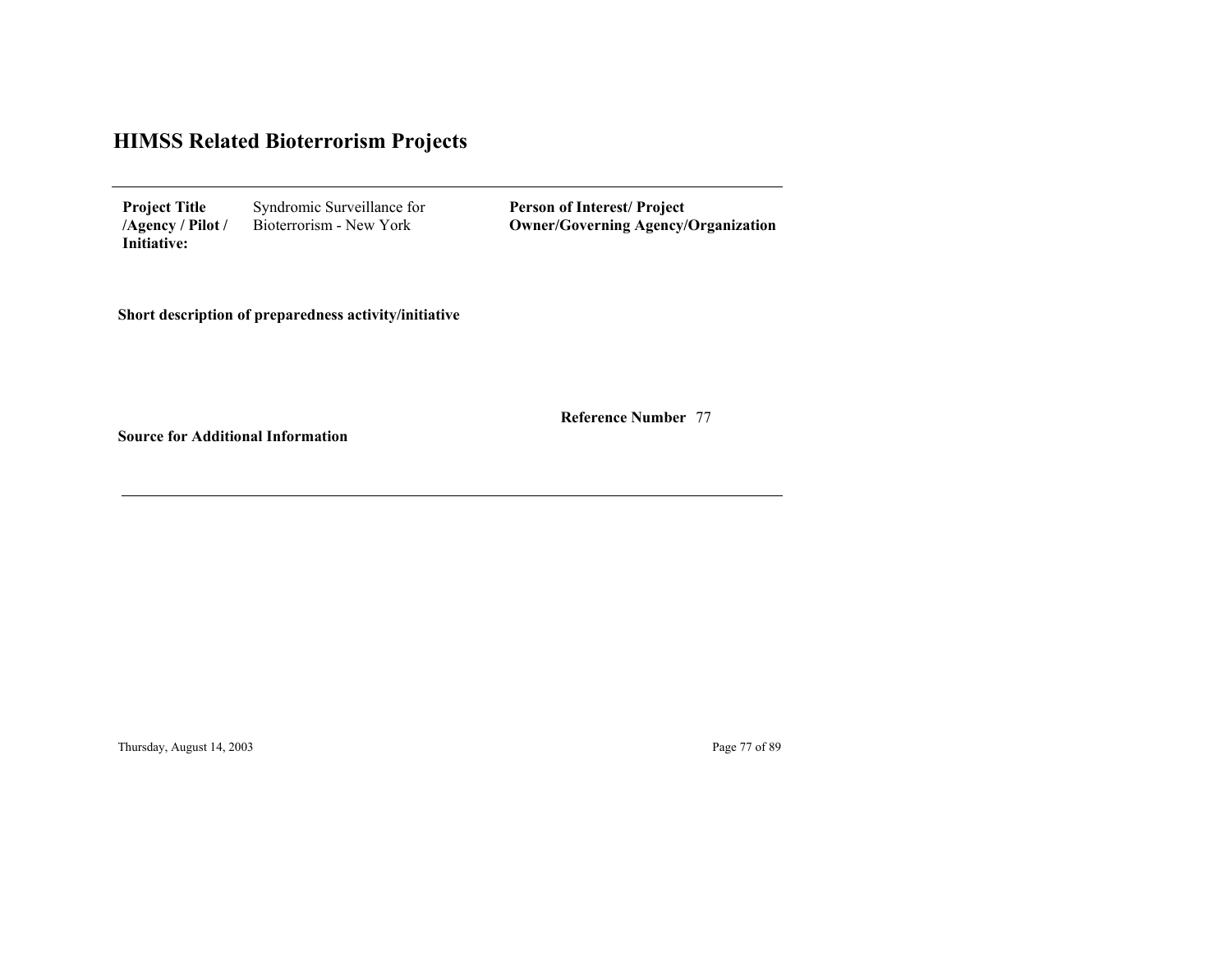| <b>Project Title</b> | Syndromic Surveillance for |
|----------------------|----------------------------|
| $/$ Agency / Pilot / | Bioterrorism - New York    |
| Initiative:          |                            |

**Person of Interest/ Project Owner/Governing Agenc y/Organization**

**Short description of preparedness activity/initiative**

77 **Reference Number**

**Source for Additional Information**

Thursday, August 14, 2003 Page 77 of 89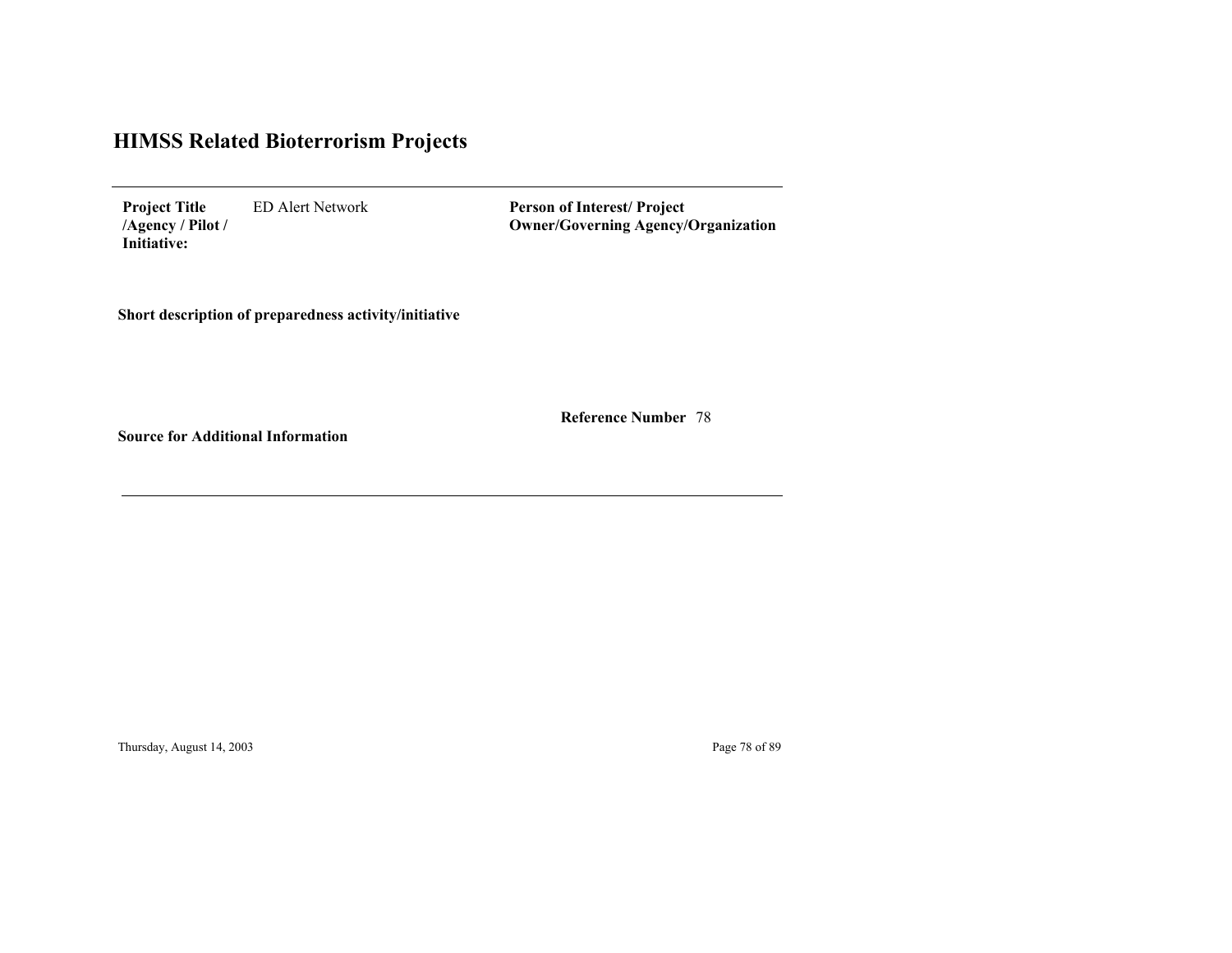ED Alert Network **Project Title /Agency / Pilot / Initiative:**

**Person of Interest/ Project Owner/Governing Agenc y/Organization**

**Short description of preparedness activity/initiative**

78 **Reference Number**

**Source for Additional Information**

Thursday, August 14, 2003 Page 78 of 89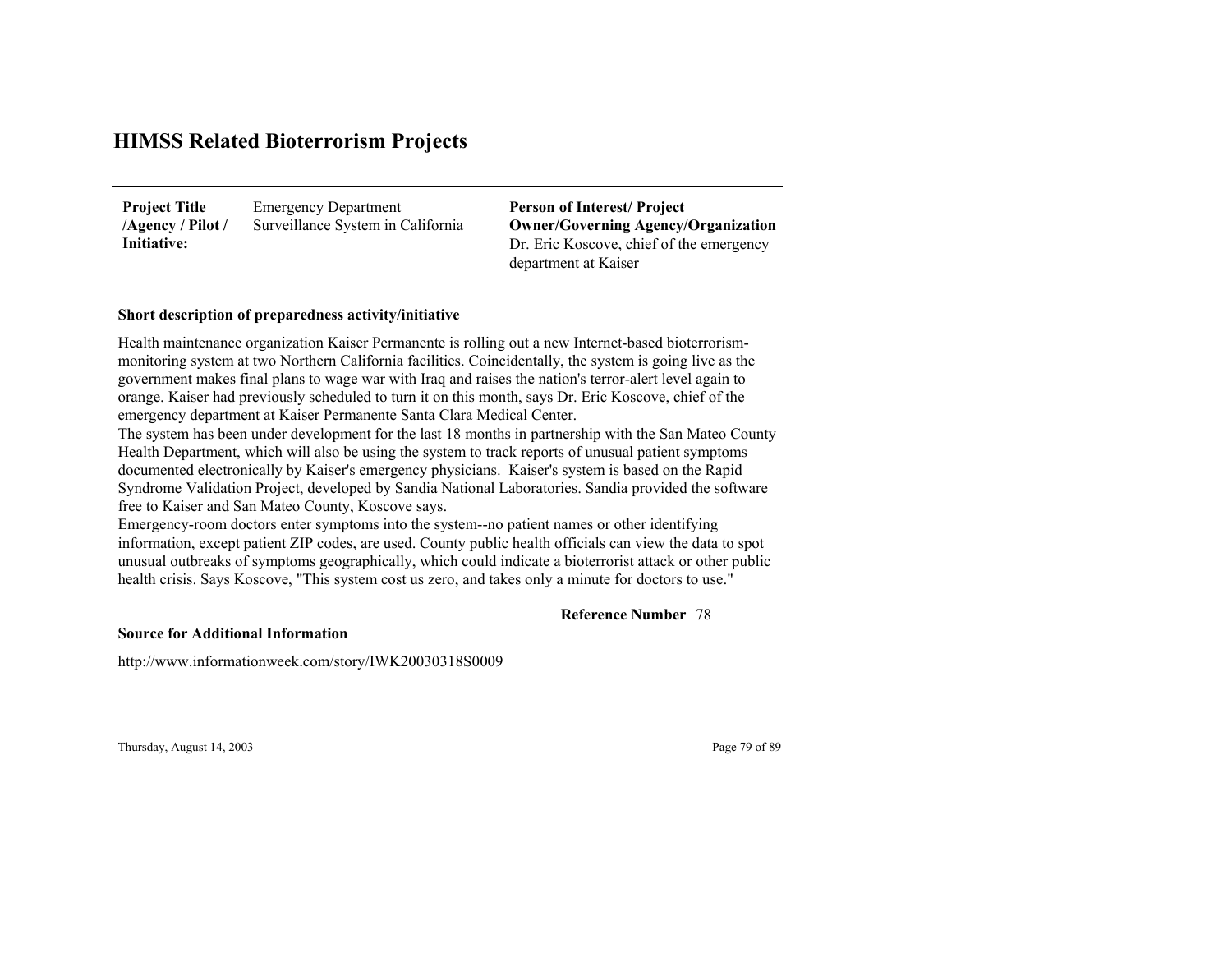Emergency Department Surveillance System in California **Project Title /Agency / Pilot / Initiative:**

Dr. Eric Koscove, chief of the emergency department at Kaiser **Person of Interest/ Project Owner/Governing Agenc y/Organization**

### **Short description of preparedness activity/initiative**

Health maintenance organization Kaiser Permanente is rolling out a new Internet-based bioterrorismmonitoring system at two Northern California facilities. Coincidentally, the system is going live as the government makes final plans to wage war with Iraq and raises the nation's terror-alert level again to orange. Kaiser had previously scheduled to turn it on this month, says Dr. Eric Koscove, chief of the emergency department at Kaiser Permanente Santa Clara Medical Center.

The system has been under development for the last 18 months in partnership with the San Mateo County Health Department, which will also be using the system to track reports of unusual patient symptoms documented electronically by Kaiser's emergency physicians. Kaiser's system is based on the Rapid Syndrome Validation Project, developed by Sandia National Laboratories. Sandia provided the software free to Kaiser and San Mateo County, Koscove says.

Emergency-room doctors enter symptoms into the system--no patient names or other identifying information, except patient ZIP codes, are used. County public health officials can view the data to spot unusual outbreaks of symptoms geographically, which could indicate a bioterrorist attack or other public health crisis. Says Koscove, "This system cost us zero, and takes only a minute for doctors to use."

### 78 **Reference Number**

**Source for Additional Information**

http://www.informationweek.com/story/IWK20030318S0009

Thursday, August 14, 2003 Page 79 of 89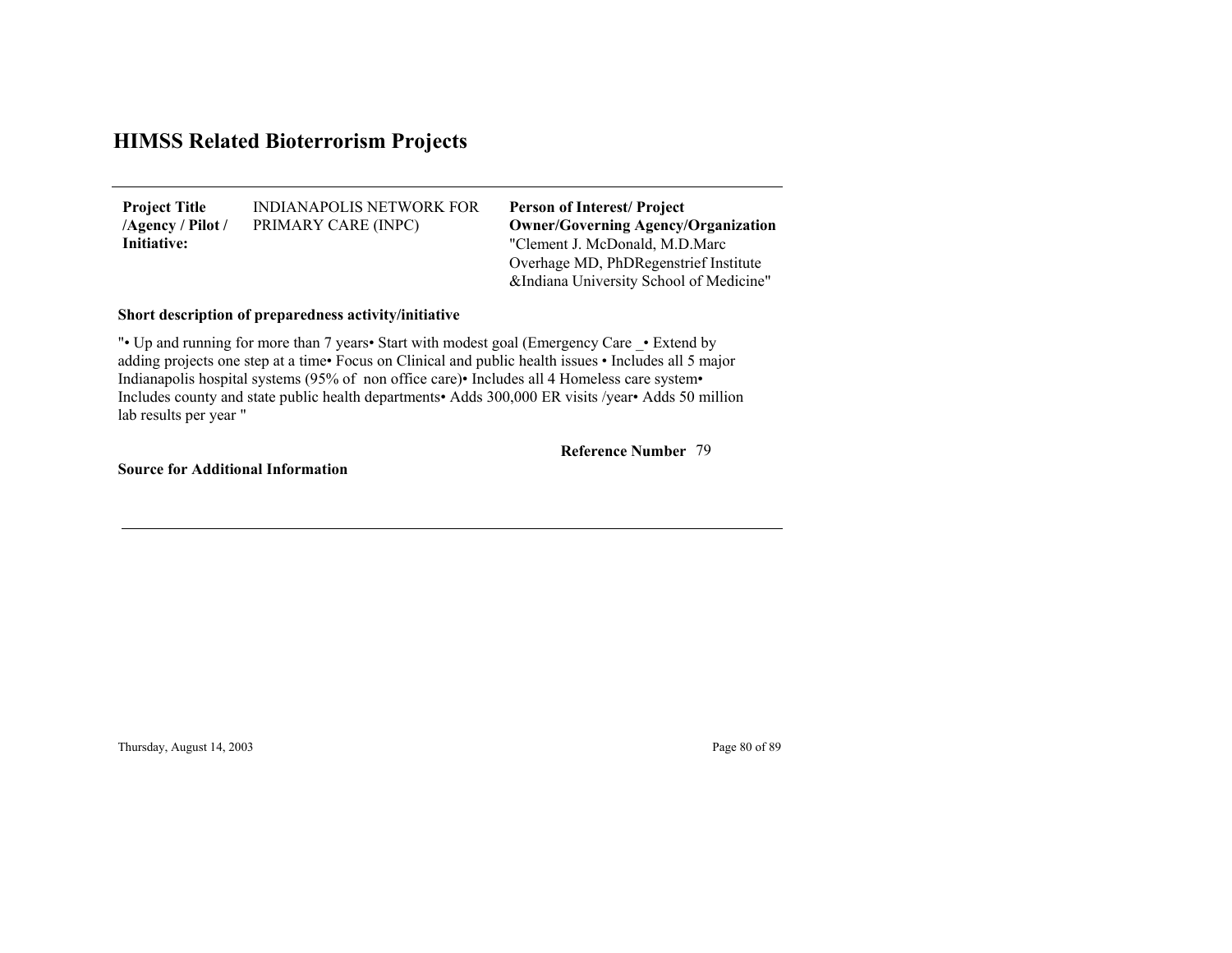INDIANAPOLIS NETWORK FOR PRIMARY CARE (INPC) **Project Title /Agency / Pilot / Initiative:**

"Clement J. McDonald, M.D.Marc Overhage MD, PhDRegenstrief Institute &Indiana University School of Medicine" **Person of Interest/ Project Owner/Governing Agenc y/Organization**

## **Short description of preparedness activity/initiative**

"• Up and running for more than 7 years• Start with modest goal (Emergency Care • Extend by adding projects one step at a time• Focus on Clinical and public health issues • Includes all 5 major Indianapolis hospital systems (95% of non office care)• Includes all 4 Homeless care system• Includes county and state public health departments• Adds 300,000 ER visits /year• Adds 50 million lab results per year "

#### 79**Reference Number**

**Source for Additional Information**

Thursday, August 14, 2003 Page 80 of 89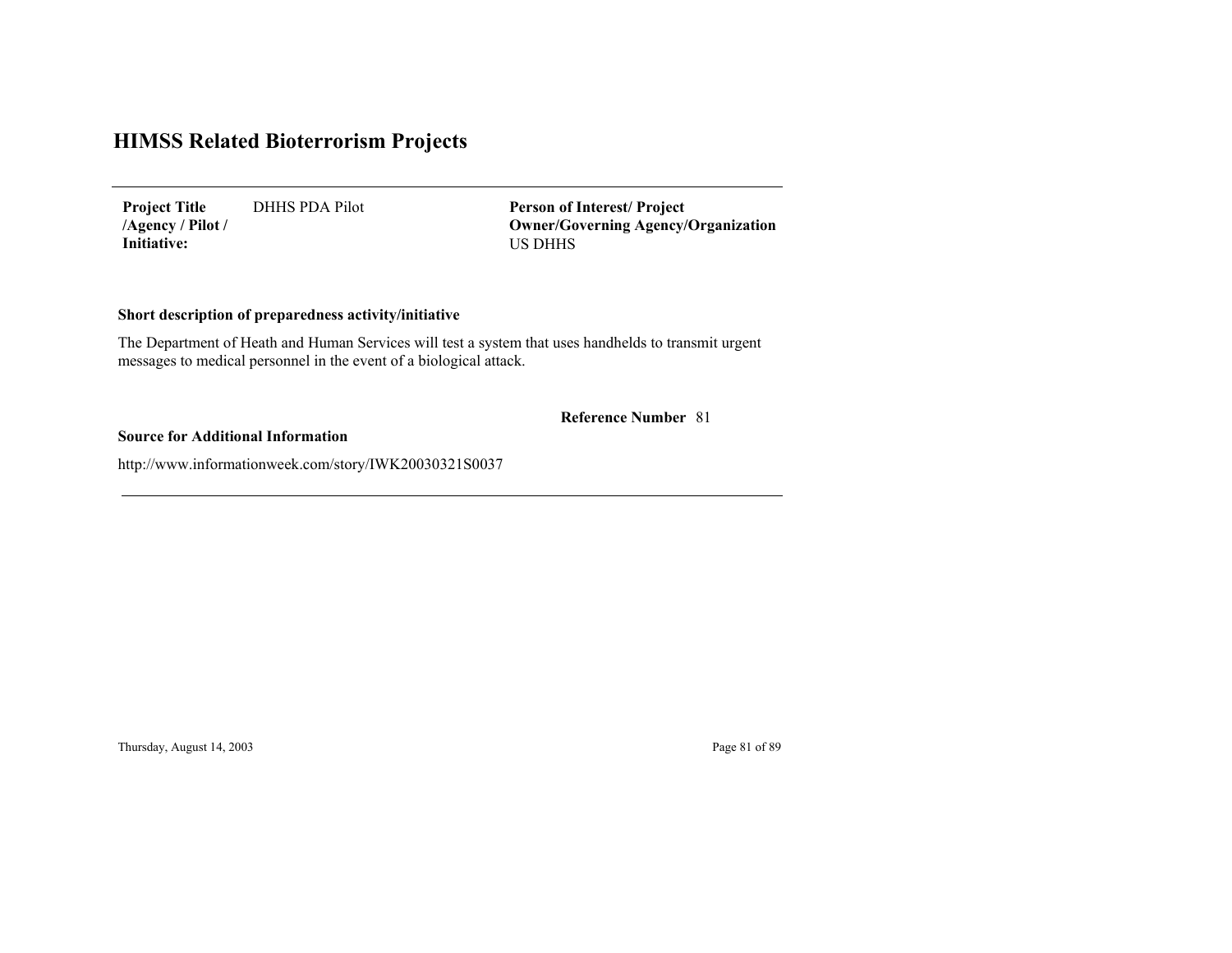DHHS PDA Pilot **Project Title /Agency / Pilot / Initiative:**

US DHHS **Person of Interest/ Project Owner/Governing Agenc y/Organization**

## **Short description of preparedness activity/initiative**

The Department of Heath and Human Services will test a system that uses handhelds to transmit urgent messages to medical personnel in the event of a biological attack.

**Reference Number** 81

## **Source for Additional Information**

http://www.informationweek.com/story/IWK20030321S0037

Thursday, August 14, 2003 Page 81 of 89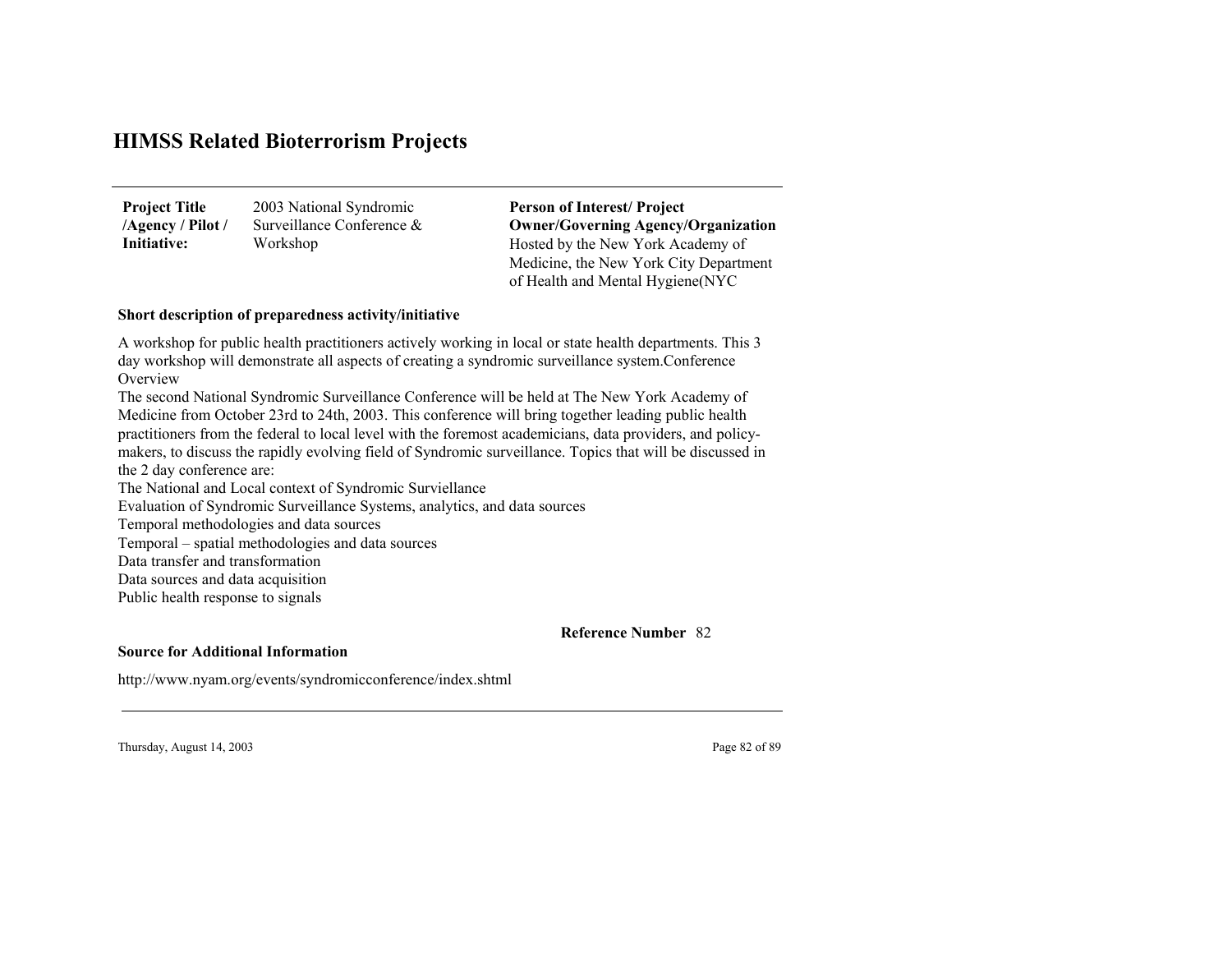| <b>Project Title</b> | 2003 National Syndromic   |
|----------------------|---------------------------|
| /Agency / Pilot /    | Surveillance Conference & |
| Initiative:          | Workshop                  |

Hosted by the New York Academy of Medicine, the New York City Department of Health and Mental Hygiene(NYC **Person of Interest/ Project Owner/Governing Agenc y/Organization**

#### **Short description of preparedness activity/initiative**

A workshop for public health practitioners actively working in local or state health departments. This 3 day workshop will demonstrate all aspects of creating a syndromic surveillance system.Conference **Overview** 

The second National Syndromic Surveillance Conference will be held at The New York Academy of Medicine from October 23rd to 24th, 2003. This conference will bring together leading public health practitioners from the federal to local level with the foremost academicians, data providers, and policymakers, to discuss the rapidly evolving field of Syndromic surveillance. Topics that will be discussed in the 2 day conference are:

The National and Local context of Syndromic Surviellance Evaluation of Syndromic Surveillance Systems, analytics, and data sources Temporal methodologies and data sources Temporal – spatial methodologies and data sources Data transfer and transformationData sources and data acquisition

Public health response to signals

82**Reference Number**

### **Source for Additional Information**

http://www.nyam.org/events/syndromicconference/index.shtml

Thursday, August 14, 2003 Page 82 of 89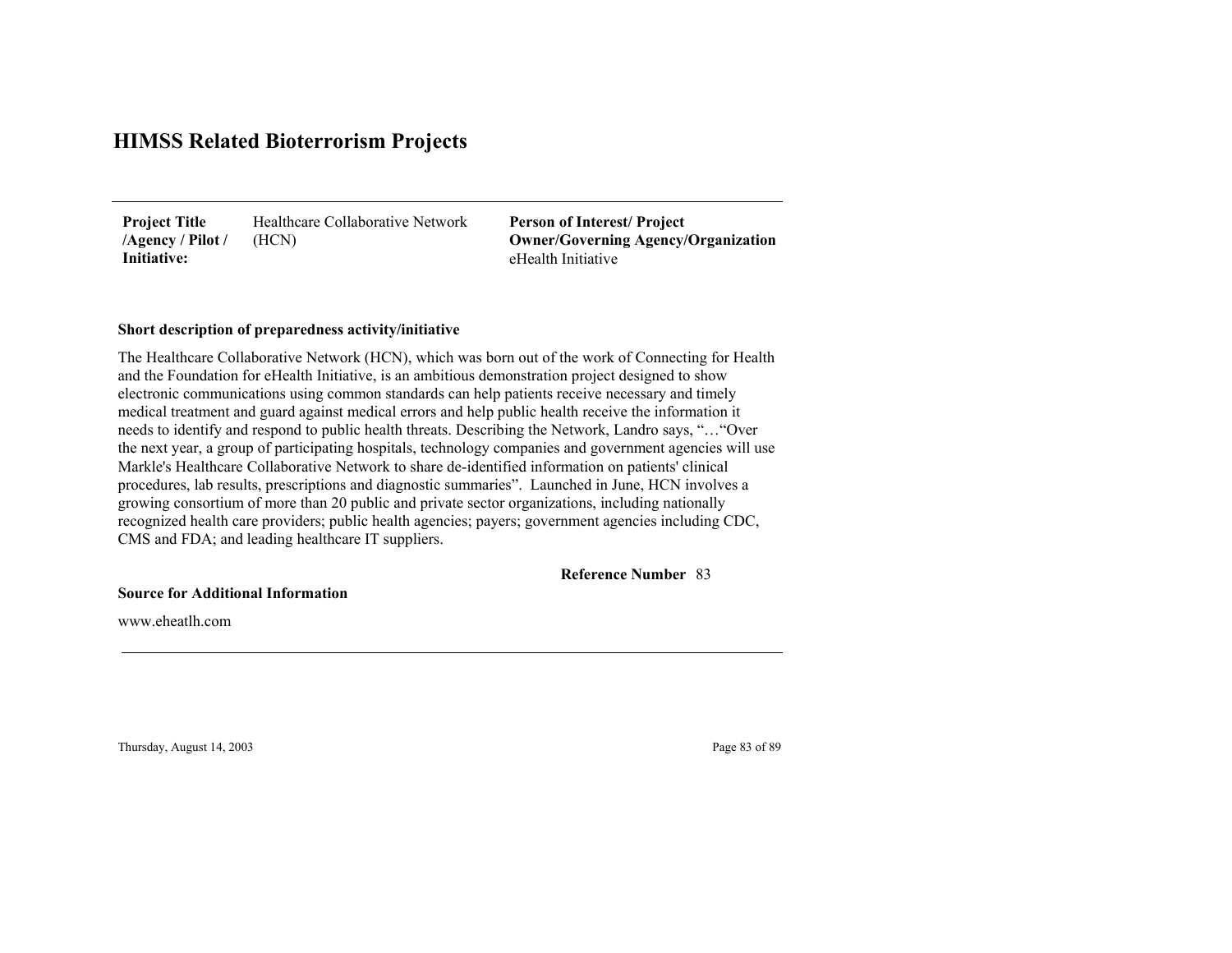Healthcare Collaborative Network (HCN) **Project Title /Agency / Pilot / Initiative:**

eHealth Initiative**Person of Interest/ Project Owner/Governing Agenc y/Organization**

#### **Short description of preparedness activity/initiative**

The Healthcare Collaborative Network (HCN), which was born out of the work of Connecting for Health and the Foundation for eHealth Initiative, is an ambitious demonstration project designed to show electronic communications using common standards can help patients receive necessary and timely medical treatment and guard against medical errors and help public health receive the information it needs to identify and respond to public health threats. Describing the Network, Landro says, "…"Over the next year, a group of participating hospitals, technology companies and government agencies will use Markle's Healthcare Collaborative Network to share de-identified information on patients' clinical procedures, lab results, prescriptions and diagnostic summaries". Launched in June, HCN involves a growing consortium of more than 20 public and private sector organizations, including nationally recognized health care providers; public health agencies; payers; government agencies including CDC, CMS and FDA; and leading healthcare IT suppliers.

83**Reference Number**

**Source for Additional Information**

www.eheatlh.com

Thursday, August 14, 2003 Page 83 of 89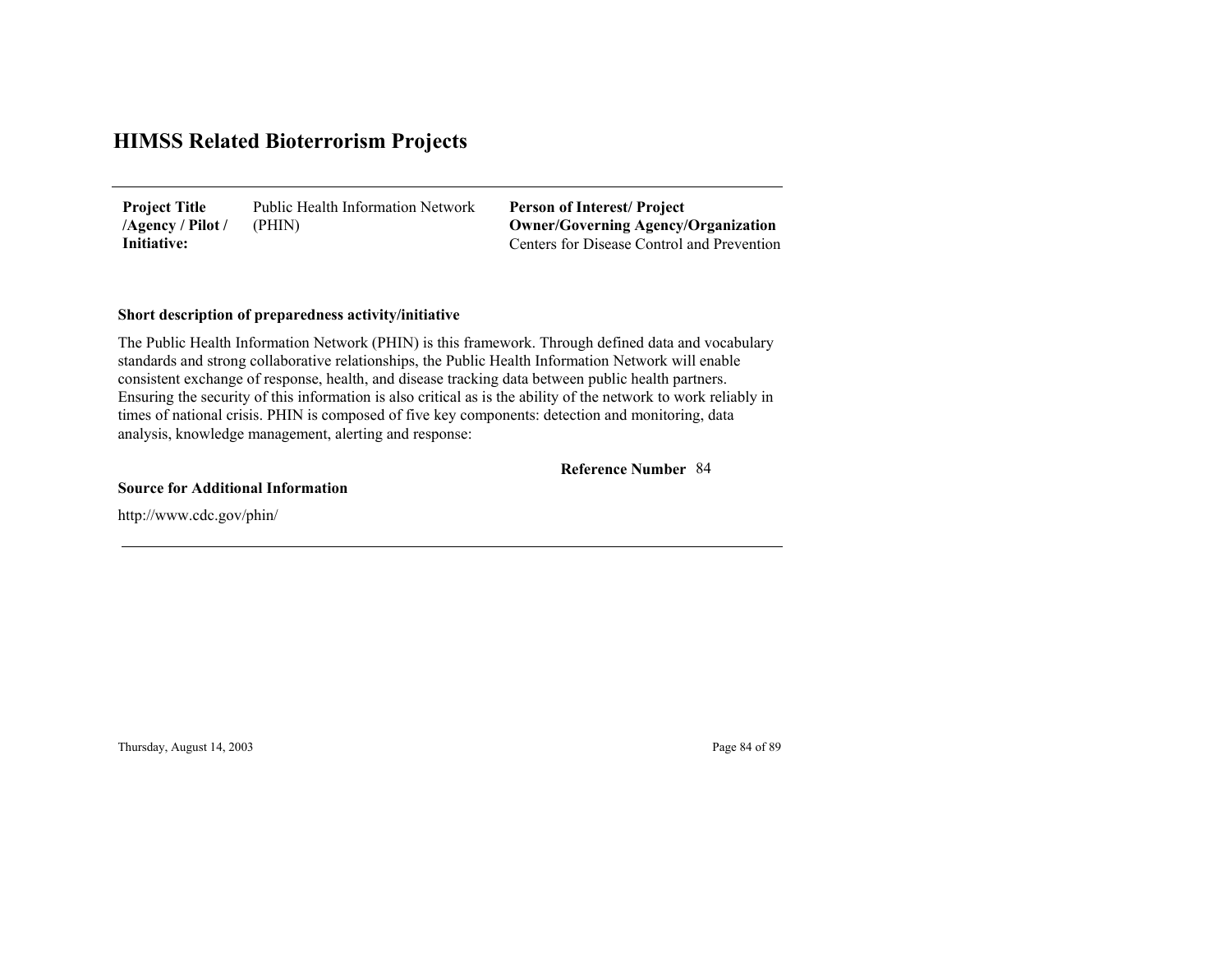Public Health Information Network (PHIN) **Project Title /Agency / Pilot / Initiative:**

Centers for Disease Control and Prevention**Person of Interest/ Project Owner/Governing Agenc y/Organization**

## **Short description of preparedness activity/initiative**

The Public Health Information Network (PHIN) is this framework. Through defined data and vocabulary standards and strong collaborative relationships, the Public Health Information Network will enable consistent exchange of response, health, and disease tracking data between public health partners. Ensuring the security of this information is also critical as is the ability of the network to work reliably in times of national crisis. PHIN is composed of five key components: detection and monitoring, data analysis, knowledge management, alerting and response:

84**Reference Number**

**Source for Additional Information**

http://www.cdc.gov/phin/

Thursday, August 14, 2003 Page 84 of 89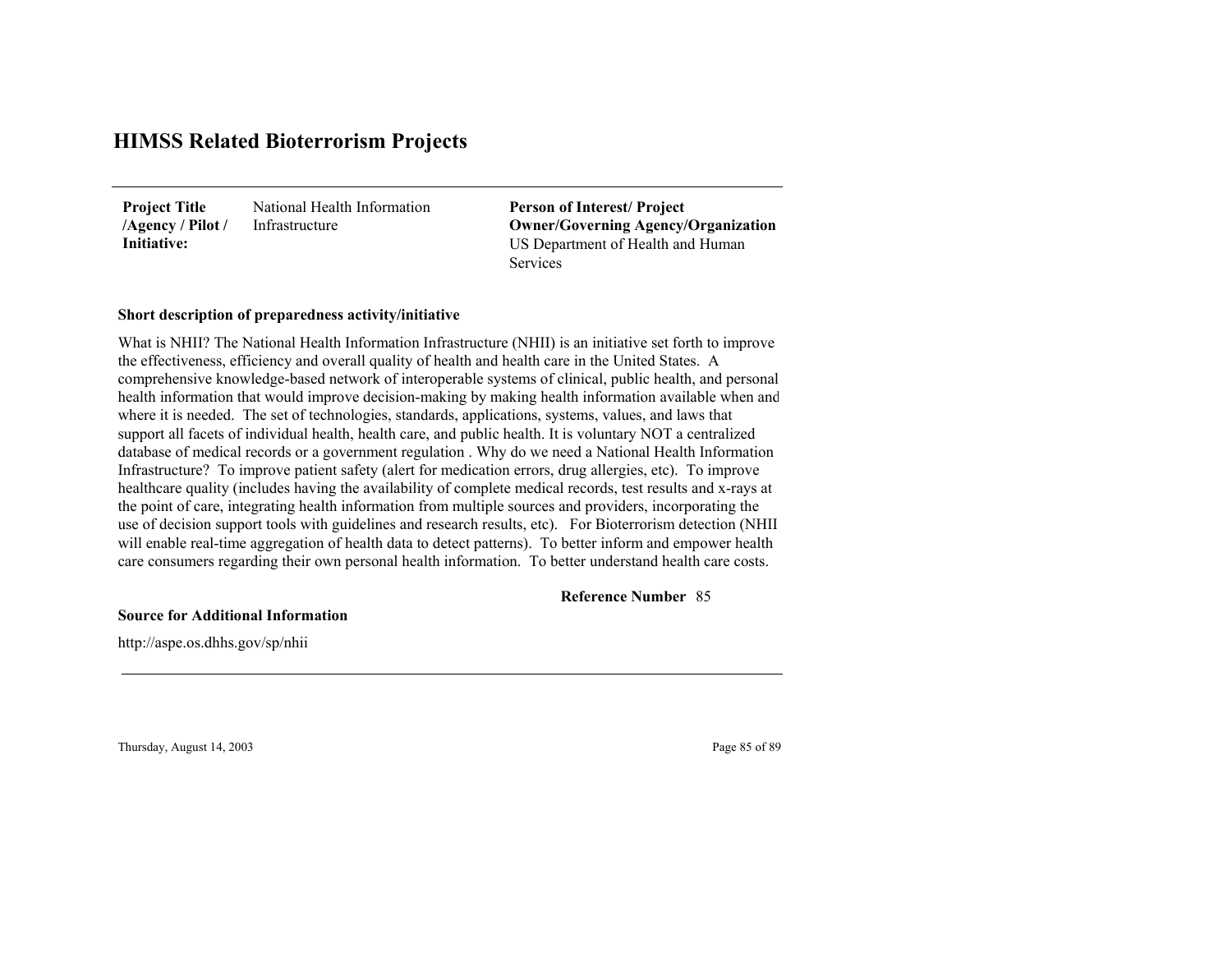National Health Information Infrastructure**Project Title /Agency / Pilot / Initiative:**

US Department of Health and Human Services**Person of Interest/ Project Owner/Governing Agenc y/Organization**

#### **Short description of preparedness activity/initiative**

What is NHII? The National Health Information Infrastructure (NHII) is an initiative set forth to improve the effectiveness, efficiency and overall quality of health and health care in the United States. A comprehensive knowledge-based network of interoperable systems of clinical, public health, and personal health information that would improve decision-making by making health information available when an d where it is needed. The set of technologies, standards, applications, systems, values, and laws that support all facets of individual health, health care, and public health. It is voluntary NOT a centralized database of medical records or a government regulation . Why do we need a National Health Information Infrastructure? To improve patient safety (alert for medication errors, drug allergies, etc). To improve healthcare quality (includes having the availability of complete medical records, test results and x-rays at the point of care, integrating health information from multiple sources and providers, incorporating the use of decision support tools with guidelines and research results, etc). For Bioterrorism detection (NHII will enable real-time aggregation of health data to detect patterns). To better inform and empower health care consumers regarding their own personal health information. To better understand health care costs.

85**Reference Number**

**Source for Additional Information**

http://aspe.os.dhhs.gov/sp/nhii

Thursday, August 14, 2003 Page 85 of 89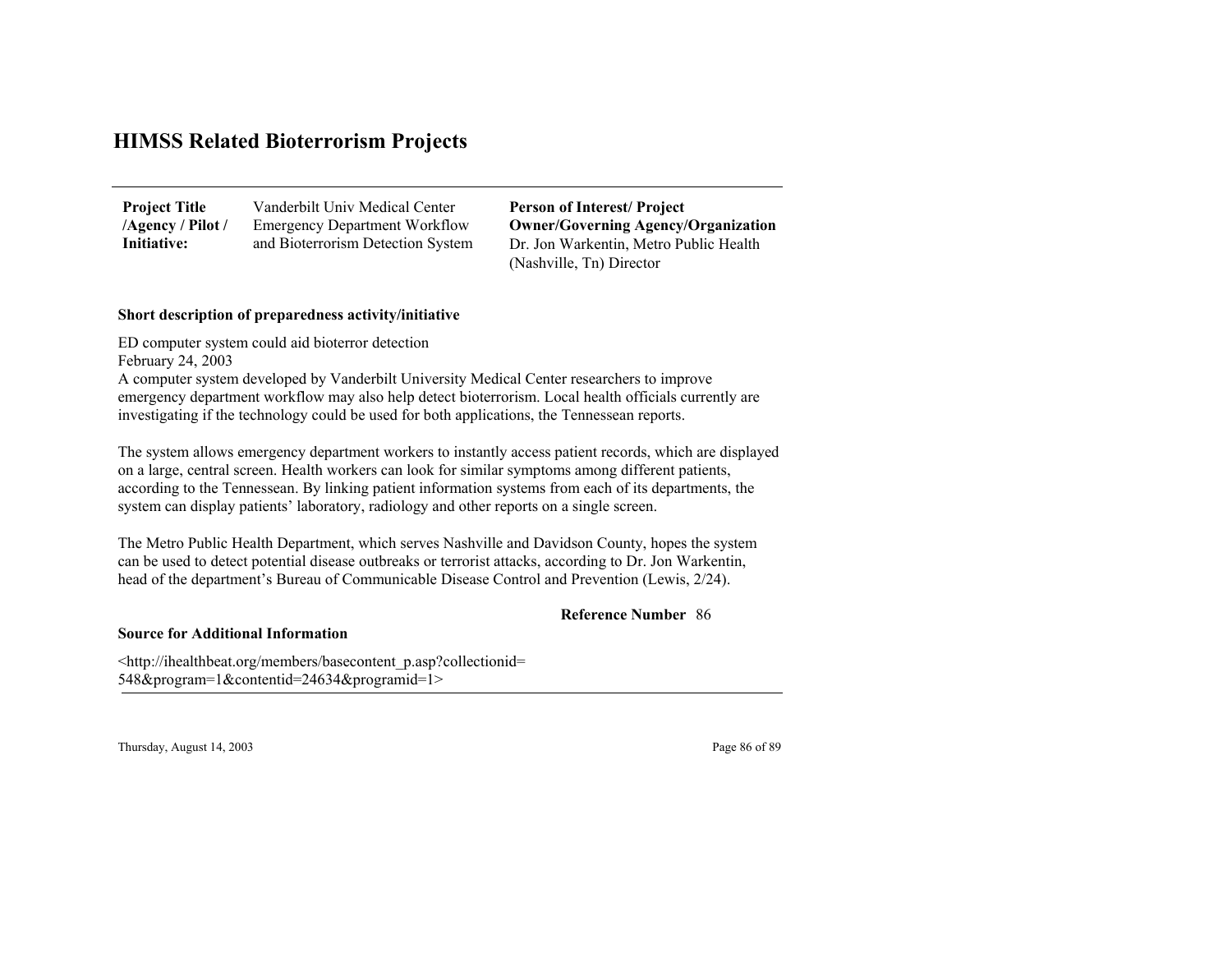| <b>Project Title</b> | Vanderbilt Univ Medical Center       |
|----------------------|--------------------------------------|
| /Agency / Pilot /    | <b>Emergency Department Workflow</b> |
| Initiative:          | and Bioterrorism Detection System    |

Dr. Jon Warkentin, Metro Public Health (Nashville, Tn) Director **Person of Interest/ Project Owner/Governing Agenc y/Organization**

### **Short description of preparedness activity/initiative**

ED computer system could aid bioterror detection February 24, 2003 A computer system developed by Vanderbilt University Medical Center researchers to improve emergency department workflow may also help detect bioterrorism. Local health officials currently are investigating if the technology could be used for both applications, the Tennessean reports.

The system allows emergency department workers to instantly access patient records, which are displaye d on a large, central screen. Health workers can look for similar symptoms among different patients, according to the Tennessean. By linking patient information systems from each of its departments, the system can display patients' laboratory, radiology and other reports on a single screen.

The Metro Public Health Department, which serves Nashville and Davidson County, hopes the system can be used to detect potential disease outbreaks or terrorist attacks, according to Dr. Jon Warkentin, head of the department's Bureau of Communicable Disease Control and Prevention (Lewis, 2/24).

## 86**Reference Number**

**Source for Additional Information**

<http://ihealthbeat.org/members/basecontent\_p.asp?collectionid= 548& pro gram=1&contentid=24634& pro gramid=1>

Thursday, August 14, 2003 Page 86 of 89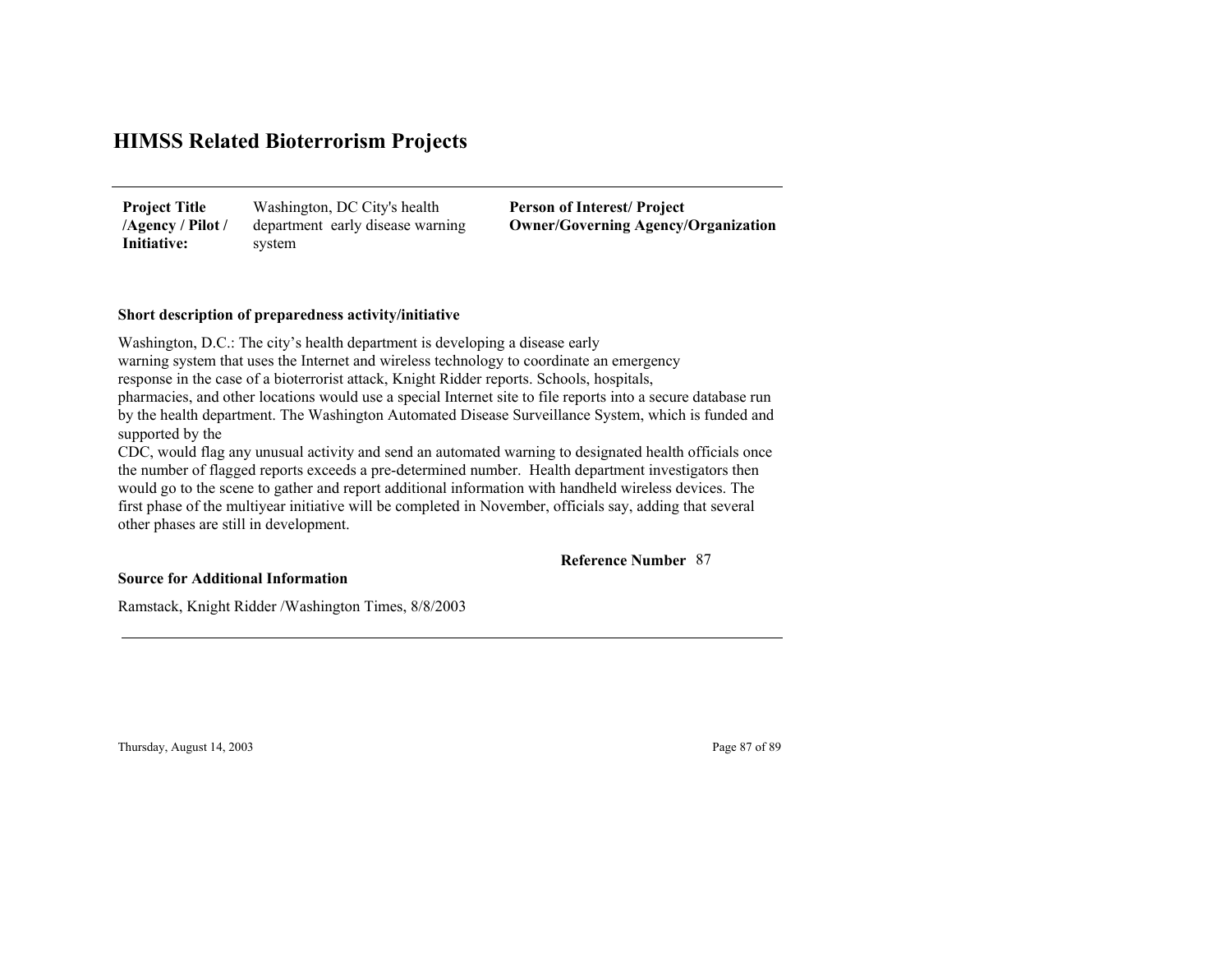Washington, DC City's health department early disease warning system **Project Title /Agency / Pilot / Initiative:**

**Person of Interest/ Project Owner/Governing Agenc y/Organization**

## **Short description of preparedness activity/initiative**

Washington, D.C.: The city's health department is developing a disease early warning system that uses the Internet and wireless technology to coordinate an emergency response in the case of a bioterrorist attack, Knight Ridder reports. Schools, hospitals, pharmacies, and other locations would use a special Internet site to file reports into a secure database run by the health department. The Washington Automated Disease Surveillance System, which is funded and supported by the CDC, would flag any unusual activity and send an automated warning to designated health officials once

the number of flagged reports exceeds a pre-determined number. Health department investigators then would go to the scene to gather and report additional information with handheld wireless devices. The first phase of the multiyear initiative will be completed in November, officials say, adding that several other phases are still in development.

### 87**Reference Number**

### **Source for Additional Information**

Ramstack, Knight Ridder /Washington Times, 8/8/2003

Thursday, August 14, 2003 Page 87 of 89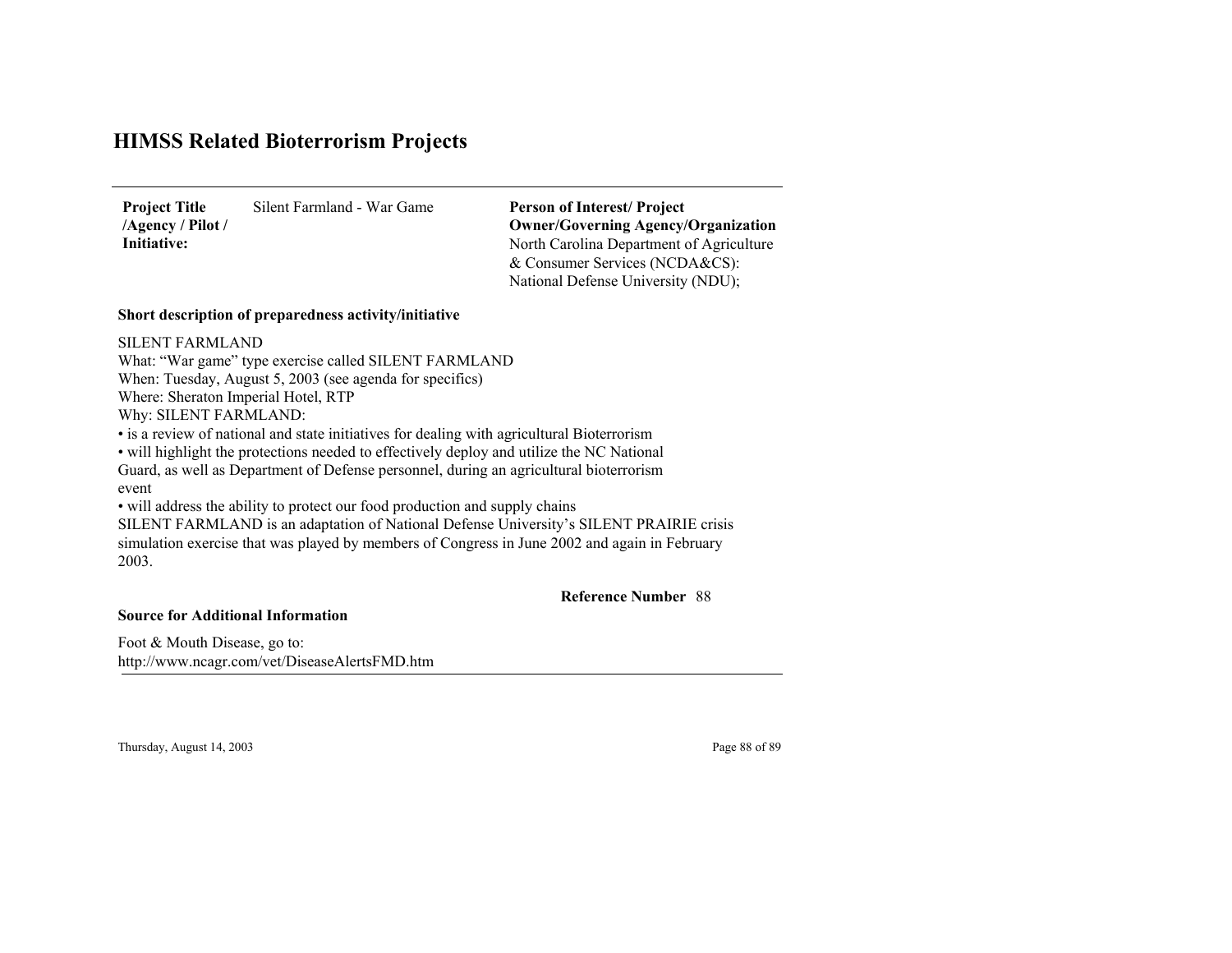Silent Farmland - War Game**Project Title /Agency / Pilot / Initiative:**

North Carolina Department of Agriculture & Consumer Services (NCDA&CS): National Defense University (NDU); **Person of Interest/ Project Owner/Governing Agenc y/Organization**

#### **Short description of preparedness activity/initiative**

SILENT FARMLANDWhat: "War game" type exercise called SILENT FARMLAND When: Tuesday, August 5, 2003 (see agenda for specifics) Where: Sheraton Imperial Hotel, RTP Why: SILENT FARMLAND: • is a review of national and state initiatives for dealing with agricultural Bioterrorism • will highlight the protections needed to effectively deploy and utilize the NC National Guard, as well as Department of Defense personnel, during an agricultural bioterrorism event• will address the ability to protect our food production and supply chains SILENT FARMLAND is an adaptation of National Defense University's SILENT PRAIRIE crisis simulation exercise that was played by members of Congress in June 2002 and again in February 2003.

### 88**Reference Number**

**Source for Additional Information**

Foot & Mouth Disease, go to: http://www.nca gr.com/vet/DiseaseAlertsFMD.ht m

Thursday, August 14, 2003 Page 88 of 89